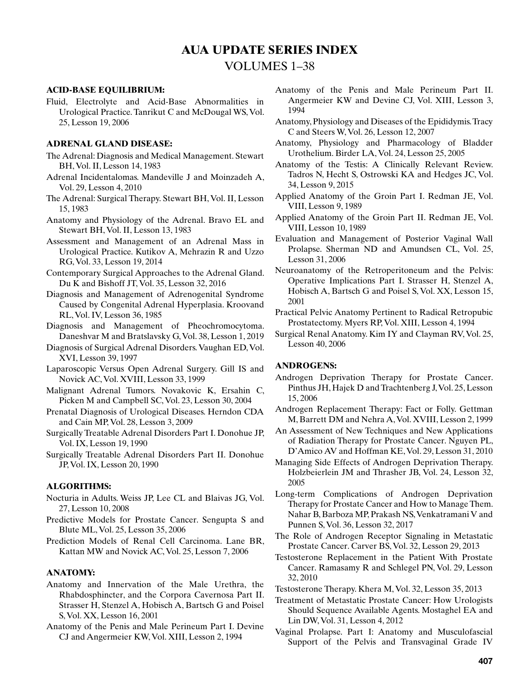# **AUA UPDATE SERIES INDEX**

# VOLUMES 1–38

### **ACID-BASE EQUILIBRIUM:**

Fluid, Electrolyte and Acid-Base Abnormalities in Urological Practice. Tanrikut C and McDougal WS, Vol. 25, Lesson 19, 2006

## **ADRENAL GLAND DISEASE:**

- The Adrenal: Diagnosis and Medical Management. Stewart BH, Vol. II, Lesson 14, 1983
- Adrenal Incidentalomas. Mandeville J and Moinzadeh A, Vol. 29, Lesson 4, 2010
- The Adrenal: Surgical Therapy. Stewart BH, Vol. II, Lesson 15, 1983
- Anatomy and Physiology of the Adrenal. Bravo EL and Stewart BH, Vol. II, Lesson 13, 1983
- Assessment and Management of an Adrenal Mass in Urological Practice. Kutikov A, Mehrazin R and Uzzo RG, Vol. 33, Lesson 19, 2014
- Contemporary Surgical Approaches to the Adrenal Gland. Du K and Bishoff JT, Vol. 35, Lesson 32, 2016
- Diagnosis and Management of Adrenogenital Syndrome Caused by Congenital Adrenal Hyperplasia. Kroovand RL, Vol. IV, Lesson 36, 1985
- Diagnosis and Management of Pheochromocytoma. Daneshvar M and Bratslavsky G, Vol. 38, Lesson 1, 2019
- Diagnosis of Surgical Adrenal Disorders. Vaughan ED, Vol. XVI, Lesson 39, 1997
- Laparoscopic Versus Open Adrenal Surgery. Gill IS and Novick AC, Vol. XVIII, Lesson 33, 1999
- Malignant Adrenal Tumors. Novakovic K, Ersahin C, Picken M and Campbell SC, Vol. 23, Lesson 30, 2004
- Prenatal Diagnosis of Urological Diseases. Herndon CDA and Cain MP, Vol. 28, Lesson 3, 2009
- Surgically Treatable Adrenal Disorders Part I. Donohue JP, Vol. IX, Lesson 19, 1990
- Surgically Treatable Adrenal Disorders Part II. Donohue JP, Vol. IX, Lesson 20, 1990

### **ALGORITHMS:**

- Nocturia in Adults. Weiss JP, Lee CL and Blaivas JG, Vol. 27, Lesson 10, 2008
- Predictive Models for Prostate Cancer. Sengupta S and Blute ML, Vol. 25, Lesson 35, 2006
- Prediction Models of Renal Cell Carcinoma. Lane BR, Kattan MW and Novick AC, Vol. 25, Lesson 7, 2006

#### **ANATOMY:**

- Anatomy and Innervation of the Male Urethra, the Rhabdosphincter, and the Corpora Cavernosa Part II. Strasser H, Stenzel A, Hobisch A, Bartsch G and Poisel S, Vol. XX, Lesson 16, 2001
- Anatomy of the Penis and Male Perineum Part I. Devine CJ and Angermeier KW, Vol. XIII, Lesson 2, 1994
- Anatomy of the Penis and Male Perineum Part II. Angermeier KW and Devine CJ, Vol. XIII, Lesson 3, 1994
- Anatomy, Physiology and Diseases of the Epididymis. Tracy C and Steers W, Vol. 26, Lesson 12, 2007
- Anatomy, Physiology and Pharmacology of Bladder Urothelium. Birder LA, Vol. 24, Lesson 25, 2005
- Anatomy of the Testis: A Clinically Relevant Review. Tadros N, Hecht S, Ostrowski KA and Hedges JC, Vol. 34, Lesson 9, 2015
- Applied Anatomy of the Groin Part I. Redman JE, Vol. VIII, Lesson 9, 1989
- Applied Anatomy of the Groin Part II. Redman JE, Vol. VIII, Lesson 10, 1989
- Evaluation and Management of Posterior Vaginal Wall Prolapse. Sherman ND and Amundsen CL, Vol. 25, Lesson 31, 2006
- Neuroanatomy of the Retroperitoneum and the Pelvis: Operative Implications Part I. Strasser H, Stenzel A, Hobisch A, Bartsch G and Poisel S, Vol. XX, Lesson 15, 2001
- Practical Pelvic Anatomy Pertinent to Radical Retropubic Prostatectomy. Myers RP, Vol. XIII, Lesson 4, 1994
- Surgical Renal Anatomy. Kim IY and Clayman RV, Vol. 25, Lesson 40, 2006

#### **ANDROGENS:**

- Androgen Deprivation Therapy for Prostate Cancer. Pinthus JH, Hajek D and Trachtenberg J, Vol. 25, Lesson 15, 2006
- Androgen Replacement Therapy: Fact or Folly. Gettman M, Barrett DM and Nehra A, Vol. XVIII, Lesson 2, 1999
- An Assessment of New Techniques and New Applications of Radiation Therapy for Prostate Cancer. Nguyen PL, D'Amico AV and Hoffman KE, Vol. 29, Lesson 31, 2010
- Managing Side Effects of Androgen Deprivation Therapy. Holzbeierlein JM and Thrasher JB, Vol. 24, Lesson 32, 2005
- Long-term Complications of Androgen Deprivation Therapy for Prostate Cancer and How to Manage Them. Nahar B, Barboza MP, Prakash NS, Venkatramani V and Punnen S, Vol. 36, Lesson 32, 2017
- The Role of Androgen Receptor Signaling in Metastatic Prostate Cancer. Carver BS, Vol. 32, Lesson 29, 2013
- Testosterone Replacement in the Patient With Prostate Cancer. Ramasamy R and Schlegel PN, Vol. 29, Lesson 32, 2010
- Testosterone Therapy. Khera M, Vol. 32, Lesson 35, 2013
- Treatment of Metastatic Prostate Cancer: How Urologists Should Sequence Available Agents. Mostaghel EA and Lin DW, Vol. 31, Lesson 4, 2012
- Vaginal Prolapse. Part I: Anatomy and Musculofascial Support of the Pelvis and Transvaginal Grade IV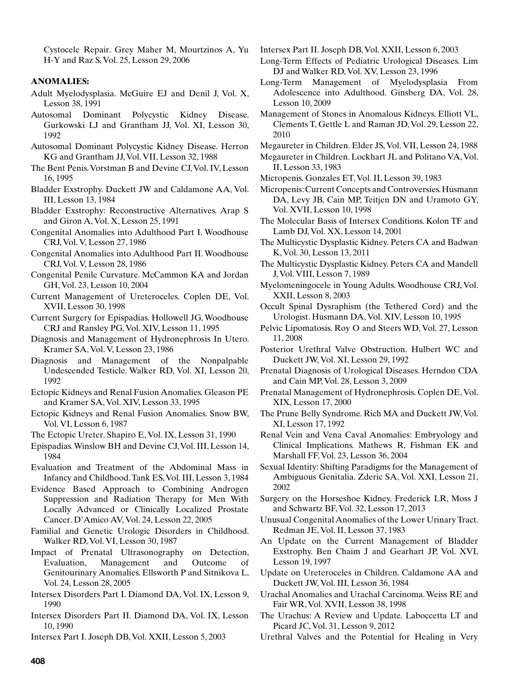Cystocele Repair. Grey Maher M, Mourtzinos A, Yu H-Y and Raz S, Vol. 25, Lesson 29, 2006

### **ANOMALIES:**

- Adult Myelodysplasia. McGuire EJ and Denil J, Vol. X, Lesson 38, 1991
- Autosomal Dominant Polycystic Kidney Disease. Gurkowski LJ and Grantham JJ, Vol. XI, Lesson 30, 1992
- Autosomal Dominant Polycystic Kidney Disease. Herron KG and Grantham JJ, Vol. VII, Lesson 32, 1988
- The Bent Penis. Vorstman B and Devine CJ, Vol. IV, Lesson 16, 1995
- Bladder Exstrophy. Duckett JW and Caldamone AA, Vol. III, Lesson 13, 1984
- Bladder Exstrophy: Reconstructive Alternatives. Arap S and Giron A, Vol. X, Lesson 25, 1991
- Congenital Anomalies into Adulthood Part I. Woodhouse CRJ, Vol. V, Lesson 27, 1986
- Congenital Anomalies into Adulthood Part II. Woodhouse CRJ, Vol. V, Lesson 28, 1986
- Congenital Penile Curvature. McCammon KA and Jordan GH, Vol. 23, Lesson 10, 2004
- Current Management of Ureteroceles. Coplen DE, Vol. XVII, Lesson 30, 1998
- Current Surgery for Epispadias. Hollowell JG, Woodhouse CRJ and Ransley PG, Vol. XIV, Lesson 11, 1995
- Diagnosis and Management of Hydronephrosis In Utero. Kramer SA, Vol. V, Lesson 23, 1986
- Diagnosis and Management of the Nonpalpable Undescended Testicle. Walker RD, Vol. XI, Lesson 20, 1992
- Ectopic Kidneys and Renal Fusion Anomalies. Gleason PE and Kramer SA, Vol. XIV, Lesson 33, 1995
- Ectopic Kidneys and Renal Fusion Anomalies. Snow BW, Vol. VI, Lesson 6, 1987
- The Ectopic Ureter. Shapiro E, Vol. IX, Lesson 31, 1990
- Epispadias. Winslow BH and Devine CJ, Vol. III, Lesson 14, 1984
- Evaluation and Treatment of the Abdominal Mass in Infancy and Childhood. Tank ES, Vol. III, Lesson 3, 1984
- Evidence Based Approach to Combining Androgen Suppression and Radiation Therapy for Men With Locally Advanced or Clinically Localized Prostate Cancer. D'Amico AV, Vol. 24, Lesson 22, 2005
- Familial and Genetic Urologic Disorders in Childhood. Walker RD, Vol. VI, Lesson 30, 1987
- Impact of Prenatal Ultrasonography on Detection, Evaluation, Management and Outcome of Genitourinary Anomalies. Ellsworth P and Sitnikova L, Vol. 24, Lesson 28, 2005
- Intersex Disorders Part I. Diamond DA, Vol. IX, Lesson 9, 1990
- Intersex Disorders Part II. Diamond DA, Vol. IX, Lesson 10, 1990
- Intersex Part I. Joseph DB, Vol. XXII, Lesson 5, 2003

Intersex Part II. Joseph DB, Vol. XXII, Lesson 6, 2003

- Long-Term Effects of Pediatric Urological Diseases. Lim DJ and Walker RD, Vol. XV, Lesson 23, 1996
- Long-Term Management of Myelodysplasia From Adolescence into Adulthood. Ginsberg DA, Vol. 28, Lesson 10, 2009
- Management of Stones in Anomalous Kidneys. Elliott VL, Clements T, Gettle L and Raman JD, Vol. 29, Lesson 22, 2010
- Megaureter in Children. Elder JS, Vol. VII, Lesson 24, 1988
- Megaureter in Children. Lockhart JL and Politano VA, Vol. II, Lesson 33, 1983
- Micropenis. Gonzales ET, Vol. II, Lesson 39, 1983
- Micropenis: Current Concepts and Controversies. Husmann DA, Levy JB, Cain MP, Teitjen DN and Uramoto GY, Vol. XVII, Lesson 10, 1998
- The Molecular Basis of Intersex Conditions. Kolon TF and Lamb DJ, Vol. XX, Lesson 14, 2001
- The Multicystic Dysplastic Kidney. Peters CA and Badwan K, Vol. 30, Lesson 13, 2011
- The Multicystic Dysplastic Kidney. Peters CA and Mandell J, Vol. VIII, Lesson 7, 1989
- Myelomeningocele in Young Adults. Woodhouse CRJ, Vol. XXII, Lesson 8, 2003
- Occult Spinal Dysraphism (the Tethered Cord) and the Urologist. Husmann DA, Vol. XIV, Lesson 10, 1995
- Pelvic Lipomatosis. Roy O and Steers WD, Vol. 27, Lesson 11, 2008
- Posterior Urethral Valve Obstruction. Hulbert WC and Duckett JW, Vol. XI, Lesson 29, 1992
- Prenatal Diagnosis of Urological Diseases. Herndon CDA and Cain MP, Vol. 28, Lesson 3, 2009
- Prenatal Management of Hydronephrosis. Coplen DE, Vol. XIX, Lesson 17, 2000
- The Prune Belly Syndrome. Rich MA and Duckett JW, Vol. XI, Lesson 17, 1992
- Renal Vein and Vena Caval Anomalies: Embryology and Clinical Implications. Mathews R, Fishman EK and Marshall FF, Vol. 23, Lesson 36, 2004
- Sexual Identity: Shifting Paradigms for the Management of Ambiguous Genitalia. Zderic SA, Vol. XXI, Lesson 21, 2002
- Surgery on the Horseshoe Kidney. Frederick LR, Moss J and Schwartz BF, Vol. 32, Lesson 17, 2013
- Unusual Congenital Anomalies of the Lower Urinary Tract. Redman JE, Vol. II, Lesson 37, 1983
- An Update on the Current Management of Bladder Exstrophy. Ben Chaim J and Gearhart JP, Vol. XVI, Lesson 19, 1997
- Update on Ureteroceles in Children. Caldamone AA and Duckett JW, Vol. III, Lesson 36, 1984
- Urachal Anomalies and Urachal Carcinoma. Weiss RE and Fair WR, Vol. XVII, Lesson 38, 1998
- The Urachus: A Review and Update. Laboccetta LT and Picard JC, Vol. 31, Lesson 9, 2012
- Urethral Valves and the Potential for Healing in Very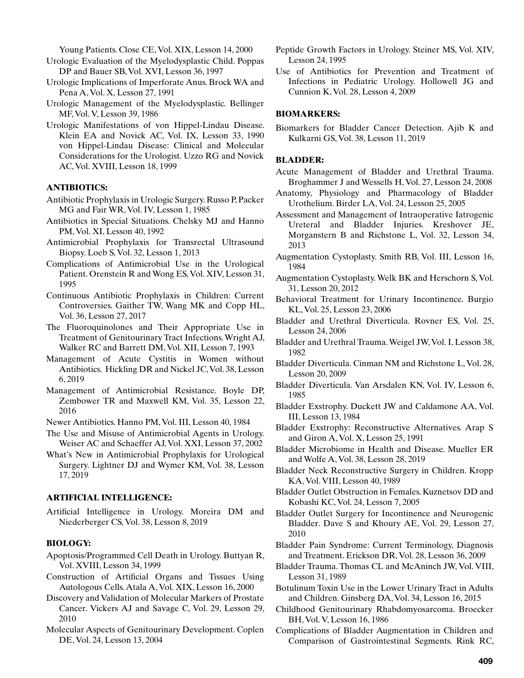Young Patients. Close CE, Vol. XIX, Lesson 14, 2000

- Urologic Evaluation of the Myelodysplastic Child. Poppas DP and Bauer SB, Vol. XVI, Lesson 36, 1997
- Urologic Implications of Imperforate Anus. Brock WA and Pena A, Vol. X, Lesson 27, 1991
- Urologic Management of the Myelodysplastic. Bellinger MF, Vol. V, Lesson 39, 1986
- Urologic Manifestations of von Hippel-Lindau Disease. Klein EA and Novick AC, Vol. IX, Lesson 33, 1990 von Hippel-Lindau Disease: Clinical and Molecular Considerations for the Urologist. Uzzo RG and Novick AC, Vol. XVIII, Lesson 18, 1999

# **ANTIBIOTICS:**

- Antibiotic Prophylaxis in Urologic Surgery. Russo P, Packer MG and Fair WR, Vol. IV, Lesson 1, 1985
- Antibiotics in Special Situations. Chelsky MJ and Hanno PM, Vol. XI, Lesson 40, 1992
- Antimicrobial Prophylaxis for Transrectal Ultrasound Biopsy. Loeb S, Vol. 32, Lesson 1, 2013
- Complications of Antimicrobial Use in the Urological Patient. Orenstein R and Wong ES, Vol. XIV, Lesson 31, 1995
- Continuous Antibiotic Prophylaxis in Children: Current Controversies. Gaither TW, Wang MK and Copp HL, Vol. 36, Lesson 27, 2017
- The Fluoroquinolones and Their Appropriate Use in Treatment of Genitourinary Tract Infections. Wright AJ, Walker RC and Barrett DM, Vol. XII, Lesson 7, 1993
- Management of Acute Cystitis in Women without Antibiotics. Hickling DR and Nickel JC, Vol. 38, Lesson 6, 2019
- Management of Antimicrobial Resistance. Boyle DP, Zembower TR and Maxwell KM, Vol. 35, Lesson 22, 2016

Newer Antibiotics. Hanno PM, Vol. III, Lesson 40, 1984

- The Use and Misuse of Antimicrobial Agents in Urology. Weiser AC and Schaeffer AJ, Vol. XXI, Lesson 37, 2002
- What's New in Antimicrobial Prophylaxis for Urological Surgery. Lightner DJ and Wymer KM, Vol. 38, Lesson 17, 2019

#### **ARTIFICIAL INTELLIGENCE:**

Artificial Intelligence in Urology. Moreira DM and Niederberger CS, Vol. 38, Lesson 8, 2019

### **BIOLOGY:**

- Apoptosis/Programmed Cell Death in Urology. Buttyan R, Vol. XVIII, Lesson 34, 1999
- Construction of Artificial Organs and Tissues Using Autologous Cells. Atala A, Vol. XIX, Lesson 16, 2000
- Discovery and Validation of Molecular Markers of Prostate Cancer. Vickers AJ and Savage C, Vol. 29, Lesson 29, 2010
- Molecular Aspects of Genitourinary Development. Coplen DE, Vol. 24, Lesson 13, 2004
- Peptide Growth Factors in Urology. Steiner MS, Vol. XIV, Lesson 24, 1995
- Use of Antibiotics for Prevention and Treatment of Infections in Pediatric Urology. Hollowell JG and Cunnion K, Vol. 28, Lesson 4, 2009

#### **BIOMARKERS:**

Biomarkers for Bladder Cancer Detection. Ajib K and Kulkarni GS, Vol. 38, Lesson 11, 2019

# **BLADDER:**

- Acute Management of Bladder and Urethral Trauma. Broghammer J and Wessells H, Vol. 27, Lesson 24, 2008
- Anatomy, Physiology and Pharmacology of Bladder Urothelium. Birder LA, Vol. 24, Lesson 25, 2005
- Assessment and Management of Intraoperative Iatrogenic Ureteral and Bladder Injuries. Kreshover JE, Morganstern B and Richstone L, Vol. 32, Lesson 34, 2013
- Augmentation Cystoplasty. Smith RB, Vol. III, Lesson 16, 1984
- Augmentation Cystoplasty. Welk BK and Herschorn S, Vol. 31, Lesson 20, 2012
- Behavioral Treatment for Urinary Incontinence. Burgio KL, Vol. 25, Lesson 23, 2006
- Bladder and Urethral Diverticula. Rovner ES, Vol. 25, Lesson 24, 2006
- Bladder and Urethral Trauma. Weigel JW, Vol. I, Lesson 38, 1982
- Bladder Diverticula. Cinman NM and Richstone L, Vol. 28, Lesson 20, 2009
- Bladder Diverticula. Van Arsdalen KN, Vol. IV, Lesson 6, 1985
- Bladder Exstrophy. Duckett JW and Caldamone AA, Vol. III, Lesson 13, 1984
- Bladder Exstrophy: Reconstructive Alternatives. Arap S and Giron A, Vol. X, Lesson 25, 1991
- Bladder Microbiome in Health and Disease. Mueller ER and Wolfe A, Vol. 38, Lesson 28, 2019
- Bladder Neck Reconstructive Surgery in Children. Kropp KA, Vol. VIII, Lesson 40, 1989
- Bladder Outlet Obstruction in Females. Kuznetsov DD and Kobashi KC, Vol. 24, Lesson 7, 2005
- Bladder Outlet Surgery for Incontinence and Neurogenic Bladder. Dave S and Khoury AE, Vol. 29, Lesson 27, 2010
- Bladder Pain Syndrome: Current Terminology, Diagnosis and Treatment. Erickson DR, Vol. 28, Lesson 36, 2009
- Bladder Trauma. Thomas CL and McAninch JW, Vol. VIII, Lesson 31, 1989
- Botulinum Toxin Use in the Lower Urinary Tract in Adults and Children. Ginsberg DA, Vol. 34, Lesson 16, 2015
- Childhood Genitourinary Rhabdomyosarcoma. Broecker BH, Vol. V, Lesson 16, 1986
- Complications of Bladder Augmentation in Children and Comparison of Gastrointestinal Segments. Rink RC,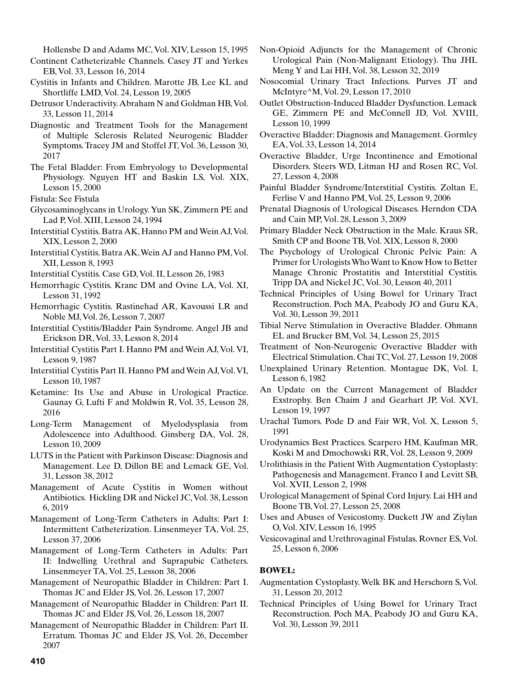Hollensbe D and Adams MC, Vol. XIV, Lesson 15, 1995

- Continent Catheterizable Channels. Casey JT and Yerkes EB, Vol. 33, Lesson 16, 2014
- Cystitis in Infants and Children. Marotte JB, Lee KL and Shortliffe LMD, Vol. 24, Lesson 19, 2005
- Detrusor Underactivity. Abraham N and Goldman HB, Vol. 33, Lesson 11, 2014
- Diagnostic and Treatment Tools for the Management of Multiple Sclerosis Related Neurogenic Bladder Symptoms. Tracey JM and Stoffel JT, Vol. 36, Lesson 30, 2017
- The Fetal Bladder: From Embryology to Developmental Physiology. Nguyen HT and Baskin LS, Vol. XIX, Lesson 15, 2000
- Fistula: See Fistula
- Glycosaminoglycans in Urology. Yun SK, Zimmern PE and Lad P, Vol. XIII, Lesson 24, 1994
- Interstitial Cystitis. Batra AK, Hanno PM and Wein AJ, Vol. XIX, Lesson 2, 2000
- Interstitial Cystitis. Batra AK, Wein AJ and Hanno PM, Vol. XII, Lesson 8, 1993
- Interstitial Cystitis. Case GD, Vol. II, Lesson 26, 1983
- Hemorrhagic Cystitis. Kranc DM and Ovine LA, Vol. XI, Lesson 31, 1992
- Hemorrhagic Cystitis. Rastinehad AR, Kavoussi LR and Noble MJ, Vol. 26, Lesson 7, 2007
- Interstitial Cystitis/Bladder Pain Syndrome. Angel JB and Erickson DR, Vol. 33, Lesson 8, 2014
- Interstitial Cystitis Part I. Hanno PM and Wein AJ, Vol. VI, Lesson 9, 1987
- Interstitial Cystitis Part II. Hanno PM and Wein AJ, Vol. VI, Lesson 10, 1987
- Ketamine: Its Use and Abuse in Urological Practice. Gaunay G, Lufti F and Moldwin R, Vol. 35, Lesson 28, 2016
- Long-Term Management of Myelodysplasia from Adolescence into Adulthood. Ginsberg DA, Vol. 28, Lesson 10, 2009
- LUTS in the Patient with Parkinson Disease: Diagnosis and Management. Lee D, Dillon BE and Lemack GE, Vol. 31, Lesson 38, 2012
- Management of Acute Cystitis in Women without Antibiotics. Hickling DR and Nickel JC, Vol. 38, Lesson 6, 2019
- Management of Long-Term Catheters in Adults: Part I: Intermittent Catheterization. Linsenmeyer TA, Vol. 25, Lesson 37, 2006
- Management of Long-Term Catheters in Adults: Part II: Indwelling Urethral and Suprapubic Catheters. Linsenmeyer TA, Vol. 25, Lesson 38, 2006
- Management of Neuropathic Bladder in Children: Part I. Thomas JC and Elder JS, Vol. 26, Lesson 17, 2007
- Management of Neuropathic Bladder in Children: Part II. Thomas JC and Elder JS, Vol. 26, Lesson 18, 2007
- Management of Neuropathic Bladder in Children: Part II. Erratum. Thomas JC and Elder JS, Vol. 26, December 2007
- Non-Opioid Adjuncts for the Management of Chronic Urological Pain (Non-Malignant Etiology). Thu JHL Meng Y and Lai HH, Vol. 38, Lesson 32, 2019
- Nosocomial Urinary Tract Infections. Purves JT and McIntyre^M, Vol. 29, Lesson 17, 2010
- Outlet Obstruction-Induced Bladder Dysfunction. Lemack GE, Zimmern PE and McConnell JD, Vol. XVIII, Lesson 10, 1999
- Overactive Bladder: Diagnosis and Management. Gormley EA, Vol. 33, Lesson 14, 2014
- Overactive Bladder, Urge Incontinence and Emotional Disorders. Steers WD, Litman HJ and Rosen RC, Vol. 27, Lesson 4, 2008
- Painful Bladder Syndrome/Interstitial Cystitis. Zoltan E, Ferlise V and Hanno PM, Vol. 25, Lesson 9, 2006
- Prenatal Diagnosis of Urological Diseases. Herndon CDA and Cain MP, Vol. 28, Lesson 3, 2009
- Primary Bladder Neck Obstruction in the Male. Kraus SR, Smith CP and Boone TB, Vol. XIX, Lesson 8, 2000
- The Psychology of Urological Chronic Pelvic Pain: A Primer for Urologists Who Want to Know How to Better Manage Chronic Prostatitis and Interstitial Cystitis. Tripp DA and Nickel JC, Vol. 30, Lesson 40, 2011
- Technical Principles of Using Bowel for Urinary Tract Reconstruction. Poch MA, Peabody JO and Guru KA, Vol. 30, Lesson 39, 2011
- Tibial Nerve Stimulation in Overactive Bladder. Ohmann EL and Brucker BM, Vol. 34, Lesson 25, 2015
- Treatment of Non-Neurogenic Overactive Bladder with Electrical Stimulation. Chai TC, Vol. 27, Lesson 19, 2008
- Unexplained Urinary Retention. Montague DK, Vol. I, Lesson 6, 1982
- An Update on the Current Management of Bladder Exstrophy. Ben Chaim J and Gearhart JP, Vol. XVI, Lesson 19, 1997
- Urachal Tumors. Pode D and Fair WR, Vol. X, Lesson 5, 1991
- Urodynamics Best Practices. Scarpero HM, Kaufman MR, Koski M and Dmochowski RR, Vol. 28, Lesson 9, 2009
- Urolithiasis in the Patient With Augmentation Cystoplasty: Pathogenesis and Management. Franco I and Levitt SB, Vol. XVII, Lesson 2, 1998
- Urological Management of Spinal Cord Injury. Lai HH and Boone TB, Vol. 27, Lesson 25, 2008
- Uses and Abuses of Vesicostomy. Duckett JW and Ziylan O, Vol. XIV, Lesson 16, 1995
- Vesicovaginal and Urethrovaginal Fistulas. Rovner ES, Vol. 25, Lesson 6, 2006

# **BOWEL:**

- Augmentation Cystoplasty. Welk BK and Herschorn S, Vol. 31, Lesson 20, 2012
- Technical Principles of Using Bowel for Urinary Tract Reconstruction. Poch MA, Peabody JO and Guru KA, Vol. 30, Lesson 39, 2011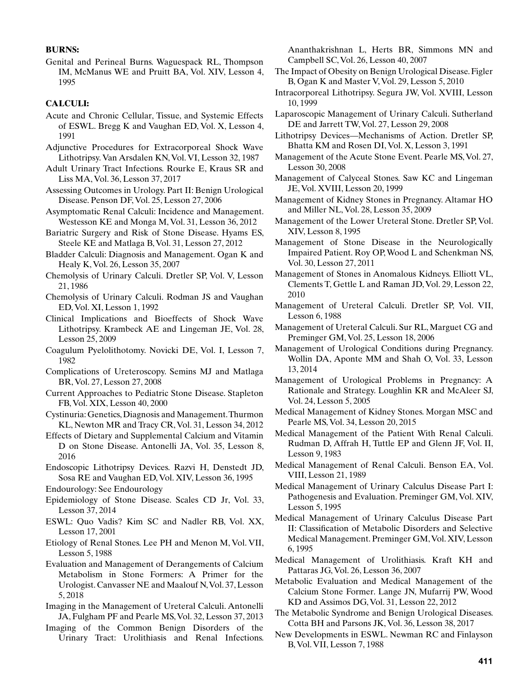#### **BURNS:**

Genital and Perineal Burns. Waguespack RL, Thompson IM, McManus WE and Pruitt BA, Vol. XIV, Lesson 4, 1995

# **CALCULI:**

- Acute and Chronic Cellular, Tissue, and Systemic Effects of ESWL. Bregg K and Vaughan ED, Vol. X, Lesson 4, 1991
- Adjunctive Procedures for Extracorporeal Shock Wave Lithotripsy. Van Arsdalen KN, Vol. VI, Lesson 32, 1987
- Adult Urinary Tract Infections. Rourke E, Kraus SR and Liss MA, Vol. 36, Lesson 37, 2017
- Assessing Outcomes in Urology. Part II: Benign Urological Disease. Penson DF, Vol. 25, Lesson 27, 2006
- Asymptomatic Renal Calculi: Incidence and Management. Westesson KE and Monga M, Vol. 31, Lesson 36, 2012
- Bariatric Surgery and Risk of Stone Disease. Hyams ES, Steele KE and Matlaga B, Vol. 31, Lesson 27, 2012
- Bladder Calculi: Diagnosis and Management. Ogan K and Healy K, Vol. 26, Lesson 35, 2007
- Chemolysis of Urinary Calculi. Dretler SP, Vol. V, Lesson 21, 1986
- Chemolysis of Urinary Calculi. Rodman JS and Vaughan ED, Vol. XI, Lesson 1, 1992
- Clinical Implications and Bioeffects of Shock Wave Lithotripsy. Krambeck AE and Lingeman JE, Vol. 28, Lesson 25, 2009
- Coagulum Pyelolithotomy. Novicki DE, Vol. I, Lesson 7, 1982
- Complications of Ureteroscopy. Semins MJ and Matlaga BR, Vol. 27, Lesson 27, 2008
- Current Approaches to Pediatric Stone Disease. Stapleton FB, Vol. XIX, Lesson 40, 2000
- Cystinuria: Genetics, Diagnosis and Management. Thurmon KL, Newton MR and Tracy CR, Vol. 31, Lesson 34, 2012
- Effects of Dietary and Supplemental Calcium and Vitamin D on Stone Disease. Antonelli JA, Vol. 35, Lesson 8, 2016
- Endoscopic Lithotripsy Devices. Razvi H, Denstedt JD, Sosa RE and Vaughan ED, Vol. XIV, Lesson 36, 1995
- Endourology: See Endourology
- Epidemiology of Stone Disease. Scales CD Jr, Vol. 33, Lesson 37, 2014
- ESWL: Quo Vadis? Kim SC and Nadler RB, Vol. XX, Lesson 17, 2001
- Etiology of Renal Stones. Lee PH and Menon M, Vol. VII, Lesson 5, 1988
- Evaluation and Management of Derangements of Calcium Metabolism in Stone Formers: A Primer for the Urologist. Canvasser NE and Maalouf N, Vol. 37, Lesson 5, 2018
- Imaging in the Management of Ureteral Calculi. Antonelli JA, Fulgham PF and Pearle MS, Vol. 32, Lesson 37, 2013
- Imaging of the Common Benign Disorders of the Urinary Tract: Urolithiasis and Renal Infections.

Ananthakrishnan L, Herts BR, Simmons MN and Campbell SC, Vol. 26, Lesson 40, 2007

- The Impact of Obesity on Benign Urological Disease. Figler B, Ogan K and Master V, Vol. 29, Lesson 5, 2010
- Intracorporeal Lithotripsy. Segura JW, Vol. XVIII, Lesson 10, 1999
- Laparoscopic Management of Urinary Calculi. Sutherland DE and Jarrett TW, Vol. 27, Lesson 29, 2008
- Lithotripsy Devices—Mechanisms of Action. Dretler SP, Bhatta KM and Rosen DI, Vol. X, Lesson 3, 1991
- Management of the Acute Stone Event. Pearle MS, Vol. 27, Lesson 30, 2008
- Management of Calyceal Stones. Saw KC and Lingeman JE, Vol. XVIII, Lesson 20, 1999
- Management of Kidney Stones in Pregnancy. Altamar HO and Miller NL, Vol. 28, Lesson 35, 2009
- Management of the Lower Ureteral Stone. Dretler SP, Vol. XIV, Lesson 8, 1995
- Management of Stone Disease in the Neurologically Impaired Patient. Roy OP, Wood L and Schenkman NS, Vol. 30, Lesson 27, 2011
- Management of Stones in Anomalous Kidneys. Elliott VL, Clements T, Gettle L and Raman JD, Vol. 29, Lesson 22, 2010
- Management of Ureteral Calculi. Dretler SP, Vol. VII, Lesson 6, 1988
- Management of Ureteral Calculi. Sur RL, Marguet CG and Preminger GM, Vol. 25, Lesson 18, 2006
- Management of Urological Conditions during Pregnancy. Wollin DA, Aponte MM and Shah O, Vol. 33, Lesson 13, 2014
- Management of Urological Problems in Pregnancy: A Rationale and Strategy. Loughlin KR and McAleer SJ, Vol. 24, Lesson 5, 2005
- Medical Management of Kidney Stones. Morgan MSC and Pearle MS, Vol. 34, Lesson 20, 2015
- Medical Management of the Patient With Renal Calculi. Rudman D, Affrah H, Tuttle EP and Glenn JF, Vol. II, Lesson 9, 1983
- Medical Management of Renal Calculi. Benson EA, Vol. VIII, Lesson 21, 1989
- Medical Management of Urinary Calculus Disease Part I: Pathogenesis and Evaluation. Preminger GM, Vol. XIV, Lesson 5, 1995
- Medical Management of Urinary Calculus Disease Part II: Classification of Metabolic Disorders and Selective Medical Management. Preminger GM, Vol. XIV, Lesson 6, 1995
- Medical Management of Urolithiasis. Kraft KH and Pattaras JG, Vol. 26, Lesson 36, 2007
- Metabolic Evaluation and Medical Management of the Calcium Stone Former. Lange JN, Mufarrij PW, Wood KD and Assimos DG, Vol. 31, Lesson 22, 2012
- The Metabolic Syndrome and Benign Urological Diseases. Cotta BH and Parsons JK, Vol. 36, Lesson 38, 2017
- New Developments in ESWL. Newman RC and Finlayson B, Vol. VII, Lesson 7, 1988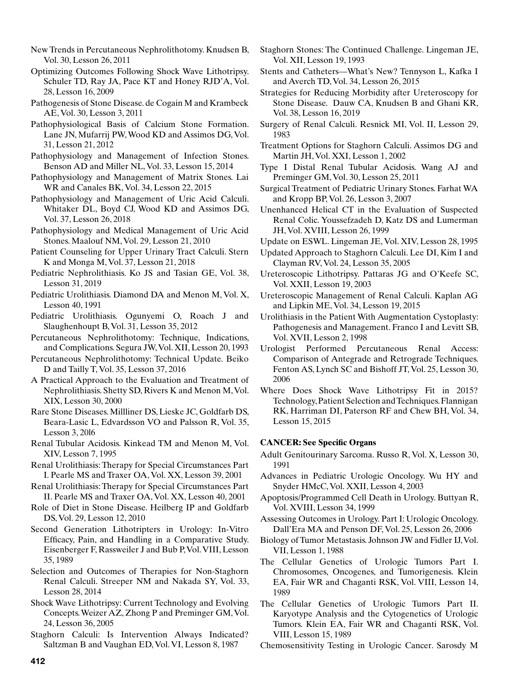- New Trends in Percutaneous Nephrolithotomy. Knudsen B, Vol. 30, Lesson 26, 2011
- Optimizing Outcomes Following Shock Wave Lithotripsy. Schuler TD, Ray JA, Pace KT and Honey RJD'A, Vol. 28, Lesson 16, 2009
- Pathogenesis of Stone Disease. de Cogain M and Krambeck AE, Vol. 30, Lesson 3, 2011
- Pathophysiological Basis of Calcium Stone Formation. Lane JN, Mufarrij PW, Wood KD and Assimos DG, Vol. 31, Lesson 21, 2012
- Pathophysiology and Management of Infection Stones. Benson AD and Miller NL, Vol. 33, Lesson 15, 2014
- Pathophysiology and Management of Matrix Stones. Lai WR and Canales BK, Vol. 34, Lesson 22, 2015
- Pathophysiology and Management of Uric Acid Calculi. Whitaker DL, Boyd CJ, Wood KD and Assimos DG, Vol. 37, Lesson 26, 2018
- Pathophysiology and Medical Management of Uric Acid Stones. Maalouf NM, Vol. 29, Lesson 21, 2010
- Patient Counseling for Upper Urinary Tract Calculi. Stern K and Monga M, Vol. 37, Lesson 21, 2018
- Pediatric Nephrolithiasis. Ko JS and Tasian GE, Vol. 38, Lesson 31, 2019
- Pediatric Urolithiasis. Diamond DA and Menon M, Vol. X, Lesson 40, 1991
- Pediatric Urolithiasis. Ogunyemi O, Roach J and Slaughenhoupt B, Vol. 31, Lesson 35, 2012
- Percutaneous Nephrolithotomy: Technique, Indications, and Complications. Segura JW, Vol. XII, Lesson 20, 1993
- Percutaneous Nephrolithotomy: Technical Update. Beiko D and Tailly T, Vol. 35, Lesson 37, 2016
- A Practical Approach to the Evaluation and Treatment of Nephrolithiasis. Shetty SD, Rivers K and Menon M, Vol. XIX, Lesson 30, 2000
- Rare Stone Diseases. Millliner DS, Lieske JC, Goldfarb DS, Beara-Lasic L, Edvardsson VO and Palsson R, Vol. 35, Lesson 3, 20l6
- Renal Tubular Acidosis. Kinkead TM and Menon M, Vol. XIV, Lesson 7, 1995
- Renal Urolithiasis: Therapy for Special Circumstances Part I. Pearle MS and Traxer OA, Vol. XX, Lesson 39, 2001
- Renal Urolithiasis: Therapy for Special Circumstances Part II. Pearle MS and Traxer OA, Vol. XX, Lesson 40, 2001
- Role of Diet in Stone Disease. Heilberg IP and Goldfarb DS, Vol. 29, Lesson 12, 2010
- Second Generation Lithotripters in Urology: In-Vitro Efficacy, Pain, and Handling in a Comparative Study. Eisenberger F, Rassweiler J and Bub P, Vol. VIII, Lesson 35, 1989
- Selection and Outcomes of Therapies for Non-Staghorn Renal Calculi. Streeper NM and Nakada SY, Vol. 33, Lesson 28, 2014
- Shock Wave Lithotripsy: Current Technology and Evolving Concepts. Weizer AZ, Zhong P and Preminger GM, Vol. 24, Lesson 36, 2005
- Staghorn Calculi: Is Intervention Always Indicated? Saltzman B and Vaughan ED, Vol. VI, Lesson 8, 1987
- Staghorn Stones: The Continued Challenge. Lingeman JE, Vol. XII, Lesson 19, 1993
- Stents and Catheters—What's New? Tennyson L, Kafka I and Averch TD, Vol. 34, Lesson 26, 2015
- Strategies for Reducing Morbidity after Ureteroscopy for Stone Disease. Dauw CA, Knudsen B and Ghani KR, Vol. 38, Lesson 16, 2019
- Surgery of Renal Calculi. Resnick MI, Vol. II, Lesson 29, 1983
- Treatment Options for Staghorn Calculi. Assimos DG and Martin JH, Vol. XXI, Lesson 1, 2002
- Type I Distal Renal Tubular Acidosis. Wang AJ and Preminger GM, Vol. 30, Lesson 25, 2011
- Surgical Treatment of Pediatric Urinary Stones. Farhat WA and Kropp BP, Vol. 26, Lesson 3, 2007
- Unenhanced Helical CT in the Evaluation of Suspected Renal Colic. Youssefzadeh D, Katz DS and Lumerman JH, Vol. XVIII, Lesson 26, 1999
- Update on ESWL. Lingeman JE, Vol. XIV, Lesson 28, 1995
- Updated Approach to Staghorn Calculi. Lee DI, Kim I and Clayman RV, Vol. 24, Lesson 35, 2005
- Ureteroscopic Lithotripsy. Pattaras JG and O'Keefe SC, Vol. XXII, Lesson 19, 2003
- Ureteroscopic Management of Renal Calculi. Kaplan AG and Lipkin ME, Vol. 34, Lesson 19, 2015
- Urolithiasis in the Patient With Augmentation Cystoplasty: Pathogenesis and Management. Franco I and Levitt SB, Vol. XVII, Lesson 2, 1998
- Urologist Performed Percutaneous Renal Access: Comparison of Antegrade and Retrograde Techniques. Fenton AS, Lynch SC and Bishoff JT, Vol. 25, Lesson 30, 2006
- Where Does Shock Wave Lithotripsy Fit in 2015? Technology, Patient Selection and Techniques. Flannigan RK, Harriman DI, Paterson RF and Chew BH, Vol. 34, Lesson 15, 2015

# **CANCER: See Specific Organs**

- Adult Genitourinary Sarcoma. Russo R, Vol. X, Lesson 30, 1991
- Advances in Pediatric Urologic Oncology. Wu HY and Snyder HMcC, Vol. XXII, Lesson 4, 2003
- Apoptosis/Programmed Cell Death in Urology. Buttyan R, Vol. XVIII, Lesson 34, 1999
- Assessing Outcomes in Urology. Part I: Urologic Oncology. Dall'Era MA and Penson DF, Vol. 25, Lesson 26, 2006
- Biology of Tumor Metastasis. Johnson JW and Fidler IJ, Vol. VII, Lesson 1, 1988
- The Cellular Genetics of Urologic Tumors Part I. Chromosomes, Oncogenes, and Tumorigenesis. Klein EA, Fair WR and Chaganti RSK, Vol. VIII, Lesson 14, 1989
- The Cellular Genetics of Urologic Tumors Part II. Karyotype Analysis and the Cytogenetics of Urologic Tumors. Klein EA, Fair WR and Chaganti RSK, Vol. VIII, Lesson 15, 1989
- Chemosensitivity Testing in Urologic Cancer. Sarosdy M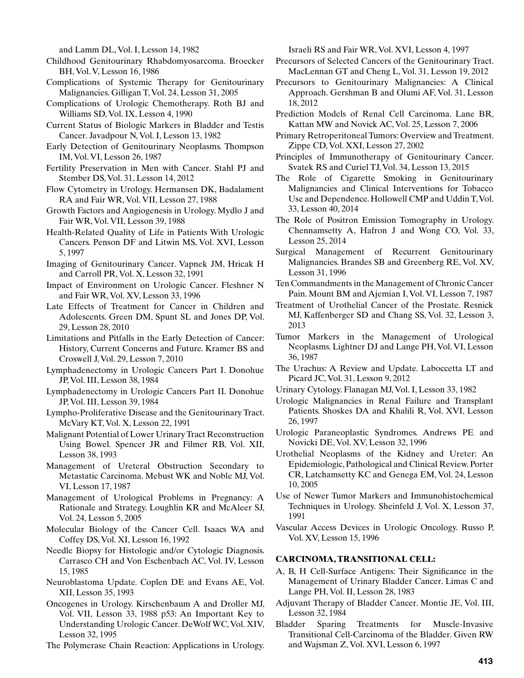and Lamm DL, Vol. I, Lesson 14, 1982

- Childhood Genitourinary Rhabdomyosarcoma. Broecker BH, Vol. V, Lesson 16, 1986
- Complications of Systemic Therapy for Genitourinary Malignancies. Gilligan T, Vol. 24, Lesson 31, 2005
- Complications of Urologic Chemotherapy. Roth BJ and Williams SD, Vol. IX, Lesson 4, 1990
- Current Status of Biologic Markers in Bladder and Testis Cancer. Javadpour N, Vol. I, Lesson 13, 1982
- Early Detection of Genitourinary Neoplasms. Thompson IM, Vol. VI, Lesson 26, 1987
- Fertility Preservation in Men with Cancer. Stahl PJ and Stember DS, Vol. 31, Lesson 14, 2012
- Flow Cytometry in Urology. Hermansen DK, Badalament RA and Fair WR, Vol. VII, Lesson 27, 1988
- Growth Factors and Angiogenesis in Urology. Mydlo J and Fair WR, Vol. VII, Lesson 39, 1988
- Health-Related Quality of Life in Patients With Urologic Cancers. Penson DF and Litwin MS, Vol. XVI, Lesson 5, 1997
- Imaging of Genitourinary Cancer. Vapnek JM, Hricak H and Carroll PR, Vol. X, Lesson 32, 1991
- Impact of Environment on Urologic Cancer. Fleshner N and Fair WR, Vol. XV, Lesson 33, 1996
- Late Effects of Treatment for Cancer in Children and Adolescents. Green DM, Spunt SL and Jones DP, Vol. 29, Lesson 28, 2010
- Limitations and Pitfalls in the Early Detection of Cancer: History, Current Concerns and Future. Kramer BS and Croswell J, Vol. 29, Lesson 7, 2010
- Lymphadenectomy in Urologic Cancers Part I. Donohue JP, Vol. III, Lesson 38, 1984
- Lymphadenectomy in Urologic Cancers Part II. Donohue JP, Vol. III, Lesson 39, 1984
- Lympho-Proliferative Disease and the Genitourinary Tract. McVary KT, Vol. X, Lesson 22, 1991
- Malignant Potential of Lower Urinary Tract Reconstruction Using Bowel. Spencer JR and Filmer RB, Vol. XII, Lesson 38, 1993
- Management of Ureteral Obstruction Secondary to Metastatic Carcinoma. Mebust WK and Noble MJ, Vol. VI, Lesson 17, 1987
- Management of Urological Problems in Pregnancy: A Rationale and Strategy. Loughlin KR and McAleer SJ, Vol. 24, Lesson 5, 2005
- Molecular Biology of the Cancer Cell. Isaacs WA and Coffey DS, Vol. XI, Lesson 16, 1992
- Needle Biopsy for Histologic and/or Cytologic Diagnosis. Carrasco CH and Von Eschenbach AC, Vol. IV, Lesson 15, 1985
- Neuroblastoma Update. Coplen DE and Evans AE, Vol. XII, Lesson 35, 1993
- Oncogenes in Urology. Kirschenbaum A and Droller MJ, Vol. VII, Lesson 33, 1988 p53: An Important Key to Understanding Urologic Cancer. DeWolf WC, Vol. XIV, Lesson 32, 1995
- The Polymerase Chain Reaction: Applications in Urology.

Israeli RS and Fair WR, Vol. XVI, Lesson 4, 1997

- Precursors of Selected Cancers of the Genitourinary Tract. MacLennan GT and Cheng L, Vol. 31, Lesson 19, 2012
- Precursors to Genitourinary Malignancies: A Clinical Approach. Gershman B and Olumi AF, Vol. 31, Lesson 18, 2012
- Prediction Models of Renal Cell Carcinoma. Lane BR, Kattan MW and Novick AC, Vol. 25, Lesson 7, 2006
- Primary Retroperitoneal Tumors: Overview and Treatment. Zippe CD, Vol. XXI, Lesson 27, 2002
- Principles of Immunotherapy of Genitourinary Cancer. Svatek RS and Curiel TJ, Vol. 34, Lesson 13, 2015
- The Role of Cigarette Smoking in Genitourinary Malignancies and Clinical Interventions for Tobacco Use and Dependence. Hollowell CMP and Uddin T, Vol. 33, Lesson 40, 2014
- The Role of Positron Emission Tomography in Urology. Chennamsetty A, Hafron J and Wong CO, Vol. 33, Lesson 25, 2014
- Surgical Management of Recurrent Genitourinary Malignancies. Brandes SB and Greenberg RE, Vol. XV, Lesson 31, 1996
- Ten Commandments in the Management of Chronic Cancer Pain. Mount BM and Ajemian I, Vol. VI, Lesson 7, 1987
- Treatment of Urothelial Cancer of the Prostate. Resnick MJ, Kaffenberger SD and Chang SS, Vol. 32, Lesson 3, 2013
- Tumor Markers in the Management of Urological Neoplasms. Lightner DJ and Lange PH, Vol. VI, Lesson 36, 1987
- The Urachus: A Review and Update. Laboccetta LT and Picard JC, Vol. 31, Lesson 9, 2012
- Urinary Cytology. Flanagan MJ, Vol. I, Lesson 33, 1982
- Urologic Malignancies in Renal Failure and Transplant Patients. Shoskes DA and Khalili R, Vol. XVI, Lesson 26, 1997
- Urologic Paraneoplastic Syndromes. Andrews PE and Novicki DE, Vol. XV, Lesson 32, 1996
- Urothelial Neoplasms of the Kidney and Ureter: An Epidemiologic, Pathological and Clinical Review. Porter CR, Latchamsetty KC and Genega EM, Vol. 24, Lesson 10, 2005
- Use of Newer Tumor Markers and Immunohistochemical Techniques in Urology. Sheinfeld J, Vol. X, Lesson 37, 1991
- Vascular Access Devices in Urologic Oncology. Russo P, Vol. XV, Lesson 15, 1996

### **CARCINOMA, TRANSITIONAL CELL:**

- A, B, H Cell-Surface Antigens: Their Significance in the Management of Urinary Bladder Cancer. Limas C and Lange PH, Vol. II, Lesson 28, 1983
- Adjuvant Therapy of Bladder Cancer. Montie JE, Vol. III, Lesson 32, 1984
- Bladder Sparing Treatments for Muscle-Invasive Transitional Cell-Carcinoma of the Bladder. Given RW and Wajsman Z, Vol. XVI, Lesson 6, 1997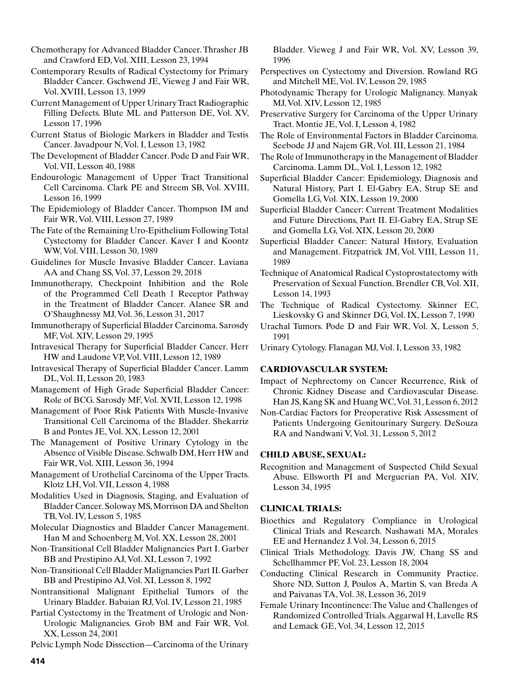Chemotherapy for Advanced Bladder Cancer. Thrasher JB and Crawford ED, Vol. XIII, Lesson 23, 1994

Contemporary Results of Radical Cystectomy for Primary Bladder Cancer. Gschwend JE, Vieweg J and Fair WR, Vol. XVIII, Lesson 13, 1999

Current Management of Upper Urinary Tract Radiographic Filling Defects. Blute ML and Patterson DE, Vol. XV, Lesson 17, 1996

- Current Status of Biologic Markers in Bladder and Testis Cancer. Javadpour N, Vol. I, Lesson 13, 1982
- The Development of Bladder Cancer. Pode D and Fair WR, Vol. VII, Lesson 40, 1988
- Endourologic Management of Upper Tract Transitional Cell Carcinoma. Clark PE and Streem SB, Vol. XVIII, Lesson 16, 1999
- The Epidemiology of Bladder Cancer. Thompson IM and Fair WR, Vol. VIII, Lesson 27, 1989
- The Fate of the Remaining Uro-Epithelium Following Total Cystectomy for Bladder Cancer. Kaver I and Koontz WW, Vol. VIII, Lesson 30, 1989
- Guidelines for Muscle Invasive Bladder Cancer. Laviana AA and Chang SS, Vol. 37, Lesson 29, 2018
- Immunotherapy, Checkpoint Inhibition and the Role of the Programmed Cell Death 1 Receptor Pathway in the Treatment of Bladder Cancer. Alanee SR and O'Shaughnessy MJ, Vol. 36, Lesson 31, 2017
- Immunotherapy of Superficial Bladder Carcinoma. Sarosdy MF, Vol. XIV, Lesson 29, 1995
- Intravesical Therapy for Superficial Bladder Cancer. Herr HW and Laudone VP, Vol. VIII, Lesson 12, 1989
- Intravesical Therapy of Superficial Bladder Cancer. Lamm DL, Vol. II, Lesson 20, 1983
- Management of High Grade Superficial Bladder Cancer: Role of BCG. Sarosdy MF, Vol. XVII, Lesson 12, 1998
- Management of Poor Risk Patients With Muscle-Invasive Transitional Cell Carcinoma of the Bladder. Shekarriz B and Pontes JE, Vol. XX, Lesson 12, 2001
- The Management of Positive Urinary Cytology in the Absence of Visible Disease. Schwalb DM, Herr HW and Fair WR, Vol. XIII, Lesson 36, 1994
- Management of Urothelial Carcinoma of the Upper Tracts. Klotz LH, Vol. VII, Lesson 4, 1988
- Modalities Used in Diagnosis, Staging, and Evaluation of Bladder Cancer. Soloway MS, Morrison DA and Shelton TB, Vol. IV, Lesson 5, 1985
- Molecular Diagnostics and Bladder Cancer Management. Han M and Schoenberg M, Vol. XX, Lesson 28, 2001
- Non-Transitional Cell Bladder Malignancies Part I. Garber BB and Prestipino AJ, Vol. XI, Lesson 7, 1992
- Non-Transitional Cell Bladder Malignancies Part II. Garber BB and Prestipino AJ, Vol. XI, Lesson 8, 1992
- Nontransitional Malignant Epithelial Tumors of the Urinary Bladder. Babaian RJ, Vol. IV, Lesson 21, 1985
- Partial Cystectomy in the Treatment of Urologic and Non-Urologic Malignancies. Grob BM and Fair WR, Vol. XX, Lesson 24, 2001

Pelvic Lymph Node Dissection—Carcinoma of the Urinary

Bladder. Vieweg J and Fair WR, Vol. XV, Lesson 39, 1996

- Perspectives on Cystectomy and Diversion. Rowland RG and Mitchell ME, Vol. IV, Lesson 29, 1985
- Photodynamic Therapy for Urologic Malignancy. Manyak MJ, Vol. XIV, Lesson 12, 1985
- Preservative Surgery for Carcinoma of the Upper Urinary Tract. Montie JE, Vol. I, Lesson 4, 1982
- The Role of Environmental Factors in Bladder Carcinoma. Seebode JJ and Najem GR, Vol. III, Lesson 21, 1984
- The Role of Immunotherapy in the Management of Bladder Carcinoma. Lamm DL, Vol. I, Lesson 12, 1982
- Superficial Bladder Cancer: Epidemiology, Diagnosis and Natural History, Part I. El-Gabry EA, Strup SE and Gomella LG, Vol. XIX, Lesson 19, 2000
- Superficial Bladder Cancer: Current Treatment Modalities and Future Directions, Part II. El-Gabry EA, Strup SE and Gomella LG, Vol. XIX, Lesson 20, 2000
- Superficial Bladder Cancer: Natural History, Evaluation and Management. Fitzpatrick JM, Vol. VIII, Lesson 11, 1989
- Technique of Anatomical Radical Cystoprostatectomy with Preservation of Sexual Function. Brendler CB, Vol. XII, Lesson 14, 1993
- The Technique of Radical Cystectomy. Skinner EC, Lieskovsky G and Skinner DG, Vol. IX, Lesson 7, 1990
- Urachal Tumors. Pode D and Fair WR, Vol. X, Lesson 5, 1991
- Urinary Cytology. Flanagan MJ, Vol. I, Lesson 33, 1982

# **CARDIOVASCULAR SYSTEM:**

- Impact of Nephrectomy on Cancer Recurrence, Risk of Chronic Kidney Disease and Cardiovascular Disease. Han JS, Kang SK and Huang WC, Vol. 31, Lesson 6, 2012
- Non-Cardiac Factors for Preoperative Risk Assessment of Patients Undergoing Genitourinary Surgery. DeSouza RA and Nandwani V, Vol. 31, Lesson 5, 2012

# **CHILD ABUSE, SEXUAL:**

Recognition and Management of Suspected Child Sexual Abuse. Ellsworth PI and Merguerian PA, Vol. XIV, Lesson 34, 1995

# **CLINICAL TRIALS:**

- Bioethics and Regulatory Compliance in Urological Clinical Trials and Research. Nashawati MA, Morales EE and Hernandez J. Vol. 34, Lesson 6, 2015
- Clinical Trials Methodology. Davis JW, Chang SS and Schellhammer PF, Vol. 23, Lesson 18, 2004
- Conducting Clinical Research in Community Practice. Shore ND, Sutton J, Poulos A, Martin S, van Breda A and Paivanas TA, Vol. 38, Lesson 36, 2019
- Female Urinary Incontinence: The Value and Challenges of Randomized Controlled Trials. Aggarwal H, Lavelle RS and Lemack GE, Vol. 34, Lesson 12, 2015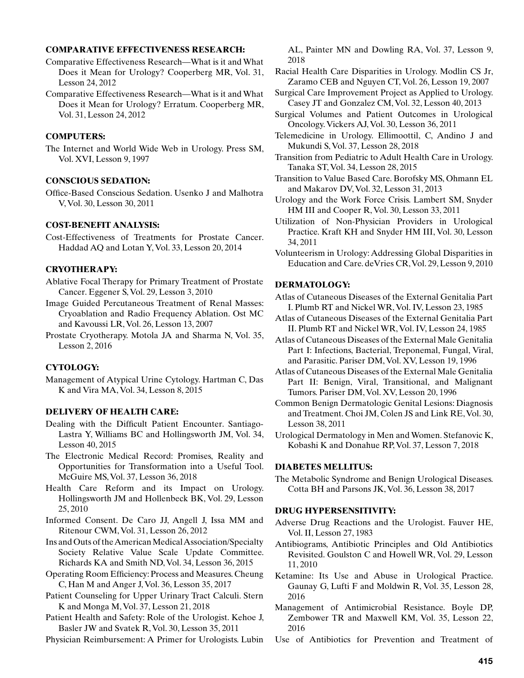### **COMPARATIVE EFFECTIVENESS RESEARCH:**

- Comparative Effectiveness Research—What is it and What Does it Mean for Urology? Cooperberg MR, Vol. 31, Lesson 24, 2012
- Comparative Effectiveness Research—What is it and What Does it Mean for Urology? Erratum. Cooperberg MR, Vol. 31, Lesson 24, 2012

# **COMPUTERS:**

The Internet and World Wide Web in Urology. Press SM, Vol. XVI, Lesson 9, 1997

## **CONSCIOUS SEDATION:**

Office-Based Conscious Sedation. Usenko J and Malhotra V, Vol. 30, Lesson 30, 2011

### **COST-BENEFIT ANALYSIS:**

Cost-Effectiveness of Treatments for Prostate Cancer. Haddad AQ and Lotan Y, Vol. 33, Lesson 20, 2014

## **CRYOTHERAPY:**

- Ablative Focal Therapy for Primary Treatment of Prostate Cancer. Eggener S, Vol. 29, Lesson 3, 2010
- Image Guided Percutaneous Treatment of Renal Masses: Cryoablation and Radio Frequency Ablation. Ost MC and Kavoussi LR, Vol. 26, Lesson 13, 2007
- Prostate Cryotherapy. Motola JA and Sharma N, Vol. 35, Lesson 2, 2016

# **CYTOLOGY:**

Management of Atypical Urine Cytology. Hartman C, Das K and Vira MA, Vol. 34, Lesson 8, 2015

# **DELIVERY OF HEALTH CARE:**

- Dealing with the Difficult Patient Encounter. Santiago-Lastra Y, Williams BC and Hollingsworth JM, Vol. 34, Lesson 40, 2015
- The Electronic Medical Record: Promises, Reality and Opportunities for Transformation into a Useful Tool. McGuire MS, Vol. 37, Lesson 36, 2018
- Health Care Reform and its Impact on Urology. Hollingsworth JM and Hollenbeck BK, Vol. 29, Lesson 25, 2010
- Informed Consent. De Caro JJ, Angell J, Issa MM and Ritenour CWM, Vol. 31, Lesson 26, 2012
- Ins and Outs of the American Medical Association/Specialty Society Relative Value Scale Update Committee. Richards KA and Smith ND, Vol. 34, Lesson 36, 2015
- Operating Room Efficiency: Process and Measures. Cheung C, Han M and Anger J, Vol. 36, Lesson 35, 2017
- Patient Counseling for Upper Urinary Tract Calculi. Stern K and Monga M, Vol. 37, Lesson 21, 2018
- Patient Health and Safety: Role of the Urologist. Kehoe J, Basler JW and Svatek R, Vol. 30, Lesson 35, 2011
- Physician Reimbursement: A Primer for Urologists. Lubin

AL, Painter MN and Dowling RA, Vol. 37, Lesson 9, 2018

- Racial Health Care Disparities in Urology. Modlin CS Jr, Zaramo CEB and Nguyen CT, Vol. 26, Lesson 19, 2007
- Surgical Care Improvement Project as Applied to Urology. Casey JT and Gonzalez CM, Vol. 32, Lesson 40, 2013
- Surgical Volumes and Patient Outcomes in Urological Oncology. Vickers AJ, Vol. 30, Lesson 36, 2011
- Telemedicine in Urology. Ellimoottil, C, Andino J and Mukundi S, Vol. 37, Lesson 28, 2018
- Transition from Pediatric to Adult Health Care in Urology. Tanaka ST, Vol. 34, Lesson 28, 2015
- Transition to Value Based Care. Borofsky MS, Ohmann EL and Makarov DV, Vol. 32, Lesson 31, 2013
- Urology and the Work Force Crisis. Lambert SM, Snyder HM III and Cooper R, Vol. 30, Lesson 33, 2011
- Utilization of Non-Physician Providers in Urological Practice. Kraft KH and Snyder HM III, Vol. 30, Lesson 34, 2011
- Volunteerism in Urology: Addressing Global Disparities in Education and Care. deVries CR, Vol. 29, Lesson 9, 2010

# **DERMATOLOGY:**

- Atlas of Cutaneous Diseases of the External Genitalia Part I. Plumb RT and Nickel WR, Vol. IV, Lesson 23, 1985
- Atlas of Cutaneous Diseases of the External Genitalia Part II. Plumb RT and Nickel WR, Vol. IV, Lesson 24, 1985
- Atlas of Cutaneous Diseases of the External Male Genitalia Part I: Infections, Bacterial, Treponemal, Fungal, Viral, and Parasitic. Pariser DM, Vol. XV, Lesson 19, 1996
- Atlas of Cutaneous Diseases of the External Male Genitalia Part II: Benign, Viral, Transitional, and Malignant Tumors. Pariser DM, Vol. XV, Lesson 20, 1996
- Common Benign Dermatologic Genital Lesions: Diagnosis and Treatment. Choi JM, Colen JS and Link RE, Vol. 30, Lesson 38, 2011
- Urological Dermatology in Men and Women. Stefanovic K, Kobashi K and Donahue RP, Vol. 37, Lesson 7, 2018

#### **DIABETES MELLITUS:**

The Metabolic Syndrome and Benign Urological Diseases. Cotta BH and Parsons JK, Vol. 36, Lesson 38, 2017

## **DRUG HYPERSENSITIVITY:**

- Adverse Drug Reactions and the Urologist. Fauver HE, Vol. II, Lesson 27, 1983
- Antibiograms, Antibiotic Principles and Old Antibiotics Revisited. Goulston C and Howell WR, Vol. 29, Lesson 11, 2010
- Ketamine: Its Use and Abuse in Urological Practice. Gaunay G, Lufti F and Moldwin R, Vol. 35, Lesson 28, 2016
- Management of Antimicrobial Resistance. Boyle DP, Zembower TR and Maxwell KM, Vol. 35, Lesson 22, 2016
- Use of Antibiotics for Prevention and Treatment of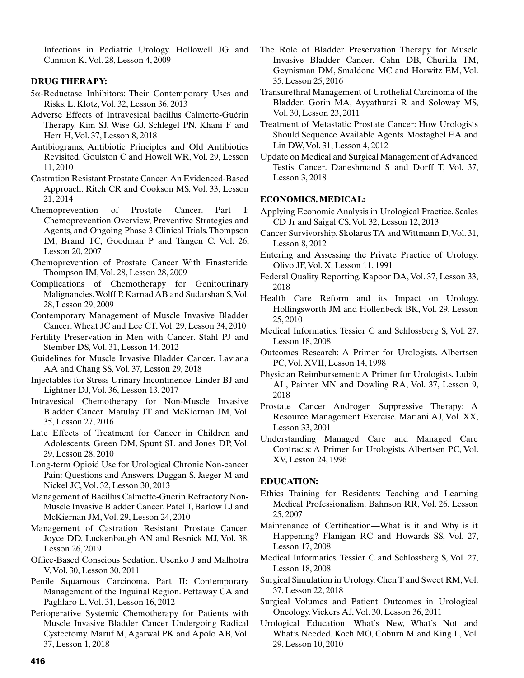Infections in Pediatric Urology. Hollowell JG and Cunnion K, Vol. 28, Lesson 4, 2009

# **DRUG THERAPY:**

- 5a-Reductase Inhibitors: Their Contemporary Uses and Risks. L. Klotz, Vol. 32, Lesson 36, 2013
- Adverse Effects of Intravesical bacillus Calmette-Guérin Therapy. Kim SJ, Wise GJ, Schlegel PN, Khani F and Herr H, Vol. 37, Lesson 8, 2018
- Antibiograms, Antibiotic Principles and Old Antibiotics Revisited. Goulston C and Howell WR, Vol. 29, Lesson 11, 2010
- Castration Resistant Prostate Cancer: An Evidenced-Based Approach. Ritch CR and Cookson MS, Vol. 33, Lesson 21, 2014
- Chemoprevention of Prostate Cancer. Part I: Chemoprevention Overview, Preventive Strategies and Agents, and Ongoing Phase 3 Clinical Trials. Thompson IM, Brand TC, Goodman P and Tangen C, Vol. 26, Lesson 20, 2007
- Chemoprevention of Prostate Cancer With Finasteride. Thompson IM, Vol. 28, Lesson 28, 2009
- Complications of Chemotherapy for Genitourinary Malignancies. Wolff P, Karnad AB and Sudarshan S, Vol. 28, Lesson 29, 2009
- Contemporary Management of Muscle Invasive Bladder Cancer. Wheat JC and Lee CT, Vol. 29, Lesson 34, 2010
- Fertility Preservation in Men with Cancer. Stahl PJ and Stember DS, Vol. 31, Lesson 14, 2012
- Guidelines for Muscle Invasive Bladder Cancer. Laviana AA and Chang SS, Vol. 37, Lesson 29, 2018
- Injectables for Stress Urinary Incontinence. Linder BJ and Lightner DJ, Vol. 36, Lesson 13, 2017
- Intravesical Chemotherapy for Non-Muscle Invasive Bladder Cancer. Matulay JT and McKiernan JM, Vol. 35, Lesson 27, 2016
- Late Effects of Treatment for Cancer in Children and Adolescents. Green DM, Spunt SL and Jones DP, Vol. 29, Lesson 28, 2010
- Long-term Opioid Use for Urological Chronic Non-cancer Pain: Questions and Answers. Duggan S, Jaeger M and Nickel JC, Vol. 32, Lesson 30, 2013
- Management of Bacillus Calmette-Guérin Refractory Non-Muscle Invasive Bladder Cancer. Patel T, Barlow LJ and McKiernan JM, Vol. 29, Lesson 24, 2010
- Management of Castration Resistant Prostate Cancer. Joyce DD, Luckenbaugh AN and Resnick MJ, Vol. 38, Lesson 26, 2019
- Office-Based Conscious Sedation. Usenko J and Malhotra V, Vol. 30, Lesson 30, 2011
- Penile Squamous Carcinoma. Part II: Contemporary Management of the Inguinal Region. Pettaway CA and Paglilaro L, Vol. 31, Lesson 16, 2012
- Perioperative Systemic Chemotherapy for Patients with Muscle Invasive Bladder Cancer Undergoing Radical Cystectomy. Maruf M, Agarwal PK and Apolo AB, Vol. 37, Lesson 1, 2018
- The Role of Bladder Preservation Therapy for Muscle Invasive Bladder Cancer. Cahn DB, Churilla TM, Geynisman DM, Smaldone MC and Horwitz EM, Vol. 35, Lesson 25, 2016
- Transurethral Management of Urothelial Carcinoma of the Bladder. Gorin MA, Ayyathurai R and Soloway MS, Vol. 30, Lesson 23, 2011
- Treatment of Metastatic Prostate Cancer: How Urologists Should Sequence Available Agents. Mostaghel EA and Lin DW, Vol. 31, Lesson 4, 2012
- Update on Medical and Surgical Management of Advanced Testis Cancer. Daneshmand S and Dorff T, Vol. 37, Lesson 3, 2018

## **ECONOMICS, MEDICAL:**

- Applying Economic Analysis in Urological Practice. Scales CD Jr and Saigal CS, Vol. 32, Lesson 12, 2013
- Cancer Survivorship. Skolarus TA and Wittmann D, Vol. 31, Lesson 8, 2012
- Entering and Assessing the Private Practice of Urology. Olivo JF, Vol. X, Lesson 11, 1991
- Federal Quality Reporting. Kapoor DA, Vol. 37, Lesson 33, 2018
- Health Care Reform and its Impact on Urology. Hollingsworth JM and Hollenbeck BK, Vol. 29, Lesson 25, 2010
- Medical Informatics. Tessier C and Schlossberg S, Vol. 27, Lesson 18, 2008
- Outcomes Research: A Primer for Urologists. Albertsen PC, Vol. XVII, Lesson 14, 1998
- Physician Reimbursement: A Primer for Urologists. Lubin AL, Painter MN and Dowling RA, Vol. 37, Lesson 9, 2018
- Prostate Cancer Androgen Suppressive Therapy: A Resource Management Exercise. Mariani AJ, Vol. XX, Lesson 33, 2001
- Understanding Managed Care and Managed Care Contracts: A Primer for Urologists. Albertsen PC, Vol. XV, Lesson 24, 1996

## **EDUCATION:**

- Ethics Training for Residents: Teaching and Learning Medical Professionalism. Bahnson RR, Vol. 26, Lesson 25, 2007
- Maintenance of Certification—What is it and Why is it Happening? Flanigan RC and Howards SS, Vol. 27, Lesson 17, 2008
- Medical Informatics. Tessier C and Schlossberg S, Vol. 27, Lesson 18, 2008
- Surgical Simulation in Urology. Chen T and Sweet RM, Vol. 37, Lesson 22, 2018
- Surgical Volumes and Patient Outcomes in Urological Oncology. Vickers AJ, Vol. 30, Lesson 36, 2011
- Urological Education—What's New, What's Not and What's Needed. Koch MO, Coburn M and King L, Vol. 29, Lesson 10, 2010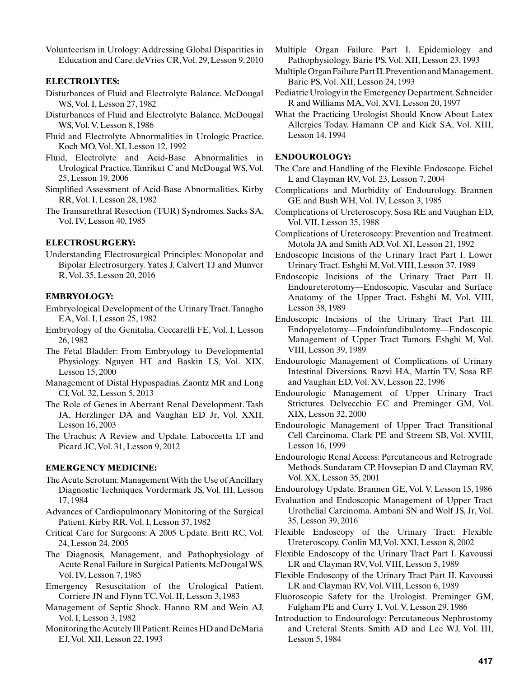Volunteerism in Urology: Addressing Global Disparities in Education and Care. deVries CR, Vol. 29, Lesson 9, 2010

# **ELECTROLYTES:**

- Disturbances of Fluid and Electrolyte Balance. McDougal WS, Vol. I, Lesson 27, 1982
- Disturbances of Fluid and Electrolyte Balance. McDougal WS, Vol. V, Lesson 8, 1986
- Fluid and Electrolyte Abnormalities in Urologic Practice. Koch MO, Vol. XI, Lesson 12, 1992
- Fluid, Electrolyte and Acid-Base Abnormalities in Urological Practice. Tanrikut C and McDougal WS, Vol. 25, Lesson 19, 2006
- Simplified Assessment of Acid-Base Abnormalities. Kirby RR, Vol. I, Lesson 28, 1982
- The Transurethral Resection (TUR) Syndromes. Sacks SA, Vol. IV, Lesson 40, 1985

# **ELECTROSURGERY:**

Understanding Electrosurgical Principles: Monopolar and Bipolar Electrosurgery. Yates J, Calvert TJ and Munver R, Vol. 35, Lesson 20, 2016

# **EMBRYOLOGY:**

- Embryological Development of the Urinary Tract. Tanagho EA, Vol. I, Lesson 25, 1982
- Embryology of the Genitalia. Ceccarelli FE, Vol. I, Lesson 26, 1982
- The Fetal Bladder: From Embryology to Developmental Physiology. Nguyen HT and Baskin LS, Vol. XIX, Lesson 15, 2000
- Management of Distal Hypospadias. Zaontz MR and Long CJ, Vol. 32, Lesson 5, 2013
- The Role of Genes in Aberrant Renal Development. Tash JA, Herzlinger DA and Vaughan ED Jr, Vol. XXII, Lesson 16, 2003
- The Urachus: A Review and Update. Laboccetta LT and Picard JC, Vol. 31, Lesson 9, 2012

## **EMERGENCY MEDICINE:**

- The Acute Scrotum: Management With the Use of Ancillary Diagnostic Techniques. Vordermark JS, Vol. III, Lesson 17, 1984
- Advances of Cardiopulmonary Monitoring of the Surgical Patient. Kirby RR, Vol. I, Lesson 37, 1982
- Critical Care for Surgeons: A 2005 Update. Britt RC, Vol. 24, Lesson 24, 2005
- The Diagnosis, Management, and Pathophysiology of Acute Renal Failure in Surgical Patients. McDougal WS, Vol. IV, Lesson 7, 1985
- Emergency Resuscitation of the Urological Patient. Corriere JN and Flynn TC, Vol. II, Lesson 3, 1983
- Management of Septic Shock. Hanno RM and Wein AJ, Vol. I, Lesson 3, 1982
- Monitoring the Acutely Ill Patient. Reines HD and DeMaria EJ, Vol. XII, Lesson 22, 1993
- Multiple Organ Failure Part I. Epidemiology and Pathophysiology. Barie PS, Vol. XII, Lesson 23, 1993
- Multiple Organ Failure Part II. Prevention and Management. Barie PS, Vol. XII, Lesson 24, 1993
- Pediatric Urology in the Emergency Department. Schneider R and Williams MA, Vol. XVI, Lesson 20, 1997
- What the Practicing Urologist Should Know About Latex Allergies Today. Hamann CP and Kick SA, Vol. XIII, Lesson 14, 1994

# **ENDOUROLOGY:**

- The Care and Handling of the Flexible Endoscope. Eichel L and Clayman RV, Vol. 23, Lesson 7, 2004
- Complications and Morbidity of Endourology. Brannen GE and Bush WH, Vol. IV, Lesson 3, 1985
- Complications of Ureteroscopy. Sosa RE and Vaughan ED, Vol. VII, Lesson 35, 1988
- Complications of Ureteroscopy: Prevention and Treatment. Motola JA and Smith AD, Vol. XI, Lesson 21, 1992
- Endoscopic Incisions of the Urinary Tract Part I. Lower Urinary Tract. Eshghi M, Vol. VIII, Lesson 37, 1989
- Endoscopic Incisions of the Urinary Tract Part II. Endoureterotomy—Endoscopic, Vascular and Surface Anatomy of the Upper Tract. Eshghi M, Vol. VIII, Lesson 38, 1989
- Endoscopic Incisions of the Urinary Tract Part III. Endopyelotomy—Endoinfundibulotomy—Endoscopic Management of Upper Tract Tumors. Eshghi M, Vol. VIII, Lesson 39, 1989
- Endourologic Management of Complications of Urinary Intestinal Diversions. Razvi HA, Martin TV, Sosa RE and Vaughan ED, Vol. XV, Lesson 22, 1996
- Endourologic Management of Upper Urinary Tract Strictures. Delvecchio EC and Preminger GM, Vol. XIX, Lesson 32, 2000
- Endourologic Management of Upper Tract Transitional Cell Carcinoma. Clark PE and Streem SB, Vol. XVIII, Lesson 16, 1999
- Endourologic Renal Access: Percutaneous and Retrograde Methods. Sundaram CP, Hovsepian D and Clayman RV, Vol. XX, Lesson 35, 2001
- Endourology Update. Brannen GE, Vol. V, Lesson 15, 1986
- Evaluation and Endoscopic Management of Upper Tract Urothelial Carcinoma. Ambani SN and Wolf JS, Jr, Vol. 35, Lesson 39, 2016
- Flexible Endoscopy of the Urinary Tract: Flexible Ureteroscopy. Conlin MJ, Vol. XXI, Lesson 8, 2002
- Flexible Endoscopy of the Urinary Tract Part I. Kavoussi LR and Clayman RV, Vol. VIII, Lesson 5, 1989
- Flexible Endoscopy of the Urinary Tract Part II. Kavoussi LR and Clayman RV, Vol. VIII, Lesson 6, 1989
- Fluoroscopic Safety for the Urologist. Preminger GM, Fulgham PE and Curry T, Vol. V, Lesson 29, 1986
- Introduction to Endourology: Percutaneous Nephrostomy and Ureteral Stents. Smith AD and Lee WJ, Vol. III, Lesson 5, 1984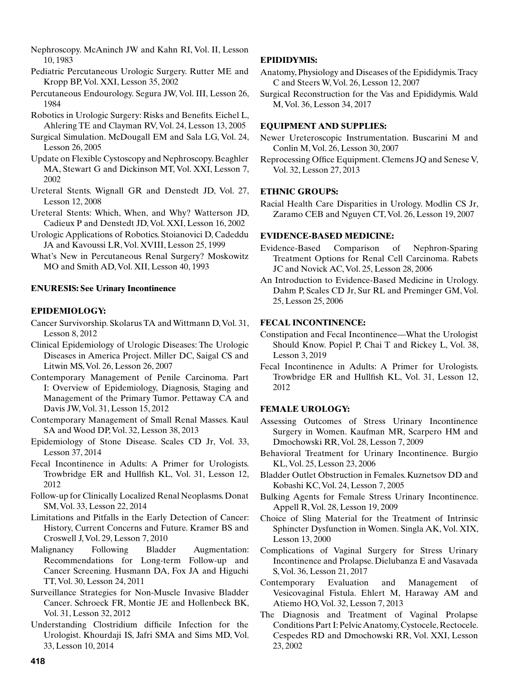- Nephroscopy. McAninch JW and Kahn RI, Vol. II, Lesson 10, 1983
- Pediatric Percutaneous Urologic Surgery. Rutter ME and Kropp BP, Vol. XXI, Lesson 35, 2002
- Percutaneous Endourology. Segura JW, Vol. III, Lesson 26, 1984
- Robotics in Urologic Surgery: Risks and Benefits. Eichel L, Ahlering TE and Clayman RV, Vol. 24, Lesson 13, 2005
- Surgical Simulation. McDougall EM and Sala LG, Vol. 24, Lesson 26, 2005
- Update on Flexible Cystoscopy and Nephroscopy. Beaghler MA, Stewart G and Dickinson MT, Vol. XXI, Lesson 7, 2002
- Ureteral Stents. Wignall GR and Denstedt JD, Vol. 27, Lesson 12, 2008
- Ureteral Stents: Which, When, and Why? Watterson JD, Cadieux P and Denstedt JD, Vol. XXI, Lesson 16, 2002
- Urologic Applications of Robotics. Stoianovici D, Cadeddu JA and Kavoussi LR, Vol. XVIII, Lesson 25, 1999
- What's New in Percutaneous Renal Surgery? Moskowitz MO and Smith AD, Vol. XII, Lesson 40, 1993

# **ENURESIS: See Urinary Incontinence**

# **EPIDEMIOLOGY:**

- Cancer Survivorship. Skolarus TA and Wittmann D, Vol. 31, Lesson 8, 2012
- Clinical Epidemiology of Urologic Diseases: The Urologic Diseases in America Project. Miller DC, Saigal CS and Litwin MS, Vol. 26, Lesson 26, 2007
- Contemporary Management of Penile Carcinoma. Part I: Overview of Epidemiology, Diagnosis, Staging and Management of the Primary Tumor. Pettaway CA and Davis JW, Vol. 31, Lesson 15, 2012
- Contemporary Management of Small Renal Masses. Kaul SA and Wood DP, Vol. 32, Lesson 38, 2013
- Epidemiology of Stone Disease. Scales CD Jr, Vol. 33, Lesson 37, 2014
- Fecal Incontinence in Adults: A Primer for Urologists. Trowbridge ER and Hullfish KL, Vol. 31, Lesson 12, 2012
- Follow-up for Clinically Localized Renal Neoplasms. Donat SM, Vol. 33, Lesson 22, 2014
- Limitations and Pitfalls in the Early Detection of Cancer: History, Current Concerns and Future. Kramer BS and Croswell J, Vol. 29, Lesson 7, 2010
- Malignancy Following Bladder Augmentation: Recommendations for Long-term Follow-up and Cancer Screening. Husmann DA, Fox JA and Higuchi TT, Vol. 30, Lesson 24, 2011
- Surveillance Strategies for Non-Muscle Invasive Bladder Cancer. Schroeck FR, Montie JE and Hollenbeck BK, Vol. 31, Lesson 32, 2012
- Understanding Clostridium difficile Infection for the Urologist. Khourdaji IS, Jafri SMA and Sims MD, Vol. 33, Lesson 10, 2014

# **EPIDIDYMIS:**

- Anatomy, Physiology and Diseases of the Epididymis. Tracy C and Steers W, Vol. 26, Lesson 12, 2007
- Surgical Reconstruction for the Vas and Epididymis. Wald M, Vol. 36, Lesson 34, 2017

# **EQUIPMENT AND SUPPLIES:**

- Newer Ureteroscopic Instrumentation. Buscarini M and Conlin M, Vol. 26, Lesson 30, 2007
- Reprocessing Office Equipment. Clemens JQ and Senese V, Vol. 32, Lesson 27, 2013

# **ETHNIC GROUPS:**

Racial Health Care Disparities in Urology. Modlin CS Jr, Zaramo CEB and Nguyen CT, Vol. 26, Lesson 19, 2007

# **EVIDENCE-BASED MEDICINE:**

Evidence-Based Comparison of Nephron-Sparing Treatment Options for Renal Cell Carcinoma. Rabets JC and Novick AC, Vol. 25, Lesson 28, 2006

An Introduction to Evidence-Based Medicine in Urology. Dahm P, Scales CD Jr, Sur RL and Preminger GM, Vol. 25, Lesson 25, 2006

# **FECAL INCONTINENCE:**

- Constipation and Fecal Incontinence—What the Urologist Should Know. Popiel P, Chai T and Rickey L, Vol. 38, Lesson 3, 2019
- Fecal Incontinence in Adults: A Primer for Urologists. Trowbridge ER and Hullfish KL, Vol. 31, Lesson 12, 2012

# **FEMALE UROLOGY:**

- Assessing Outcomes of Stress Urinary Incontinence Surgery in Women. Kaufman MR, Scarpero HM and Dmochowski RR, Vol. 28, Lesson 7, 2009
- Behavioral Treatment for Urinary Incontinence. Burgio KL, Vol. 25, Lesson 23, 2006
- Bladder Outlet Obstruction in Females. Kuznetsov DD and Kobashi KC, Vol. 24, Lesson 7, 2005
- Bulking Agents for Female Stress Urinary Incontinence. Appell R, Vol. 28, Lesson 19, 2009
- Choice of Sling Material for the Treatment of Intrinsic Sphincter Dysfunction in Women. Singla AK, Vol. XIX, Lesson 13, 2000
- Complications of Vaginal Surgery for Stress Urinary Incontinence and Prolapse. Dielubanza E and Vasavada S, Vol. 36, Lesson 21, 2017
- Contemporary Evaluation and Management of Vesicovaginal Fistula. Ehlert M, Haraway AM and Atiemo HO, Vol. 32, Lesson 7, 2013
- The Diagnosis and Treatment of Vaginal Prolapse Conditions Part I: Pelvic Anatomy, Cystocele, Rectocele. Cespedes RD and Dmochowski RR, Vol. XXI, Lesson 23, 2002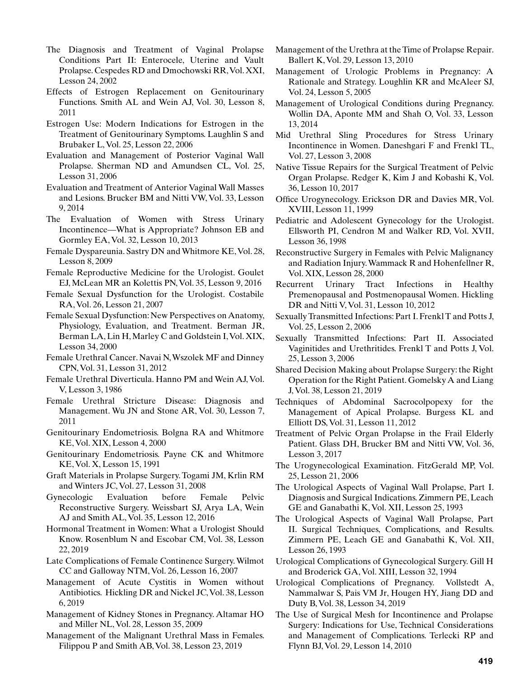- The Diagnosis and Treatment of Vaginal Prolapse Conditions Part II: Enterocele, Uterine and Vault Prolapse. Cespedes RD and Dmochowski RR, Vol. XXI, Lesson 24, 2002
- Effects of Estrogen Replacement on Genitourinary Functions. Smith AL and Wein AJ, Vol. 30, Lesson 8, 2011
- Estrogen Use: Modern Indications for Estrogen in the Treatment of Genitourinary Symptoms. Laughlin S and Brubaker L, Vol. 25, Lesson 22, 2006
- Evaluation and Management of Posterior Vaginal Wall Prolapse. Sherman ND and Amundsen CL, Vol. 25, Lesson 31, 2006
- Evaluation and Treatment of Anterior Vaginal Wall Masses and Lesions. Brucker BM and Nitti VW, Vol. 33, Lesson 9, 2014
- The Evaluation of Women with Stress Urinary Incontinence—What is Appropriate? Johnson EB and Gormley EA, Vol. 32, Lesson 10, 2013
- Female Dyspareunia. Sastry DN and Whitmore KE, Vol. 28, Lesson 8, 2009
- Female Reproductive Medicine for the Urologist. Goulet EJ, McLean MR an Kolettis PN, Vol. 35, Lesson 9, 2016
- Female Sexual Dysfunction for the Urologist. Costabile RA, Vol. 26, Lesson 21, 2007
- Female Sexual Dysfunction: New Perspectives on Anatomy, Physiology, Evaluation, and Treatment. Berman JR, Berman LA, Lin H, Marley C and Goldstein I, Vol. XIX, Lesson 34, 2000
- Female Urethral Cancer. Navai N, Wszolek MF and Dinney CPN, Vol. 31, Lesson 31, 2012
- Female Urethral Diverticula. Hanno PM and Wein AJ, Vol. V, Lesson 3, 1986
- Female Urethral Stricture Disease: Diagnosis and Management. Wu JN and Stone AR, Vol. 30, Lesson 7, 2011
- Genitourinary Endometriosis. Bolgna RA and Whitmore KE, Vol. XIX, Lesson 4, 2000
- Genitourinary Endometriosis. Payne CK and Whitmore KE, Vol. X, Lesson 15, 1991
- Graft Materials in Prolapse Surgery. Togami JM, Krlin RM and Winters JC, Vol. 27, Lesson 31, 2008
- Gynecologic Evaluation before Female Pelvic Reconstructive Surgery. Weissbart SJ, Arya LA, Wein AJ and Smith AL, Vol. 35, Lesson 12, 2016
- Hormonal Treatment in Women: What a Urologist Should Know. Rosenblum N and Escobar CM, Vol. 38, Lesson 22, 2019
- Late Complications of Female Continence Surgery. Wilmot CC and Galloway NTM, Vol. 26, Lesson 16, 2007
- Management of Acute Cystitis in Women without Antibiotics. Hickling DR and Nickel JC, Vol. 38, Lesson 6, 2019
- Management of Kidney Stones in Pregnancy. Altamar HO and Miller NL, Vol. 28, Lesson 35, 2009
- Management of the Malignant Urethral Mass in Females. Filippou P and Smith AB, Vol. 38, Lesson 23, 2019
- Management of the Urethra at the Time of Prolapse Repair. Ballert K, Vol. 29, Lesson 13, 2010
- Management of Urologic Problems in Pregnancy: A Rationale and Strategy. Loughlin KR and McAleer SJ, Vol. 24, Lesson 5, 2005
- Management of Urological Conditions during Pregnancy. Wollin DA, Aponte MM and Shah O, Vol. 33, Lesson 13, 2014
- Mid Urethral Sling Procedures for Stress Urinary Incontinence in Women. Daneshgari F and Frenkl TL, Vol. 27, Lesson 3, 2008
- Native Tissue Repairs for the Surgical Treatment of Pelvic Organ Prolapse. Redger K, Kim J and Kobashi K, Vol. 36, Lesson 10, 2017
- Office Urogynecology. Erickson DR and Davies MR, Vol. XVIII, Lesson 11, 1999
- Pediatric and Adolescent Gynecology for the Urologist. Ellsworth PI, Cendron M and Walker RD, Vol. XVII, Lesson 36, 1998
- Reconstructive Surgery in Females with Pelvic Malignancy and Radiation Injury. Wammack R and Hohenfellner R, Vol. XIX, Lesson 28, 2000
- Recurrent Urinary Tract Infections in Healthy Premenopausal and Postmenopausal Women. Hickling DR and Nitti V, Vol. 31, Lesson 10, 2012
- Sexually Transmitted Infections: Part I. Frenkl T and Potts J, Vol. 25, Lesson 2, 2006
- Sexually Transmitted Infections: Part II. Associated Vaginitides and Urethritides. Frenkl T and Potts J, Vol. 25, Lesson 3, 2006
- Shared Decision Making about Prolapse Surgery: the Right Operation for the Right Patient. Gomelsky A and Liang J, Vol. 38, Lesson 21, 2019
- Techniques of Abdominal Sacrocolpopexy for the Management of Apical Prolapse. Burgess KL and Elliott DS, Vol. 31, Lesson 11, 2012
- Treatment of Pelvic Organ Prolapse in the Frail Elderly Patient. Glass DH, Brucker BM and Nitti VW, Vol. 36, Lesson 3, 2017
- The Urogynecological Examination. FitzGerald MP, Vol. 25, Lesson 21, 2006
- The Urological Aspects of Vaginal Wall Prolapse, Part I. Diagnosis and Surgical Indications. Zimmern PE, Leach GE and Ganabathi K, Vol. XII, Lesson 25, 1993
- The Urological Aspects of Vaginal Wall Prolapse, Part II. Surgical Techniques, Complications, and Results. Zimmern PE, Leach GE and Ganabathi K, Vol. XII, Lesson 26, 1993
- Urological Complications of Gynecological Surgery. Gill H and Broderick GA, Vol. XIII, Lesson 32, 1994
- Urological Complications of Pregnancy. Vollstedt A, Nammalwar S, Pais VM Jr, Hougen HY, Jiang DD and Duty B, Vol. 38, Lesson 34, 2019
- The Use of Surgical Mesh for Incontinence and Prolapse Surgery: Indications for Use, Technical Considerations and Management of Complications. Terlecki RP and Flynn BJ, Vol. 29, Lesson 14, 2010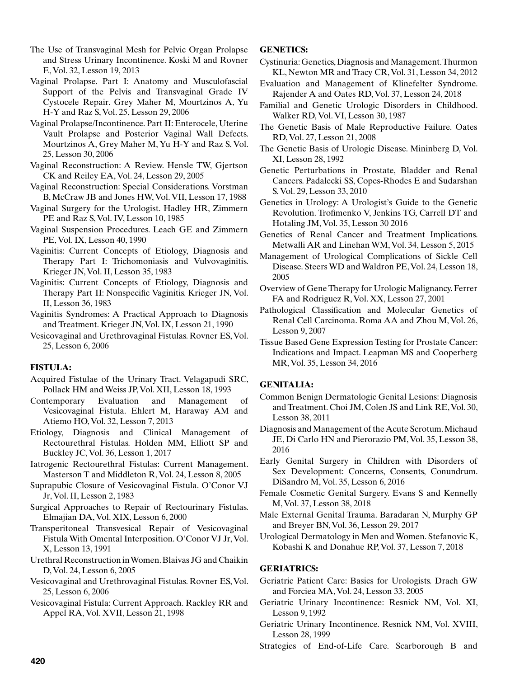The Use of Transvaginal Mesh for Pelvic Organ Prolapse and Stress Urinary Incontinence. Koski M and Rovner E, Vol. 32, Lesson 19, 2013

Vaginal Prolapse. Part I: Anatomy and Musculofascial Support of the Pelvis and Transvaginal Grade IV Cystocele Repair. Grey Maher M, Mourtzinos A, Yu H-Y and Raz S, Vol. 25, Lesson 29, 2006

Vaginal Prolapse/Incontinence. Part II: Enterocele, Uterine Vault Prolapse and Posterior Vaginal Wall Defects. Mourtzinos A, Grey Maher M, Yu H-Y and Raz S, Vol. 25, Lesson 30, 2006

Vaginal Reconstruction: A Review. Hensle TW, Gjertson CK and Reiley EA, Vol. 24, Lesson 29, 2005

Vaginal Reconstruction: Special Considerations. Vorstman B, McCraw JB and Jones HW, Vol. VII, Lesson 17, 1988

Vaginal Surgery for the Urologist. Hadley HR, Zimmern PE and Raz S, Vol. IV, Lesson 10, 1985

Vaginal Suspension Procedures. Leach GE and Zimmern PE, Vol. IX, Lesson 40, 1990

Vaginitis: Current Concepts of Etiology, Diagnosis and Therapy Part I: Trichomoniasis and Vulvovaginitis. Krieger JN, Vol. II, Lesson 35, 1983

Vaginitis: Current Concepts of Etiology, Diagnosis and Therapy Part II: Nonspecific Vaginitis. Krieger JN, Vol. II, Lesson 36, 1983

Vaginitis Syndromes: A Practical Approach to Diagnosis and Treatment. Krieger JN, Vol. IX, Lesson 21, 1990

Vesicovaginal and Urethrovaginal Fistulas. Rovner ES, Vol. 25, Lesson 6, 2006

# **FISTULA:**

Acquired Fistulae of the Urinary Tract. Velagapudi SRC, Pollack HM and Weiss JP, Vol. XII, Lesson 18, 1993

- Contemporary Evaluation and Management of Vesicovaginal Fistula. Ehlert M, Haraway AM and Atiemo HO, Vol. 32, Lesson 7, 2013
- Etiology, Diagnosis and Clinical Management of Rectourethral Fistulas. Holden MM, Elliott SP and Buckley JC, Vol. 36, Lesson 1, 2017
- Iatrogenic Rectourethral Fistulas: Current Management. Masterson T and Middleton R, Vol. 24, Lesson 8, 2005
- Suprapubic Closure of Vesicovaginal Fistula. O'Conor VJ Jr, Vol. II, Lesson 2, 1983
- Surgical Approaches to Repair of Rectourinary Fistulas. Elmajian DA, Vol. XIX, Lesson 6, 2000
- Transperitoneal Transvesical Repair of Vesicovaginal Fistula With Omental Interposition. O'Conor VJ Jr, Vol. X, Lesson 13, 1991
- Urethral Reconstruction in Women. Blaivas JG and Chaikin D, Vol. 24, Lesson 6, 2005
- Vesicovaginal and Urethrovaginal Fistulas. Rovner ES, Vol. 25, Lesson 6, 2006
- Vesicovaginal Fistula: Current Approach. Rackley RR and Appel RA, Vol. XVII, Lesson 21, 1998

# **GENETICS:**

Cystinuria: Genetics, Diagnosis and Management. Thurmon KL, Newton MR and Tracy CR, Vol. 31, Lesson 34, 2012

- Evaluation and Management of Klinefelter Syndrome. Rajender A and Oates RD, Vol. 37, Lesson 24, 2018
- Familial and Genetic Urologic Disorders in Childhood. Walker RD, Vol. VI, Lesson 30, 1987
- The Genetic Basis of Male Reproductive Failure. Oates RD, Vol. 27, Lesson 21, 2008
- The Genetic Basis of Urologic Disease. Mininberg D, Vol. XI, Lesson 28, 1992
- Genetic Perturbations in Prostate, Bladder and Renal Cancers. Padalecki SS, Copes-Rhodes E and Sudarshan S, Vol. 29, Lesson 33, 2010
- Genetics in Urology: A Urologist's Guide to the Genetic Revolution. Trofimenko V, Jenkins TG, Carrell DT and Hotaling JM, Vol. 35, Lesson 30 2016
- Genetics of Renal Cancer and Treatment Implications. Metwalli AR and Linehan WM, Vol. 34, Lesson 5, 2015
- Management of Urological Complications of Sickle Cell Disease. Steers WD and Waldron PE, Vol. 24, Lesson 18, 2005
- Overview of Gene Therapy for Urologic Malignancy. Ferrer FA and Rodriguez R, Vol. XX, Lesson 27, 2001
- Pathological Classification and Molecular Genetics of Renal Cell Carcinoma. Roma AA and Zhou M, Vol. 26, Lesson 9, 2007
- Tissue Based Gene Expression Testing for Prostate Cancer: Indications and Impact. Leapman MS and Cooperberg MR, Vol. 35, Lesson 34, 2016

# **GENITALIA:**

- Common Benign Dermatologic Genital Lesions: Diagnosis and Treatment. Choi JM, Colen JS and Link RE, Vol. 30, Lesson 38, 2011
- Diagnosis and Management of the Acute Scrotum. Michaud JE, Di Carlo HN and Pierorazio PM, Vol. 35, Lesson 38, 2016
- Early Genital Surgery in Children with Disorders of Sex Development: Concerns, Consents, Conundrum. DiSandro M, Vol. 35, Lesson 6, 2016
- Female Cosmetic Genital Surgery. Evans S and Kennelly M, Vol. 37, Lesson 38, 2018
- Male External Genital Trauma. Baradaran N, Murphy GP and Breyer BN, Vol. 36, Lesson 29, 2017
- Urological Dermatology in Men and Women. Stefanovic K, Kobashi K and Donahue RP, Vol. 37, Lesson 7, 2018

# **GERIATRICS:**

- Geriatric Patient Care: Basics for Urologists. Drach GW and Forciea MA, Vol. 24, Lesson 33, 2005
- Geriatric Urinary Incontinence: Resnick NM, Vol. XI, Lesson 9, 1992
- Geriatric Urinary Incontinence. Resnick NM, Vol. XVIII, Lesson 28, 1999
- Strategies of End-of-Life Care. Scarborough B and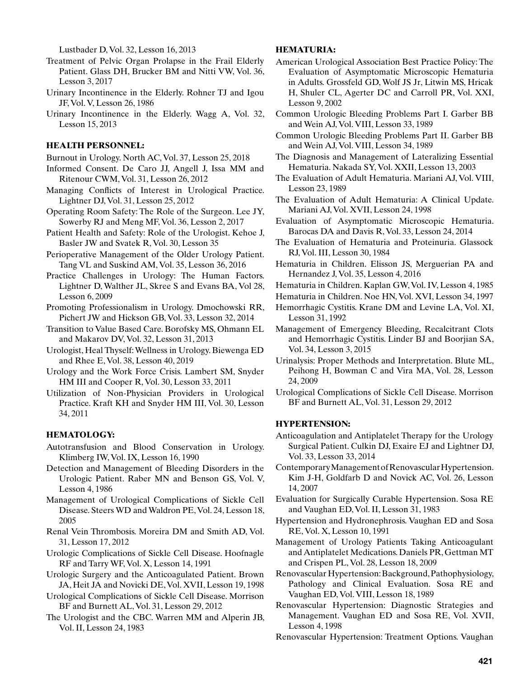Lustbader D, Vol. 32, Lesson 16, 2013

- Treatment of Pelvic Organ Prolapse in the Frail Elderly Patient. Glass DH, Brucker BM and Nitti VW, Vol. 36, Lesson 3, 2017
- Urinary Incontinence in the Elderly. Rohner TJ and Igou JF, Vol. V, Lesson 26, 1986
- Urinary Incontinence in the Elderly. Wagg A, Vol. 32, Lesson 15, 2013

### **HEALTH PERSONNEL:**

Burnout in Urology. North AC, Vol. 37, Lesson 25, 2018

- Informed Consent. De Caro JJ, Angell J, Issa MM and Ritenour CWM, Vol. 31, Lesson 26, 2012
- Managing Conflicts of Interest in Urological Practice. Lightner DJ, Vol. 31, Lesson 25, 2012
- Operating Room Safety: The Role of the Surgeon. Lee JY, Sowerby RJ and Meng MF, Vol. 36, Lesson 2, 2017
- Patient Health and Safety: Role of the Urologist. Kehoe J, Basler JW and Svatek R, Vol. 30, Lesson 35
- Perioperative Management of the Older Urology Patient. Tang VL and Suskind AM, Vol. 35, Lesson 36, 2016
- Practice Challenges in Urology: The Human Factors. Lightner D, Walther JL, Skree S and Evans BA, Vol 28, Lesson 6, 2009
- Promoting Professionalism in Urology. Dmochowski RR, Pichert JW and Hickson GB, Vol. 33, Lesson 32, 2014
- Transition to Value Based Care. Borofsky MS, Ohmann EL and Makarov DV, Vol. 32, Lesson 31, 2013
- Urologist, Heal Thyself: Wellness in Urology. Biewenga ED and Rhee E, Vol. 38, Lesson 40, 2019
- Urology and the Work Force Crisis. Lambert SM, Snyder HM III and Cooper R, Vol. 30, Lesson 33, 2011
- Utilization of Non-Physician Providers in Urological Practice. Kraft KH and Snyder HM III, Vol. 30, Lesson 34, 2011

### **HEMATOLOGY:**

- Autotransfusion and Blood Conservation in Urology. Klimberg IW, Vol. IX, Lesson 16, 1990
- Detection and Management of Bleeding Disorders in the Urologic Patient. Raber MN and Benson GS, Vol. V, Lesson 4, 1986
- Management of Urological Complications of Sickle Cell Disease. Steers WD and Waldron PE, Vol. 24, Lesson 18, 2005
- Renal Vein Thrombosis. Moreira DM and Smith AD, Vol. 31, Lesson 17, 2012
- Urologic Complications of Sickle Cell Disease. Hoofnagle RF and Tarry WF, Vol. X, Lesson 14, 1991
- Urologic Surgery and the Anticoagulated Patient. Brown JA, Heit JA and Novicki DE, Vol. XVII, Lesson 19, 1998
- Urological Complications of Sickle Cell Disease. Morrison BF and Burnett AL, Vol. 31, Lesson 29, 2012
- The Urologist and the CBC. Warren MM and Alperin JB, Vol. II, Lesson 24, 1983

### **HEMATURIA:**

- American Urological Association Best Practice Policy: The Evaluation of Asymptomatic Microscopic Hematuria in Adults. Grossfeld GD, Wolf JS Jr, Litwin MS, Hricak H, Shuler CL, Agerter DC and Carroll PR, Vol. XXI, Lesson 9, 2002
- Common Urologic Bleeding Problems Part I. Garber BB and Wein AJ, Vol. VIII, Lesson 33, 1989
- Common Urologic Bleeding Problems Part II. Garber BB and Wein AJ, Vol. VIII, Lesson 34, 1989
- The Diagnosis and Management of Lateralizing Essential Hematuria. Nakada SY, Vol. XXII, Lesson 13, 2003
- The Evaluation of Adult Hematuria. Mariani AJ, Vol. VIII, Lesson 23, 1989
- The Evaluation of Adult Hematuria: A Clinical Update. Mariani AJ, Vol. XVII, Lesson 24, 1998
- Evaluation of Asymptomatic Microscopic Hematuria. Barocas DA and Davis R, Vol. 33, Lesson 24, 2014
- The Evaluation of Hematuria and Proteinuria. Glassock RJ, Vol. III, Lesson 30, 1984
- Hematuria in Children. Elisson JS, Merguerian PA and Hernandez J, Vol. 35, Lesson 4, 2016
- Hematuria in Children. Kaplan GW, Vol. IV, Lesson 4, 1985
- Hematuria in Children. Noe HN, Vol. XVI, Lesson 34, 1997
- Hemorrhagic Cystitis. Krane DM and Levine LA, Vol. XI, Lesson 31, 1992
- Management of Emergency Bleeding, Recalcitrant Clots and Hemorrhagic Cystitis. Linder BJ and Boorjian SA, Vol. 34, Lesson 3, 2015
- Urinalysis: Proper Methods and Interpretation. Blute ML, Peihong H, Bowman C and Vira MA, Vol. 28, Lesson 24, 2009
- Urological Complications of Sickle Cell Disease. Morrison BF and Burnett AL, Vol. 31, Lesson 29, 2012

# **HYPERTENSION:**

- Anticoagulation and Antiplatelet Therapy for the Urology Surgical Patient. Culkin DJ, Exaire EJ and Lightner DJ, Vol. 33, Lesson 33, 2014
- Contemporary Management of Renovascular Hypertension. Kim J-H, Goldfarb D and Novick AC, Vol. 26, Lesson 14, 2007
- Evaluation for Surgically Curable Hypertension. Sosa RE and Vaughan ED, Vol. II, Lesson 31, 1983
- Hypertension and Hydronephrosis. Vaughan ED and Sosa RE, Vol. X, Lesson 10, 1991
- Management of Urology Patients Taking Anticoagulant and Antiplatelet Medications. Daniels PR, Gettman MT and Crispen PL, Vol. 28, Lesson 18, 2009
- Renovascular Hypertension: Background, Pathophysiology, Pathology and Clinical Evaluation. Sosa RE and Vaughan ED, Vol. VIII, Lesson 18, 1989
- Renovascular Hypertension: Diagnostic Strategies and Management. Vaughan ED and Sosa RE, Vol. XVII, Lesson 4, 1998

Renovascular Hypertension: Treatment Options. Vaughan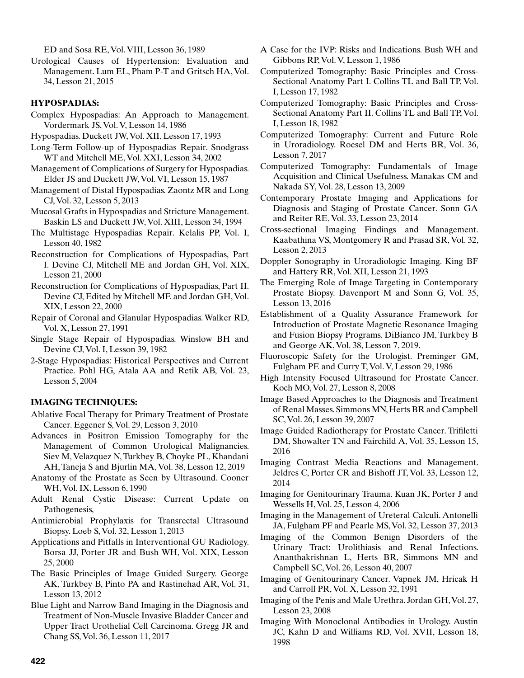ED and Sosa RE, Vol. VIII, Lesson 36, 1989

Urological Causes of Hypertension: Evaluation and Management. Lum EL, Pham P-T and Gritsch HA, Vol. 34, Lesson 21, 2015

## **HYPOSPADIAS:**

- Complex Hypospadias: An Approach to Management. Vordermark JS, Vol. V, Lesson 14, 1986
- Hypospadias. Duckett JW, Vol. XII, Lesson 17, 1993
- Long-Term Follow-up of Hypospadias Repair. Snodgrass WT and Mitchell ME, Vol. XXI, Lesson 34, 2002
- Management of Complications of Surgery for Hypospadias. Elder JS and Duckett JW, Vol. VI, Lesson 15, 1987
- Management of Distal Hypospadias. Zaontz MR and Long CJ, Vol. 32, Lesson 5, 2013
- Mucosal Grafts in Hypospadias and Stricture Management. Baskin LS and Duckett JW, Vol. XIII, Lesson 34, 1994
- The Multistage Hypospadias Repair. Kelalis PP, Vol. I, Lesson 40, 1982
- Reconstruction for Complications of Hypospadias, Part I. Devine CJ, Mitchell ME and Jordan GH, Vol. XIX, Lesson 21, 2000
- Reconstruction for Complications of Hypospadias, Part II. Devine CJ, Edited by Mitchell ME and Jordan GH, Vol. XIX, Lesson 22, 2000
- Repair of Coronal and Glanular Hypospadias. Walker RD, Vol. X, Lesson 27, 1991
- Single Stage Repair of Hypospadias. Winslow BH and Devine CJ, Vol. I, Lesson 39, 1982
- 2-Stage Hypospadias: Historical Perspectives and Current Practice. Pohl HG, Atala AA and Retik AB, Vol. 23, Lesson 5, 2004

## **IMAGING TECHNIQUES:**

- Ablative Focal Therapy for Primary Treatment of Prostate Cancer. Eggener S, Vol. 29, Lesson 3, 2010
- Advances in Positron Emission Tomography for the Management of Common Urological Malignancies. Siev M, Velazquez N, Turkbey B, Choyke PL, Khandani AH, Taneja S and Bjurlin MA, Vol. 38, Lesson 12, 2019
- Anatomy of the Prostate as Seen by Ultrasound. Cooner WH, Vol. IX, Lesson 6, 1990
- Adult Renal Cystic Disease: Current Update on Pathogenesis,
- Antimicrobial Prophylaxis for Transrectal Ultrasound Biopsy. Loeb S, Vol. 32, Lesson 1, 2013
- Applications and Pitfalls in Interventional GU Radiology. Borsa JJ, Porter JR and Bush WH, Vol. XIX, Lesson 25, 2000
- The Basic Principles of Image Guided Surgery. George AK, Turkbey B, Pinto PA and Rastinehad AR, Vol. 31, Lesson 13, 2012
- Blue Light and Narrow Band Imaging in the Diagnosis and Treatment of Non-Muscle Invasive Bladder Cancer and Upper Tract Urothelial Cell Carcinoma. Gregg JR and Chang SS, Vol. 36, Lesson 11, 2017
- A Case for the IVP: Risks and Indications. Bush WH and Gibbons RP, Vol. V, Lesson 1, 1986
- Computerized Tomography: Basic Principles and Cross-Sectional Anatomy Part I. Collins TL and Ball TP, Vol. I, Lesson 17, 1982
- Computerized Tomography: Basic Principles and Cross-Sectional Anatomy Part II. Collins TL and Ball TP, Vol. I, Lesson 18, 1982
- Computerized Tomography: Current and Future Role in Uroradiology. Roesel DM and Herts BR, Vol. 36, Lesson 7, 2017
- Computerized Tomography: Fundamentals of Image Acquisition and Clinical Usefulness. Manakas CM and Nakada SY, Vol. 28, Lesson 13, 2009
- Contemporary Prostate Imaging and Applications for Diagnosis and Staging of Prostate Cancer. Sonn GA and Reiter RE, Vol. 33, Lesson 23, 2014
- Cross-sectional Imaging Findings and Management. Kaabathina VS, Montgomery R and Prasad SR, Vol. 32, Lesson 2, 2013
- Doppler Sonography in Uroradiologic Imaging. King BF and Hattery RR, Vol. XII, Lesson 21, 1993
- The Emerging Role of Image Targeting in Contemporary Prostate Biopsy. Davenport M and Sonn G, Vol. 35, Lesson 13, 2016
- Establishment of a Quality Assurance Framework for Introduction of Prostate Magnetic Resonance Imaging and Fusion Biopsy Programs. DiBianco JM, Turkbey B and George AK, Vol. 38, Lesson 7, 2019.
- Fluoroscopic Safety for the Urologist. Preminger GM, Fulgham PE and Curry T, Vol. V, Lesson 29, 1986
- High Intensity Focused Ultrasound for Prostate Cancer. Koch MO, Vol. 27, Lesson 8, 2008
- Image Based Approaches to the Diagnosis and Treatment of Renal Masses. Simmons MN, Herts BR and Campbell SC, Vol. 26, Lesson 39, 2007
- Image Guided Radiotherapy for Prostate Cancer. Trifiletti DM, Showalter TN and Fairchild A, Vol. 35, Lesson 15, 2016
- Imaging Contrast Media Reactions and Management. Jeldres C, Porter CR and Bishoff JT, Vol. 33, Lesson 12, 2014
- Imaging for Genitourinary Trauma. Kuan JK, Porter J and Wessells H, Vol. 25, Lesson 4, 2006
- Imaging in the Management of Ureteral Calculi. Antonelli JA, Fulgham PF and Pearle MS, Vol. 32, Lesson 37, 2013
- Imaging of the Common Benign Disorders of the Urinary Tract: Urolithiasis and Renal Infections. Ananthakrishnan L, Herts BR, Simmons MN and Campbell SC, Vol. 26, Lesson 40, 2007
- Imaging of Genitourinary Cancer. Vapnek JM, Hricak H and Carroll PR, Vol. X, Lesson 32, 1991
- Imaging of the Penis and Male Urethra. Jordan GH, Vol. 27, Lesson 23, 2008
- Imaging With Monoclonal Antibodies in Urology. Austin JC, Kahn D and Williams RD, Vol. XVII, Lesson 18, 1998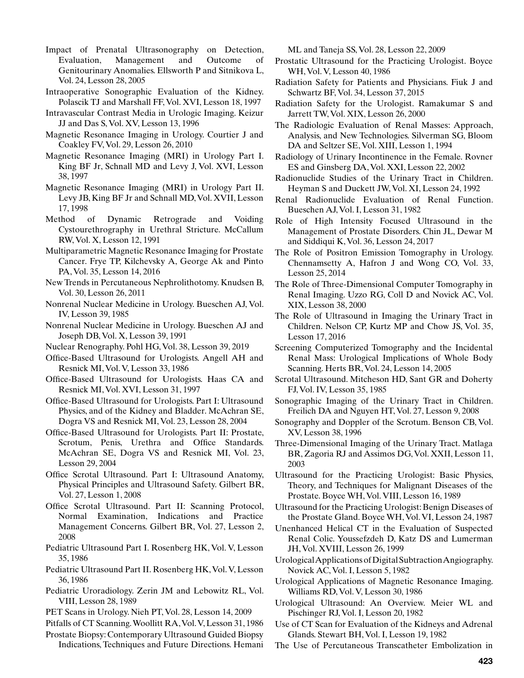- Impact of Prenatal Ultrasonography on Detection, Evaluation, Management and Outcome of Genitourinary Anomalies. Ellsworth P and Sitnikova L, Vol. 24, Lesson 28, 2005
- Intraoperative Sonographic Evaluation of the Kidney. Polascik TJ and Marshall FF, Vol. XVI, Lesson 18, 1997
- Intravascular Contrast Media in Urologic Imaging. Keizur JJ and Das S, Vol. XV, Lesson 13, 1996
- Magnetic Resonance Imaging in Urology. Courtier J and Coakley FV, Vol. 29, Lesson 26, 2010
- Magnetic Resonance Imaging (MRI) in Urology Part I. King BF Jr, Schnall MD and Levy J, Vol. XVI, Lesson 38, 1997
- Magnetic Resonance Imaging (MRI) in Urology Part II. Levy JB, King BF Jr and Schnall MD, Vol. XVII, Lesson 17, 1998
- Method of Dynamic Retrograde and Voiding Cystourethrography in Urethral Stricture. McCallum RW, Vol. X, Lesson 12, 1991
- Multiparametric Magnetic Resonance Imaging for Prostate Cancer. Frye TP, Kilchevsky A, George Ak and Pinto PA, Vol. 35, Lesson 14, 2016
- New Trends in Percutaneous Nephrolithotomy. Knudsen B, Vol. 30, Lesson 26, 2011
- Nonrenal Nuclear Medicine in Urology. Bueschen AJ, Vol. IV, Lesson 39, 1985
- Nonrenal Nuclear Medicine in Urology. Bueschen AJ and Joseph DB, Vol. X, Lesson 39, 1991
- Nuclear Renography. Pohl HG, Vol. 38, Lesson 39, 2019
- Office-Based Ultrasound for Urologists. Angell AH and Resnick MI, Vol. V, Lesson 33, 1986
- Office-Based Ultrasound for Urologists. Haas CA and Resnick MI, Vol. XVI, Lesson 31, 1997
- Office-Based Ultrasound for Urologists. Part I: Ultrasound Physics, and of the Kidney and Bladder. McAchran SE, Dogra VS and Resnick MI, Vol. 23, Lesson 28, 2004
- Office-Based Ultrasound for Urologists. Part II: Prostate, Scrotum, Penis, Urethra and Office Standards. McAchran SE, Dogra VS and Resnick MI, Vol. 23, Lesson 29, 2004
- Office Scrotal Ultrasound. Part I: Ultrasound Anatomy, Physical Principles and Ultrasound Safety. Gilbert BR, Vol. 27, Lesson 1, 2008
- Office Scrotal Ultrasound. Part II: Scanning Protocol, Normal Examination, Indications and Practice Management Concerns. Gilbert BR, Vol. 27, Lesson 2, 2008
- Pediatric Ultrasound Part I. Rosenberg HK, Vol. V, Lesson 35, 1986
- Pediatric Ultrasound Part II. Rosenberg HK, Vol. V, Lesson 36, 1986
- Pediatric Uroradiology. Zerin JM and Lebowitz RL, Vol. VIII, Lesson 28, 1989
- PET Scans in Urology. Nieh PT, Vol. 28, Lesson 14, 2009
- Pitfalls of CT Scanning. Woollitt RA, Vol. V, Lesson 31, 1986
- Prostate Biopsy: Contemporary Ultrasound Guided Biopsy Indications, Techniques and Future Directions. Hemani

ML and Taneja SS, Vol. 28, Lesson 22, 2009

- Prostatic Ultrasound for the Practicing Urologist. Boyce WH, Vol. V, Lesson 40, 1986
- Radiation Safety for Patients and Physicians. Fiuk J and Schwartz BF, Vol. 34, Lesson 37, 2015
- Radiation Safety for the Urologist. Ramakumar S and Jarrett TW, Vol. XIX, Lesson 26, 2000
- The Radiologic Evaluation of Renal Masses: Approach, Analysis, and New Technologies. Silverman SG, Bloom DA and Seltzer SE, Vol. XIII, Lesson 1, 1994
- Radiology of Urinary Incontinence in the Female. Rovner ES and Ginsberg DA, Vol. XXI, Lesson 22, 2002
- Radionuclide Studies of the Urinary Tract in Children. Heyman S and Duckett JW, Vol. XI, Lesson 24, 1992
- Renal Radionuclide Evaluation of Renal Function. Bueschen AJ, Vol. I, Lesson 31, 1982
- Role of High Intensity Focused Ultrasound in the Management of Prostate Disorders. Chin JL, Dewar M and Siddiqui K, Vol. 36, Lesson 24, 2017
- The Role of Positron Emission Tomography in Urology. Chennamsetty A, Hafron J and Wong CO, Vol. 33, Lesson 25, 2014
- The Role of Three-Dimensional Computer Tomography in Renal Imaging. Uzzo RG, Coll D and Novick AC, Vol. XIX, Lesson 38, 2000
- The Role of Ultrasound in Imaging the Urinary Tract in Children. Nelson CP, Kurtz MP and Chow JS, Vol. 35, Lesson 17, 2016
- Screening Computerized Tomography and the Incidental Renal Mass: Urological Implications of Whole Body Scanning. Herts BR, Vol. 24, Lesson 14, 2005
- Scrotal Ultrasound. Mitcheson HD, Sant GR and Doherty FJ, Vol. IV, Lesson 35, 1985
- Sonographic Imaging of the Urinary Tract in Children. Freilich DA and Nguyen HT, Vol. 27, Lesson 9, 2008
- Sonography and Doppler of the Scrotum. Benson CB, Vol. XV, Lesson 38, 1996
- Three-Dimensional Imaging of the Urinary Tract. Matlaga BR, Zagoria RJ and Assimos DG, Vol. XXII, Lesson 11, 2003
- Ultrasound for the Practicing Urologist: Basic Physics, Theory, and Techniques for Malignant Diseases of the Prostate. Boyce WH, Vol. VIII, Lesson 16, 1989
- Ultrasound for the Practicing Urologist: Benign Diseases of the Prostate Gland. Boyce WH, Vol. VI, Lesson 24, 1987
- Unenhanced Helical CT in the Evaluation of Suspected Renal Colic. Youssefzdeh D, Katz DS and Lumerman JH, Vol. XVIII, Lesson 26, 1999
- Urological Applications of Digital Subtraction Angiography. Novick AC, Vol. I, Lesson 5, 1982
- Urological Applications of Magnetic Resonance Imaging. Williams RD, Vol. V, Lesson 30, 1986
- Urological Ultrasound: An Overview. Meier WL and Pischinger RJ, Vol. I, Lesson 20, 1982
- Use of CT Scan for Evaluation of the Kidneys and Adrenal Glands. Stewart BH, Vol. I, Lesson 19, 1982
- The Use of Percutaneous Transcatheter Embolization in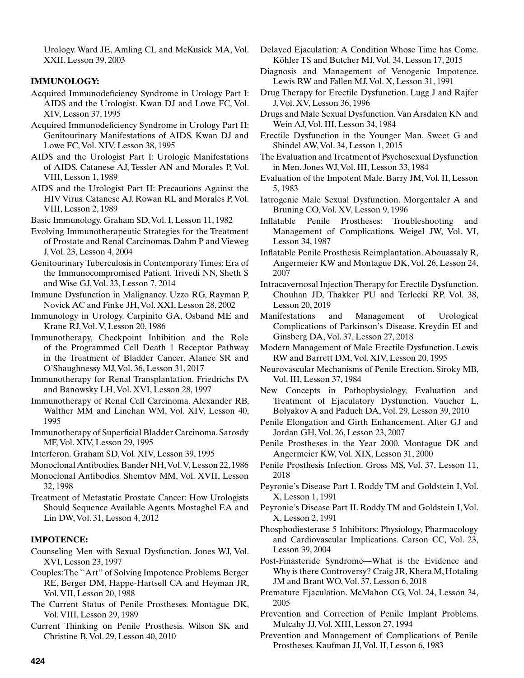Urology. Ward JE, Amling CL and McKusick MA, Vol. XXII, Lesson 39, 2003

# **IMMUNOLOGY:**

- Acquired Immunodeficiency Syndrome in Urology Part I: AIDS and the Urologist. Kwan DJ and Lowe FC, Vol. XIV, Lesson 37, 1995
- Acquired Immunodeficiency Syndrome in Urology Part II: Genitourinary Manifestations of AIDS. Kwan DJ and Lowe FC, Vol. XIV, Lesson 38, 1995
- AIDS and the Urologist Part I: Urologic Manifestations of AIDS. Catanese AJ, Tessler AN and Morales P, Vol. VIII, Lesson 1, 1989
- AIDS and the Urologist Part II: Precautions Against the HIV Virus. Catanese AJ, Rowan RL and Morales P, Vol. VIII, Lesson 2, 1989
- Basic Immunology. Graham SD, Vol. I, Lesson 11, 1982
- Evolving Immunotherapeutic Strategies for the Treatment of Prostate and Renal Carcinomas. Dahm P and Vieweg J, Vol. 23, Lesson 4, 2004
- Genitourinary Tuberculosis in Contemporary Times: Era of the Immunocompromised Patient. Trivedi NN, Sheth S and Wise GJ, Vol. 33, Lesson 7, 2014
- Immune Dysfunction in Malignancy. Uzzo RG, Rayman P, Novick AC and Finke JH, Vol. XXI, Lesson 28, 2002
- Immunology in Urology. Carpinito GA, Osband ME and Krane RJ, Vol. V, Lesson 20, 1986
- Immunotherapy, Checkpoint Inhibition and the Role of the Programmed Cell Death 1 Receptor Pathway in the Treatment of Bladder Cancer. Alanee SR and O'Shaughnessy MJ, Vol. 36, Lesson 31, 2017
- Immunotherapy for Renal Transplantation. Friedrichs PA and Banowsky LH, Vol. XVI, Lesson 28, 1997
- Immunotherapy of Renal Cell Carcinoma. Alexander RB, Walther MM and Linehan WM, Vol. XIV, Lesson 40, 1995
- Immunotherapy of Superficial Bladder Carcinoma. Sarosdy MF, Vol. XIV, Lesson 29, 1995
- Interferon. Graham SD, Vol. XIV, Lesson 39, 1995
- Monoclonal Antibodies. Bander NH, Vol. V, Lesson 22, 1986
- Monoclonal Antibodies. Shemtov MM, Vol. XVII, Lesson 32, 1998
- Treatment of Metastatic Prostate Cancer: How Urologists Should Sequence Available Agents. Mostaghel EA and Lin DW, Vol. 31, Lesson 4, 2012

# **IMPOTENCE:**

- Counseling Men with Sexual Dysfunction. Jones WJ, Vol. XVI, Lesson 23, 1997
- Couples: The ``Art'' of Solving Impotence Problems. Berger RE, Berger DM, Happe-Hartsell CA and Heyman JR, Vol. VII, Lesson 20, 1988
- The Current Status of Penile Prostheses. Montague DK, Vol. VIII, Lesson 29, 1989
- Current Thinking on Penile Prosthesis. Wilson SK and Christine B, Vol. 29, Lesson 40, 2010
- Delayed Ejaculation: A Condition Whose Time has Come. Köhler TS and Butcher MJ, Vol. 34, Lesson 17, 2015
- Diagnosis and Management of Venogenic Impotence. Lewis RW and Fallen MJ, Vol. X, Lesson 31, 1991
- Drug Therapy for Erectile Dysfunction. Lugg J and Rajfer J, Vol. XV, Lesson 36, 1996
- Drugs and Male Sexual Dysfunction. Van Arsdalen KN and Wein AJ, Vol. III, Lesson 34, 1984
- Erectile Dysfunction in the Younger Man. Sweet G and Shindel AW, Vol. 34, Lesson 1, 2015
- The Evaluation and Treatment of Psychosexual Dysfunction in Men. Jones WJ, Vol. III, Lesson 33, 1984
- Evaluation of the Impotent Male. Barry JM, Vol. II, Lesson 5, 1983
- Iatrogenic Male Sexual Dysfunction. Morgentaler A and Bruning CO, Vol. XV, Lesson 9, 1996
- Inflatable Penile Prostheses: Troubleshooting and Management of Complications. Weigel JW, Vol. VI, Lesson 34, 1987
- Inflatable Penile Prosthesis Reimplantation. Abouassaly R, Angermeier KW and Montague DK, Vol. 26, Lesson 24, 2007
- Intracavernosal Injection Therapy for Erectile Dysfunction. Chouhan JD, Thakker PU and Terlecki RP, Vol. 38, Lesson 20, 2019
- Manifestations and Management of Urological Complications of Parkinson's Disease. Kreydin EI and Ginsberg DA, Vol. 37, Lesson 27, 2018
- Modern Management of Male Erectile Dysfunction. Lewis RW and Barrett DM, Vol. XIV, Lesson 20, 1995
- Neurovascular Mechanisms of Penile Erection. Siroky MB, Vol. III, Lesson 37, 1984
- New Concepts in Pathophysiology, Evaluation and Treatment of Ejaculatory Dysfunction. Vaucher L, Bolyakov A and Paduch DA, Vol. 29, Lesson 39, 2010
- Penile Elongation and Girth Enhancement. Alter GJ and Jordan GH, Vol. 26, Lesson 23, 2007
- Penile Prostheses in the Year 2000. Montague DK and Angermeier KW, Vol. XIX, Lesson 31, 2000
- Penile Prosthesis Infection. Gross MS, Vol. 37, Lesson 11, 2018
- Peyronie's Disease Part I. Roddy TM and Goldstein I, Vol. X, Lesson 1, 1991
- Peyronie's Disease Part II. Roddy TM and Goldstein I, Vol. X, Lesson 2, 1991
- Phosphodiesterase 5 Inhibitors: Physiology, Pharmacology and Cardiovascular Implications. Carson CC, Vol. 23, Lesson 39, 2004
- Post-Finasteride Syndrome—What is the Evidence and Why is there Controversy? Craig JR, Khera M, Hotaling JM and Brant WO, Vol. 37, Lesson 6, 2018
- Premature Ejaculation. McMahon CG, Vol. 24, Lesson 34, 2005
- Prevention and Correction of Penile Implant Problems. Mulcahy JJ, Vol. XIII, Lesson 27, 1994
- Prevention and Management of Complications of Penile Prostheses. Kaufman JJ, Vol. II, Lesson 6, 1983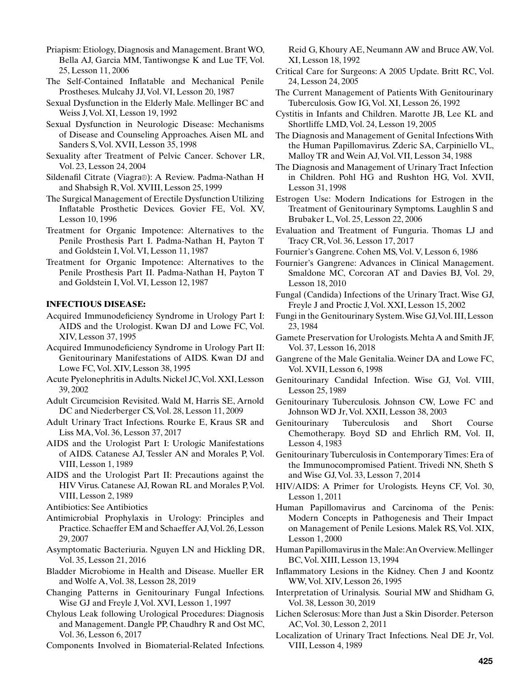Priapism: Etiology, Diagnosis and Management. Brant WO, Bella AJ, Garcia MM, Tantiwongse K and Lue TF, Vol. 25, Lesson 11, 2006

- The Self-Contained Inflatable and Mechanical Penile Prostheses. Mulcahy JJ, Vol. VI, Lesson 20, 1987
- Sexual Dysfunction in the Elderly Male. Mellinger BC and Weiss J, Vol. XI, Lesson 19, 1992
- Sexual Dysfunction in Neurologic Disease: Mechanisms of Disease and Counseling Approaches. Aisen ML and Sanders S, Vol. XVII, Lesson 35, 1998
- Sexuality after Treatment of Pelvic Cancer. Schover LR, Vol. 23, Lesson 24, 2004
- Sildenafil Citrate (Viagra®): A Review. Padma-Nathan H and Shabsigh R, Vol. XVIII, Lesson 25, 1999
- The Surgical Management of Erectile Dysfunction Utilizing Inflatable Prosthetic Devices. Govier FE, Vol. XV, Lesson 10, 1996
- Treatment for Organic Impotence: Alternatives to the Penile Prosthesis Part I. Padma-Nathan H, Payton T and Goldstein I, Vol. VI, Lesson 11, 1987
- Treatment for Organic Impotence: Alternatives to the Penile Prosthesis Part II. Padma-Nathan H, Payton T and Goldstein I, Vol. VI, Lesson 12, 1987

# **INFECTIOUS DISEASE:**

- Acquired Immunodeficiency Syndrome in Urology Part I: AIDS and the Urologist. Kwan DJ and Lowe FC, Vol. XIV, Lesson 37, 1995
- Acquired Immunodeficiency Syndrome in Urology Part II: Genitourinary Manifestations of AIDS. Kwan DJ and Lowe FC, Vol. XIV, Lesson 38, 1995
- Acute Pyelonephritis in Adults. Nickel JC, Vol. XXI, Lesson 39, 2002
- Adult Circumcision Revisited. Wald M, Harris SE, Arnold DC and Niederberger CS, Vol. 28, Lesson 11, 2009
- Adult Urinary Tract Infections. Rourke E, Kraus SR and Liss MA, Vol. 36, Lesson 37, 2017
- AIDS and the Urologist Part I: Urologic Manifestations of AIDS. Catanese AJ, Tessler AN and Morales P, Vol. VIII, Lesson 1, 1989
- AIDS and the Urologist Part II: Precautions against the HIV Virus. Catanese AJ, Rowan RL and Morales P, Vol. VIII, Lesson 2, 1989
- Antibiotics: See Antibiotics
- Antimicrobial Prophylaxis in Urology: Principles and Practice. Schaeffer EM and Schaeffer AJ, Vol. 26, Lesson 29, 2007
- Asymptomatic Bacteriuria. Nguyen LN and Hickling DR, Vol. 35, Lesson 21, 2016
- Bladder Microbiome in Health and Disease. Mueller ER and Wolfe A, Vol. 38, Lesson 28, 2019
- Changing Patterns in Genitourinary Fungal Infections. Wise GJ and Freyle J, Vol. XVI, Lesson 1, 1997
- Chylous Leak following Urological Procedures: Diagnosis and Management. Dangle PP, Chaudhry R and Ost MC, Vol. 36, Lesson 6, 2017
- Components Involved in Biomaterial-Related Infections.

Reid G, Khoury AE, Neumann AW and Bruce AW, Vol. XI, Lesson 18, 1992

- Critical Care for Surgeons: A 2005 Update. Britt RC, Vol. 24, Lesson 24, 2005
- The Current Management of Patients With Genitourinary Tuberculosis. Gow IG, Vol. XI, Lesson 26, 1992
- Cystitis in Infants and Children. Marotte JB, Lee KL and Shortliffe LMD, Vol. 24, Lesson 19, 2005
- The Diagnosis and Management of Genital Infections With the Human Papillomavirus. Zderic SA, Carpiniello VL, Malloy TR and Wein AJ, Vol. VII, Lesson 34, 1988
- The Diagnosis and Management of Urinary Tract Infection in Children. Pohl HG and Rushton HG, Vol. XVII, Lesson 31, 1998
- Estrogen Use: Modern Indications for Estrogen in the Treatment of Genitourinary Symptoms. Laughlin S and Brubaker L, Vol. 25, Lesson 22, 2006
- Evaluation and Treatment of Funguria. Thomas LJ and Tracy CR, Vol. 36, Lesson 17, 2017
- Fournier's Gangrene. Cohen MS, Vol. V, Lesson 6, 1986
- Fournier's Gangrene: Advances in Clinical Management. Smaldone MC, Corcoran AT and Davies BJ, Vol. 29, Lesson 18, 2010
- Fungal (Candida) Infections of the Urinary Tract. Wise GJ, Freyle J and Proctic J, Vol. XXI, Lesson 15, 2002
- Fungi in the Genitourinary System. Wise GJ, Vol. III, Lesson 23, 1984
- Gamete Preservation for Urologists. Mehta A and Smith JF, Vol. 37, Lesson 16, 2018
- Gangrene of the Male Genitalia. Weiner DA and Lowe FC, Vol. XVII, Lesson 6, 1998
- Genitourinary Candidal Infection. Wise GJ, Vol. VIII, Lesson 25, 1989
- Genitourinary Tuberculosis. Johnson CW, Lowe FC and Johnson WD Jr, Vol. XXII, Lesson 38, 2003
- Genitourinary Tuberculosis and Short Course Chemotherapy. Boyd SD and Ehrlich RM, Vol. II, Lesson 4, 1983
- Genitourinary Tuberculosis in Contemporary Times: Era of the Immunocompromised Patient. Trivedi NN, Sheth S and Wise GJ, Vol. 33, Lesson 7, 2014
- HIV/AIDS: A Primer for Urologists. Heyns CF, Vol. 30, Lesson 1, 2011
- Human Papillomavirus and Carcinoma of the Penis: Modern Concepts in Pathogenesis and Their Impact on Management of Penile Lesions. Malek RS, Vol. XIX, Lesson 1, 2000
- Human Papillomavirus in the Male: An Overview. Mellinger BC, Vol. XIII, Lesson 13, 1994
- Inflammatory Lesions in the Kidney. Chen J and Koontz WW, Vol. XIV, Lesson 26, 1995
- Interpretation of Urinalysis. Sourial MW and Shidham G, Vol. 38, Lesson 30, 2019
- Lichen Sclerosus: More than Just a Skin Disorder. Peterson AC, Vol. 30, Lesson 2, 2011
- Localization of Urinary Tract Infections. Neal DE Jr, Vol. VIII, Lesson 4, 1989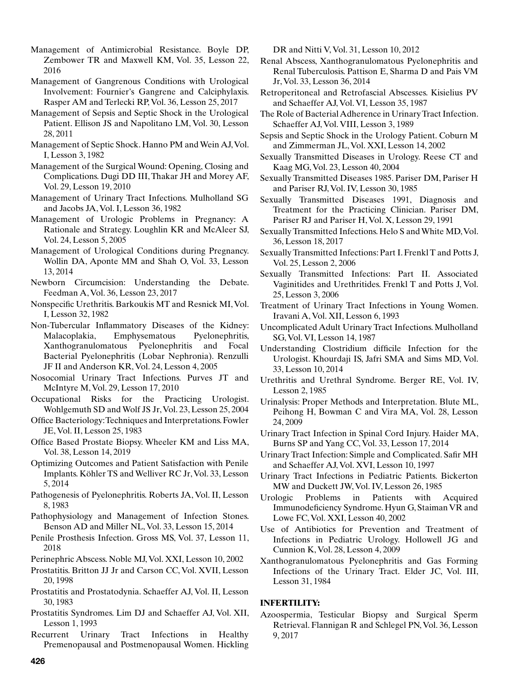Management of Antimicrobial Resistance. Boyle DP, Zembower TR and Maxwell KM, Vol. 35, Lesson 22, 2016

- Management of Gangrenous Conditions with Urological Involvement: Fournier's Gangrene and Calciphylaxis. Rasper AM and Terlecki RP, Vol. 36, Lesson 25, 2017
- Management of Sepsis and Septic Shock in the Urological Patient. Ellison JS and Napolitano LM, Vol. 30, Lesson 28, 2011
- Management of Septic Shock. Hanno PM and Wein AJ, Vol. I, Lesson 3, 1982
- Management of the Surgical Wound: Opening, Closing and Complications. Dugi DD III, Thakar JH and Morey AF, Vol. 29, Lesson 19, 2010
- Management of Urinary Tract Infections. Mulholland SG and Jacobs JA, Vol. I, Lesson 36, 1982
- Management of Urologic Problems in Pregnancy: A Rationale and Strategy. Loughlin KR and McAleer SJ, Vol. 24, Lesson 5, 2005
- Management of Urological Conditions during Pregnancy. Wollin DA, Aponte MM and Shah O, Vol. 33, Lesson 13, 2014
- Newborn Circumcision: Understanding the Debate. Feedman A, Vol. 36, Lesson 23, 2017
- Nonspecific Urethritis. Barkoukis MT and Resnick MI, Vol. I, Lesson 32, 1982
- Non-Tubercular Inflammatory Diseases of the Kidney: Malacoplakia, Emphysematous Pyelonephritis, Xanthogranulomatous Pyelonephritis and Focal Bacterial Pyelonephritis (Lobar Nephronia). Renzulli JF II and Anderson KR, Vol. 24, Lesson 4, 2005
- Nosocomial Urinary Tract Infections. Purves JT and McIntyre M, Vol. 29, Lesson 17, 2010
- Occupational Risks for the Practicing Urologist. Wohlgemuth SD and Wolf JS Jr, Vol. 23, Lesson 25, 2004
- Office Bacteriology: Techniques and Interpretations. Fowler JE, Vol. II, Lesson 25, 1983
- Office Based Prostate Biopsy. Wheeler KM and Liss MA, Vol. 38, Lesson 14, 2019
- Optimizing Outcomes and Patient Satisfaction with Penile Implants. Köhler TS and Welliver RC Jr, Vol. 33, Lesson 5, 2014
- Pathogenesis of Pyelonephritis. Roberts JA, Vol. II, Lesson 8, 1983
- Pathophysiology and Management of Infection Stones. Benson AD and Miller NL, Vol. 33, Lesson 15, 2014
- Penile Prosthesis Infection. Gross MS, Vol. 37, Lesson 11, 2018
- Perinephric Abscess. Noble MJ, Vol. XXI, Lesson 10, 2002
- Prostatitis. Britton JJ Jr and Carson CC, Vol. XVII, Lesson 20, 1998
- Prostatitis and Prostatodynia. Schaeffer AJ, Vol. II, Lesson 30, 1983
- Prostatitis Syndromes. Lim DJ and Schaeffer AJ, Vol. XII, Lesson 1, 1993
- Recurrent Urinary Tract Infections in Healthy Premenopausal and Postmenopausal Women. Hickling

DR and Nitti V, Vol. 31, Lesson 10, 2012

- Renal Abscess, Xanthogranulomatous Pyelonephritis and Renal Tuberculosis. Pattison E, Sharma D and Pais VM Jr, Vol. 33, Lesson 36, 2014
- Retroperitoneal and Retrofascial Abscesses. Kisielius PV and Schaeffer AJ, Vol. VI, Lesson 35, 1987
- The Role of Bacterial Adherence in Urinary Tract Infection. Schaeffer AJ, Vol. VIII, Lesson 3, 1989
- Sepsis and Septic Shock in the Urology Patient. Coburn M and Zimmerman JL, Vol. XXI, Lesson 14, 2002
- Sexually Transmitted Diseases in Urology. Reese CT and Kaag MG, Vol. 23, Lesson 40, 2004
- Sexually Transmitted Diseases 1985. Pariser DM, Pariser H and Pariser RJ, Vol. IV, Lesson 30, 1985
- Sexually Transmitted Diseases 1991, Diagnosis and Treatment for the Practicing Clinician. Pariser DM, Pariser RJ and Pariser H, Vol. X, Lesson 29, 1991
- Sexually Transmitted Infections. Helo S and White MD, Vol. 36, Lesson 18, 2017
- Sexually Transmitted Infections: Part I. Frenkl T and Potts J, Vol. 25, Lesson 2, 2006
- Sexually Transmitted Infections: Part II. Associated Vaginitides and Urethritides. Frenkl T and Potts J, Vol. 25, Lesson 3, 2006
- Treatment of Urinary Tract Infections in Young Women. Iravani A, Vol. XII, Lesson 6, 1993
- Uncomplicated Adult Urinary Tract Infections. Mulholland SG, Vol. VI, Lesson 14, 1987
- Understanding Clostridium difficile Infection for the Urologist. Khourdaji IS, Jafri SMA and Sims MD, Vol. 33, Lesson 10, 2014
- Urethritis and Urethral Syndrome. Berger RE, Vol. IV, Lesson 2, 1985
- Urinalysis: Proper Methods and Interpretation. Blute ML, Peihong H, Bowman C and Vira MA, Vol. 28, Lesson 24, 2009
- Urinary Tract Infection in Spinal Cord Injury. Haider MA, Burns SP and Yang CC, Vol. 33, Lesson 17, 2014
- Urinary Tract Infection: Simple and Complicated. Safir MH and Schaeffer AJ, Vol. XVI, Lesson 10, 1997
- Urinary Tract Infections in Pediatric Patients. Bickerton MW and Duckett JW, Vol. IV, Lesson 26, 1985
- Urologic Problems in Patients with Acquired Immunodeficiency Syndrome. Hyun G, Staiman VR and Lowe FC, Vol. XXI, Lesson 40, 2002
- Use of Antibiotics for Prevention and Treatment of Infections in Pediatric Urology. Hollowell JG and Cunnion K, Vol. 28, Lesson 4, 2009
- Xanthogranulomatous Pyelonephritis and Gas Forming Infections of the Urinary Tract. Elder JC, Vol. III, Lesson 31, 1984

# **INFERTILITY:**

Azoospermia, Testicular Biopsy and Surgical Sperm Retrieval. Flannigan R and Schlegel PN, Vol. 36, Lesson 9, 2017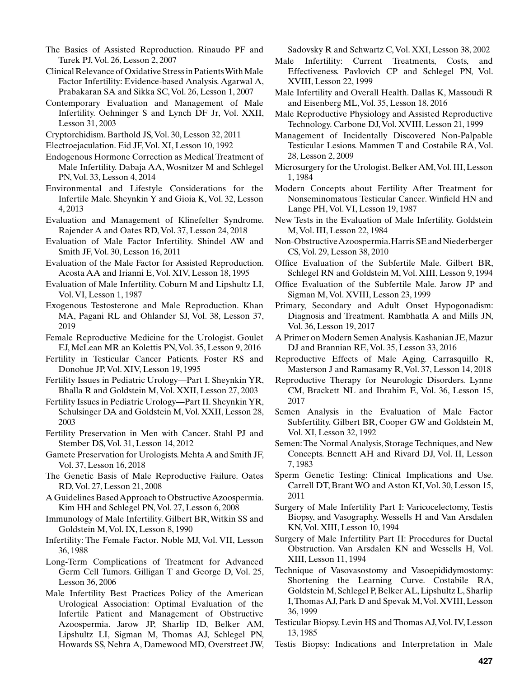- The Basics of Assisted Reproduction. Rinaudo PF and Turek PJ, Vol. 26, Lesson 2, 2007
- Clinical Relevance of Oxidative Stress in Patients With Male Factor Infertility: Evidence-based Analysis. Agarwal A, Prabakaran SA and Sikka SC, Vol. 26, Lesson 1, 2007
- Contemporary Evaluation and Management of Male Infertility. Oehninger S and Lynch DF Jr, Vol. XXII, Lesson 31, 2003
- Cryptorchidism. Barthold JS, Vol. 30, Lesson 32, 2011
- Electroejaculation. Eid JF, Vol. XI, Lesson 10, 1992
- Endogenous Hormone Correction as Medical Treatment of Male Infertility. Dabaja AA, Wosnitzer M and Schlegel PN, Vol. 33, Lesson 4, 2014
- Environmental and Lifestyle Considerations for the Infertile Male. Sheynkin Y and Gioia K, Vol. 32, Lesson 4, 2013
- Evaluation and Management of Klinefelter Syndrome. Rajender A and Oates RD, Vol. 37, Lesson 24, 2018
- Evaluation of Male Factor Infertility. Shindel AW and Smith JF, Vol. 30, Lesson 16, 2011
- Evaluation of the Male Factor for Assisted Reproduction. Acosta AA and Irianni E, Vol. XIV, Lesson 18, 1995
- Evaluation of Male Infertility. Coburn M and Lipshultz LI, Vol. VI, Lesson 1, 1987
- Exogenous Testosterone and Male Reproduction. Khan MA, Pagani RL and Ohlander SJ, Vol. 38, Lesson 37, 2019
- Female Reproductive Medicine for the Urologist. Goulet EJ, McLean MR an Kolettis PN, Vol. 35, Lesson 9, 2016
- Fertility in Testicular Cancer Patients. Foster RS and Donohue JP, Vol. XIV, Lesson 19, 1995
- Fertility Issues in Pediatric Urology—Part I. Sheynkin YR, Bhalla R and Goldstein M, Vol. XXII, Lesson 27, 2003
- Fertility Issues in Pediatric Urology—Part II. Sheynkin YR, Schulsinger DA and Goldstein M, Vol. XXII, Lesson 28, 2003
- Fertility Preservation in Men with Cancer. Stahl PJ and Stember DS, Vol. 31, Lesson 14, 2012
- Gamete Preservation for Urologists. Mehta A and Smith JF, Vol. 37, Lesson 16, 2018
- The Genetic Basis of Male Reproductive Failure. Oates RD, Vol. 27, Lesson 21, 2008
- A Guidelines Based Approach to Obstructive Azoospermia. Kim HH and Schlegel PN, Vol. 27, Lesson 6, 2008
- Immunology of Male Infertility. Gilbert BR, Witkin SS and Goldstein M, Vol. IX, Lesson 8, 1990
- Infertility: The Female Factor. Noble MJ, Vol. VII, Lesson 36, 1988
- Long-Term Complications of Treatment for Advanced Germ Cell Tumors. Gilligan T and George D, Vol. 25, Lesson 36, 2006
- Male Infertility Best Practices Policy of the American Urological Association: Optimal Evaluation of the Infertile Patient and Management of Obstructive Azoospermia. Jarow JP, Sharlip ID, Belker AM, Lipshultz LI, Sigman M, Thomas AJ, Schlegel PN, Howards SS, Nehra A, Damewood MD, Overstreet JW,

Sadovsky R and Schwartz C, Vol. XXI, Lesson 38, 2002

- Male Infertility: Current Treatments, Costs, and Effectiveness. Pavlovich CP and Schlegel PN, Vol. XVIII, Lesson 22, 1999
- Male Infertility and Overall Health. Dallas K, Massoudi R and Eisenberg ML, Vol. 35, Lesson 18, 2016
- Male Reproductive Physiology and Assisted Reproductive Technology. Carbone DJ, Vol. XVIII, Lesson 21, 1999
- Management of Incidentally Discovered Non-Palpable Testicular Lesions. Mammen T and Costabile RA, Vol. 28, Lesson 2, 2009
- Microsurgery for the Urologist. Belker AM, Vol. III, Lesson 1, 1984
- Modern Concepts about Fertility After Treatment for Nonseminomatous Testicular Cancer. Winfield HN and Lange PH, Vol. VI, Lesson 19, 1987
- New Tests in the Evaluation of Male Infertility. Goldstein M, Vol. III, Lesson 22, 1984
- Non-Obstructive Azoospermia. Harris SE and Niederberger CS, Vol. 29, Lesson 38, 2010
- Office Evaluation of the Subfertile Male. Gilbert BR, Schlegel RN and Goldstein M, Vol. XIII, Lesson 9, 1994
- Office Evaluation of the Subfertile Male. Jarow JP and Sigman M, Vol. XVIII, Lesson 23, 1999
- Primary, Secondary and Adult Onset Hypogonadism: Diagnosis and Treatment. Rambhatla A and Mills JN, Vol. 36, Lesson 19, 2017
- A Primer on Modern Semen Analysis. Kashanian JE, Mazur DJ and Brannian RE, Vol. 35, Lesson 33, 2016
- Reproductive Effects of Male Aging. Carrasquillo R, Masterson J and Ramasamy R, Vol. 37, Lesson 14, 2018
- Reproductive Therapy for Neurologic Disorders. Lynne CM, Brackett NL and Ibrahim E, Vol. 36, Lesson 15, 2017
- Semen Analysis in the Evaluation of Male Factor Subfertility. Gilbert BR, Cooper GW and Goldstein M, Vol. XI, Lesson 32, 1992
- Semen: The Normal Analysis, Storage Techniques, and New Concepts. Bennett AH and Rivard DJ, Vol. II, Lesson 7, 1983
- Sperm Genetic Testing: Clinical Implications and Use. Carrell DT, Brant WO and Aston KI, Vol. 30, Lesson 15, 2011
- Surgery of Male Infertility Part I: Varicocelectomy, Testis Biopsy, and Vasography. Wessells H and Van Arsdalen KN, Vol. XIII, Lesson 10, 1994
- Surgery of Male Infertility Part II: Procedures for Ductal Obstruction. Van Arsdalen KN and Wessells H, Vol. XIII, Lesson 11, 1994
- Technique of Vasovasostomy and Vasoepididymostomy: Shortening the Learning Curve. Costabile RA, Goldstein M, Schlegel P, Belker AL, Lipshultz L, Sharlip I, Thomas AJ, Park D and Spevak M, Vol. XVIII, Lesson 36, 1999
- Testicular Biopsy. Levin HS and Thomas AJ, Vol. IV, Lesson 13, 1985
- Testis Biopsy: Indications and Interpretation in Male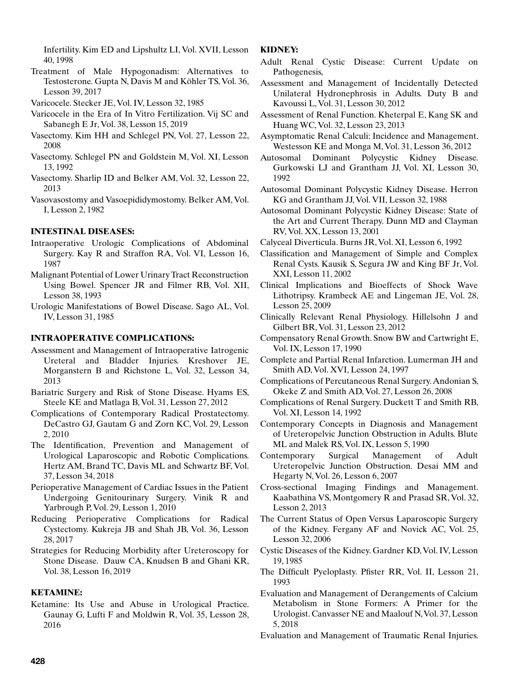Infertility. Kim ED and Lipshultz LI, Vol. XVII, Lesson 40, 1998

- Treatment of Male Hypogonadism: Alternatives to Testosterone. Gupta N, Davis M and Köhler TS, Vol. 36, Lesson 39, 2017
- Varicocele. Stecker JE, Vol. IV, Lesson 32, 1985
- Varicocele in the Era of In Vitro Fertilization. Vij SC and Sabanegh E Jr, Vol. 38, Lesson 15, 2019
- Vasectomy. Kim HH and Schlegel PN, Vol. 27, Lesson 22, 2008
- Vasectomy. Schlegel PN and Goldstein M, Vol. XI, Lesson 13, 1992
- Vasectomy. Sharlip ID and Belker AM, Vol. 32, Lesson 22, 2013
- Vasovasostomy and Vasoepididymostomy. Belker AM, Vol. I, Lesson 2, 1982

## **INTESTINAL DISEASES:**

- Intraoperative Urologic Complications of Abdominal Surgery. Kay R and Straffon RA, Vol. VI, Lesson 16, 1987
- Malignant Potential of Lower Urinary Tract Reconstruction Using Bowel. Spencer JR and Filmer RB, Vol. XII, Lesson 38, 1993
- Urologic Manifestations of Bowel Disease. Sago AL, Vol. IV, Lesson 31, 1985

### **INTRAOPERATIVE COMPLICATIONS:**

- Assessment and Management of Intraoperative Iatrogenic Ureteral and Bladder Injuries. Kreshover JE, Morganstern B and Richstone L, Vol. 32, Lesson 34, 2013
- Bariatric Surgery and Risk of Stone Disease. Hyams ES, Steele KE and Matlaga B, Vol. 31, Lesson 27, 2012
- Complications of Contemporary Radical Prostatectomy. DeCastro GJ, Gautam G and Zorn KC, Vol. 29, Lesson 2, 2010
- The Identification, Prevention and Management of Urological Laparoscopic and Robotic Complications. Hertz AM, Brand TC, Davis ML and Schwartz BF, Vol. 37, Lesson 34, 2018
- Perioperative Management of Cardiac Issues in the Patient Undergoing Genitourinary Surgery. Vinik R and Yarbrough P, Vol. 29, Lesson 1, 2010
- Reducing Perioperative Complications for Radical Cystectomy. Kukreja JB and Shah JB, Vol. 36, Lesson 28, 2017
- Strategies for Reducing Morbidity after Ureteroscopy for Stone Disease. Dauw CA, Knudsen B and Ghani KR, Vol. 38, Lesson 16, 2019

# **KETAMINE:**

Ketamine: Its Use and Abuse in Urological Practice. Gaunay G, Lufti F and Moldwin R, Vol. 35, Lesson 28, 2016

# **KIDNEY:**

- Adult Renal Cystic Disease: Current Update on Pathogenesis,
- Assessment and Management of Incidentally Detected Unilateral Hydronephrosis in Adults. Duty B and Kavoussi L, Vol. 31, Lesson 30, 2012
- Assessment of Renal Function. Kheterpal E, Kang SK and Huang WC, Vol. 32, Lesson 23, 2013
- Asymptomatic Renal Calculi: Incidence and Management. Westesson KE and Monga M, Vol. 31, Lesson 36, 2012
- Autosomal Dominant Polycystic Kidney Disease. Gurkowski LJ and Grantham JJ, Vol. XI, Lesson 30, 1992
- Autosomal Dominant Polycystic Kidney Disease. Herron KG and Grantham JJ, Vol. VII, Lesson 32, 1988
- Autosomal Dominant Polycystic Kidney Disease: State of the Art and Current Therapy. Dunn MD and Clayman RV, Vol. XX, Lesson 13, 2001
- Calyceal Diverticula. Burns JR, Vol. XI, Lesson 6, 1992
- Classification and Management of Simple and Complex Renal Cysts. Kausik S, Segura JW and King BF Jr, Vol. XXI, Lesson 11, 2002
- Clinical Implications and Bioeffects of Shock Wave Lithotripsy. Krambeck AE and Lingeman JE, Vol. 28, Lesson 25, 2009
- Clinically Relevant Renal Physiology. Hillelsohn J and Gilbert BR, Vol. 31, Lesson 23, 2012
- Compensatory Renal Growth. Snow BW and Cartwright E, Vol. IX, Lesson 17, 1990
- Complete and Partial Renal Infarction. Lumerman JH and Smith AD, Vol. XVI, Lesson 24, 1997
- Complications of Percutaneous Renal Surgery. Andonian S, Okeke Z and Smith AD, Vol. 27, Lesson 26, 2008
- Complications of Renal Surgery. Duckett T and Smith RB, Vol. XI, Lesson 14, 1992
- Contemporary Concepts in Diagnosis and Management of Ureteropelvic Junction Obstruction in Adults. Blute ML and Malek RS, Vol. IX, Lesson 5, 1990
- Contemporary Surgical Management of Adult Ureteropelvic Junction Obstruction. Desai MM and Hegarty N, Vol. 26, Lesson 6, 2007
- Cross-sectional Imaging Findings and Management. Kaabathina VS, Montgomery R and Prasad SR, Vol. 32, Lesson 2, 2013
- The Current Status of Open Versus Laparoscopic Surgery of the Kidney. Fergany AF and Novick AC, Vol. 25, Lesson 32, 2006
- Cystic Diseases of the Kidney. Gardner KD, Vol. IV, Lesson 19, 1985
- The Difficult Pyeloplasty. Pfister RR, Vol. II, Lesson 21, 1993
- Evaluation and Management of Derangements of Calcium Metabolism in Stone Formers: A Primer for the Urologist. Canvasser NE and Maalouf N, Vol. 37, Lesson 5, 2018
- Evaluation and Management of Traumatic Renal Injuries.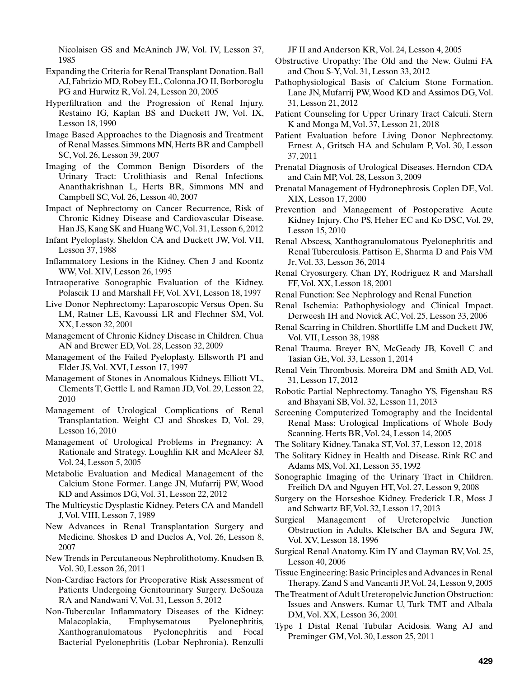Nicolaisen GS and McAninch JW, Vol. IV, Lesson 37, 1985

- Expanding the Criteria for Renal Transplant Donation. Ball AJ, Fabrizio MD, Robey EL, Colonna JO II, Borboroglu PG and Hurwitz R, Vol. 24, Lesson 20, 2005
- Hyperfiltration and the Progression of Renal Injury. Restaino IG, Kaplan BS and Duckett JW, Vol. IX, Lesson 18, 1990
- Image Based Approaches to the Diagnosis and Treatment of Renal Masses. Simmons MN, Herts BR and Campbell SC, Vol. 26, Lesson 39, 2007
- Imaging of the Common Benign Disorders of the Urinary Tract: Urolithiasis and Renal Infections. Ananthakrishnan L, Herts BR, Simmons MN and Campbell SC, Vol. 26, Lesson 40, 2007
- Impact of Nephrectomy on Cancer Recurrence, Risk of Chronic Kidney Disease and Cardiovascular Disease. Han JS, Kang SK and Huang WC, Vol. 31, Lesson 6, 2012
- Infant Pyeloplasty. Sheldon CA and Duckett JW, Vol. VII, Lesson 37, 1988
- Inflammatory Lesions in the Kidney. Chen J and Koontz WW, Vol. XIV, Lesson 26, 1995
- Intraoperative Sonographic Evaluation of the Kidney. Polascik TJ and Marshall FF, Vol. XVI, Lesson 18, 1997
- Live Donor Nephrectomy: Laparoscopic Versus Open. Su LM, Ratner LE, Kavoussi LR and Flechner SM, Vol. XX, Lesson 32, 2001
- Management of Chronic Kidney Disease in Children. Chua AN and Brewer ED, Vol. 28, Lesson 32, 2009
- Management of the Failed Pyeloplasty. Ellsworth PI and Elder JS, Vol. XVI, Lesson 17, 1997
- Management of Stones in Anomalous Kidneys. Elliott VL, Clements T, Gettle L and Raman JD, Vol. 29, Lesson 22, 2010
- Management of Urological Complications of Renal Transplantation. Weight CJ and Shoskes D, Vol. 29, Lesson 16, 2010
- Management of Urological Problems in Pregnancy: A Rationale and Strategy. Loughlin KR and McAleer SJ, Vol. 24, Lesson 5, 2005
- Metabolic Evaluation and Medical Management of the Calcium Stone Former. Lange JN, Mufarrij PW, Wood KD and Assimos DG, Vol. 31, Lesson 22, 2012
- The Multicystic Dysplastic Kidney. Peters CA and Mandell J, Vol. VIII, Lesson 7, 1989
- New Advances in Renal Transplantation Surgery and Medicine. Shoskes D and Duclos A, Vol. 26, Lesson 8, 2007
- New Trends in Percutaneous Nephrolithotomy. Knudsen B, Vol. 30, Lesson 26, 2011
- Non-Cardiac Factors for Preoperative Risk Assessment of Patients Undergoing Genitourinary Surgery. DeSouza RA and Nandwani V, Vol. 31, Lesson 5, 2012
- Non-Tubercular Inflammatory Diseases of the Kidney: Malacoplakia, Emphysematous Pyelonephritis, Xanthogranulomatous Pyelonephritis and Focal Bacterial Pyelonephritis (Lobar Nephronia). Renzulli

JF II and Anderson KR, Vol. 24, Lesson 4, 2005

- Obstructive Uropathy: The Old and the New. Gulmi FA and Chou S-Y, Vol. 31, Lesson 33, 2012
- Pathophysiological Basis of Calcium Stone Formation. Lane JN, Mufarrij PW, Wood KD and Assimos DG, Vol. 31, Lesson 21, 2012
- Patient Counseling for Upper Urinary Tract Calculi. Stern K and Monga M, Vol. 37, Lesson 21, 2018
- Patient Evaluation before Living Donor Nephrectomy. Ernest A, Gritsch HA and Schulam P, Vol. 30, Lesson 37, 2011
- Prenatal Diagnosis of Urological Diseases. Herndon CDA and Cain MP, Vol. 28, Lesson 3, 2009
- Prenatal Management of Hydronephrosis. Coplen DE, Vol. XIX, Lesson 17, 2000
- Prevention and Management of Postoperative Acute Kidney Injury. Cho PS, Heher EC and Ko DSC, Vol. 29, Lesson 15, 2010
- Renal Abscess, Xanthogranulomatous Pyelonephritis and Renal Tuberculosis. Pattison E, Sharma D and Pais VM Jr, Vol. 33, Lesson 36, 2014
- Renal Cryosurgery. Chan DY, Rodriguez R and Marshall FF, Vol. XX, Lesson 18, 2001
- Renal Function: See Nephrology and Renal Function
- Renal Ischemia: Pathophysiology and Clinical Impact. Derweesh IH and Novick AC, Vol. 25, Lesson 33, 2006
- Renal Scarring in Children. Shortliffe LM and Duckett JW, Vol. VII, Lesson 38, 1988
- Renal Trauma. Breyer BN, McGeady JB, Kovell C and Tasian GE, Vol. 33, Lesson 1, 2014
- Renal Vein Thrombosis. Moreira DM and Smith AD, Vol. 31, Lesson 17, 2012
- Robotic Partial Nephrectomy. Tanagho YS, Figenshau RS and Bhayani SB, Vol. 32, Lesson 11, 2013
- Screening Computerized Tomography and the Incidental Renal Mass: Urological Implications of Whole Body Scanning. Herts BR, Vol. 24, Lesson 14, 2005
- The Solitary Kidney. Tanaka ST, Vol. 37, Lesson 12, 2018
- The Solitary Kidney in Health and Disease. Rink RC and Adams MS, Vol. XI, Lesson 35, 1992
- Sonographic Imaging of the Urinary Tract in Children. Freilich DA and Nguyen HT, Vol. 27, Lesson 9, 2008
- Surgery on the Horseshoe Kidney. Frederick LR, Moss J and Schwartz BF, Vol. 32, Lesson 17, 2013
- Surgical Management of Ureteropelvic Junction Obstruction in Adults. Kletscher BA and Segura JW, Vol. XV, Lesson 18, 1996
- Surgical Renal Anatomy. Kim IY and Clayman RV, Vol. 25, Lesson 40, 2006
- Tissue Engineering: Basic Principles and Advances in Renal Therapy. Zand S and Vancanti JP, Vol. 24, Lesson 9, 2005
- The Treatment of Adult Ureteropelvic Junction Obstruction: Issues and Answers. Kumar U, Turk TMT and Albala DM, Vol. XX, Lesson 36, 2001
- Type I Distal Renal Tubular Acidosis. Wang AJ and Preminger GM, Vol. 30, Lesson 25, 2011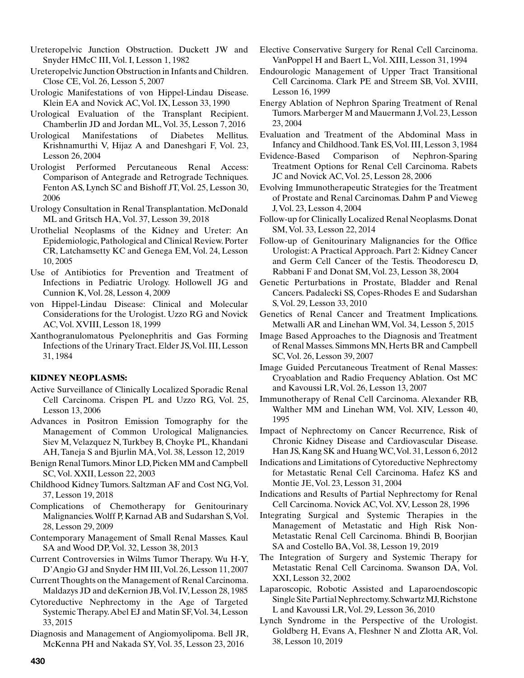- Ureteropelvic Junction Obstruction. Duckett JW and Snyder HMcC III, Vol. I, Lesson 1, 1982
- Ureteropelvic Junction Obstruction in Infants and Children. Close CE, Vol. 26, Lesson 5, 2007
- Urologic Manifestations of von Hippel-Lindau Disease. Klein EA and Novick AC, Vol. IX, Lesson 33, 1990
- Urological Evaluation of the Transplant Recipient. Chamberlin JD and Jordan ML, Vol. 35, Lesson 7, 2016
- Urological Manifestations of Diabetes Mellitus. Krishnamurthi V, Hijaz A and Daneshgari F, Vol. 23, Lesson 26, 2004
- Urologist Performed Percutaneous Renal Access: Comparison of Antegrade and Retrograde Techniques. Fenton AS, Lynch SC and Bishoff JT, Vol. 25, Lesson 30, 2006
- Urology Consultation in Renal Transplantation. McDonald ML and Gritsch HA, Vol. 37, Lesson 39, 2018
- Urothelial Neoplasms of the Kidney and Ureter: An Epidemiologic, Pathological and Clinical Review. Porter CR, Latchamsetty KC and Genega EM, Vol. 24, Lesson 10, 2005
- Use of Antibiotics for Prevention and Treatment of Infections in Pediatric Urology. Hollowell JG and Cunnion K, Vol. 28, Lesson 4, 2009
- von Hippel-Lindau Disease: Clinical and Molecular Considerations for the Urologist. Uzzo RG and Novick AC, Vol. XVIII, Lesson 18, 1999
- Xanthogranulomatous Pyelonephritis and Gas Forming Infections of the Urinary Tract. Elder JS, Vol. III, Lesson 31, 1984

# **KIDNEY NEOPLASMS:**

- Active Surveillance of Clinically Localized Sporadic Renal Cell Carcinoma. Crispen PL and Uzzo RG, Vol. 25, Lesson 13, 2006
- Advances in Positron Emission Tomography for the Management of Common Urological Malignancies. Siev M, Velazquez N, Turkbey B, Choyke PL, Khandani AH, Taneja S and Bjurlin MA, Vol. 38, Lesson 12, 2019
- Benign Renal Tumors. Minor LD, Picken MM and Campbell SC, Vol. XXII, Lesson 22, 2003
- Childhood Kidney Tumors. Saltzman AF and Cost NG, Vol. 37, Lesson 19, 2018
- Complications of Chemotherapy for Genitourinary Malignancies. Wolff P, Karnad AB and Sudarshan S, Vol. 28, Lesson 29, 2009
- Contemporary Management of Small Renal Masses. Kaul SA and Wood DP, Vol. 32, Lesson 38, 2013
- Current Controversies in Wilms Tumor Therapy. Wu H-Y, D'Angio GJ and Snyder HM III, Vol. 26, Lesson 11, 2007
- Current Thoughts on the Management of Renal Carcinoma. Maldazys JD and deKernion JB, Vol. IV, Lesson 28, 1985
- Cytoreductive Nephrectomy in the Age of Targeted Systemic Therapy. Abel EJ and Matin SF, Vol. 34, Lesson 33, 2015
- Diagnosis and Management of Angiomyolipoma. Bell JR, McKenna PH and Nakada SY, Vol. 35, Lesson 23, 2016
- Elective Conservative Surgery for Renal Cell Carcinoma. VanPoppel H and Baert L, Vol. XIII, Lesson 31, 1994
- Endourologic Management of Upper Tract Transitional Cell Carcinoma. Clark PE and Streem SB, Vol. XVIII, Lesson 16, 1999
- Energy Ablation of Nephron Sparing Treatment of Renal Tumors. Marberger M and Mauermann J, Vol. 23, Lesson 23, 2004
- Evaluation and Treatment of the Abdominal Mass in Infancy and Childhood. Tank ES, Vol. III, Lesson 3, 1984
- Evidence-Based Comparison of Nephron-Sparing Treatment Options for Renal Cell Carcinoma. Rabets JC and Novick AC, Vol. 25, Lesson 28, 2006
- Evolving Immunotherapeutic Strategies for the Treatment of Prostate and Renal Carcinomas. Dahm P and Vieweg J, Vol. 23, Lesson 4, 2004
- Follow-up for Clinically Localized Renal Neoplasms. Donat SM, Vol. 33, Lesson 22, 2014
- Follow-up of Genitourinary Malignancies for the Office Urologist: A Practical Approach. Part 2: Kidney Cancer and Germ Cell Cancer of the Testis. Theodorescu D, Rabbani F and Donat SM, Vol. 23, Lesson 38, 2004
- Genetic Perturbations in Prostate, Bladder and Renal Cancers. Padalecki SS, Copes-Rhodes E and Sudarshan S, Vol. 29, Lesson 33, 2010
- Genetics of Renal Cancer and Treatment Implications. Metwalli AR and Linehan WM, Vol. 34, Lesson 5, 2015
- Image Based Approaches to the Diagnosis and Treatment of Renal Masses. Simmons MN, Herts BR and Campbell SC, Vol. 26, Lesson 39, 2007
- Image Guided Percutaneous Treatment of Renal Masses: Cryoablation and Radio Frequency Ablation. Ost MC and Kavoussi LR, Vol. 26, Lesson 13, 2007
- Immunotherapy of Renal Cell Carcinoma. Alexander RB, Walther MM and Linehan WM, Vol. XIV, Lesson 40, 1995
- Impact of Nephrectomy on Cancer Recurrence, Risk of Chronic Kidney Disease and Cardiovascular Disease. Han JS, Kang SK and Huang WC, Vol. 31, Lesson 6, 2012
- Indications and Limitations of Cytoreductive Nephrectomy for Metastatic Renal Cell Carcinoma. Hafez KS and Montie JE, Vol. 23, Lesson 31, 2004
- Indications and Results of Partial Nephrectomy for Renal Cell Carcinoma. Novick AC, Vol. XV, Lesson 28, 1996
- Integrating Surgical and Systemic Therapies in the Management of Metastatic and High Risk Non-Metastatic Renal Cell Carcinoma. Bhindi B, Boorjian SA and Costello BA, Vol. 38, Lesson 19, 2019
- The Integration of Surgery and Systemic Therapy for Metastatic Renal Cell Carcinoma. Swanson DA, Vol. XXI, Lesson 32, 2002
- Laparoscopic, Robotic Assisted and Laparoendoscopic Single Site Partial Nephrectomy. Schwartz MJ, Richstone L and Kavoussi LR, Vol. 29, Lesson 36, 2010
- Lynch Syndrome in the Perspective of the Urologist. Goldberg H, Evans A, Fleshner N and Zlotta AR, Vol. 38, Lesson 10, 2019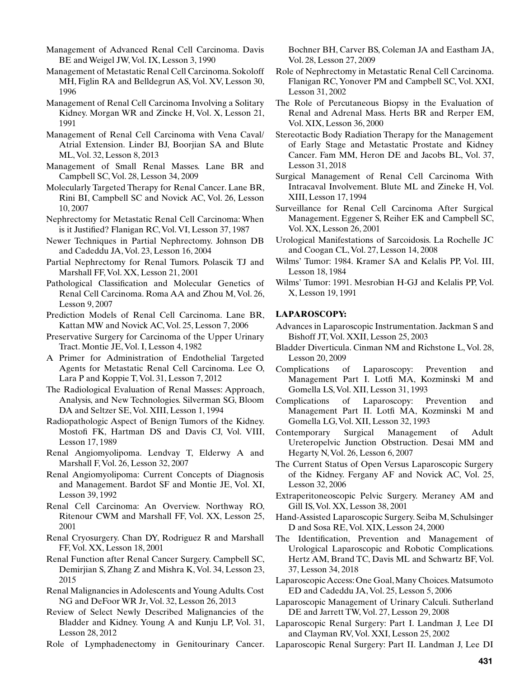Management of Advanced Renal Cell Carcinoma. Davis BE and Weigel JW, Vol. IX, Lesson 3, 1990

Management of Metastatic Renal Cell Carcinoma. Sokoloff MH, Figlin RA and Belldegrun AS, Vol. XV, Lesson 30, 1996

Management of Renal Cell Carcinoma Involving a Solitary Kidney. Morgan WR and Zincke H, Vol. X, Lesson 21, 1991

Management of Renal Cell Carcinoma with Vena Caval/ Atrial Extension. Linder BJ, Boorjian SA and Blute ML, Vol. 32, Lesson 8, 2013

- Management of Small Renal Masses. Lane BR and Campbell SC, Vol. 28, Lesson 34, 2009
- Molecularly Targeted Therapy for Renal Cancer. Lane BR, Rini BI, Campbell SC and Novick AC, Vol. 26, Lesson 10, 2007
- Nephrectomy for Metastatic Renal Cell Carcinoma: When is it Justified? Flanigan RC, Vol. VI, Lesson 37, 1987
- Newer Techniques in Partial Nephrectomy. Johnson DB and Cadeddu JA, Vol. 23, Lesson 16, 2004
- Partial Nephrectomy for Renal Tumors. Polascik TJ and Marshall FF, Vol. XX, Lesson 21, 2001
- Pathological Classification and Molecular Genetics of Renal Cell Carcinoma. Roma AA and Zhou M, Vol. 26, Lesson 9, 2007
- Prediction Models of Renal Cell Carcinoma. Lane BR, Kattan MW and Novick AC, Vol. 25, Lesson 7, 2006
- Preservative Surgery for Carcinoma of the Upper Urinary Tract. Montie JE, Vol. I, Lesson 4, 1982
- A Primer for Administration of Endothelial Targeted Agents for Metastatic Renal Cell Carcinoma. Lee O, Lara P and Koppie T, Vol. 31, Lesson 7, 2012
- The Radiological Evaluation of Renal Masses: Approach, Analysis, and New Technologies. Silverman SG, Bloom DA and Seltzer SE, Vol. XIII, Lesson 1, 1994
- Radiopathologic Aspect of Benign Tumors of the Kidney. Mostofi FK, Hartman DS and Davis CJ, Vol. VIII, Lesson 17, 1989
- Renal Angiomyolipoma. Lendvay T, Elderwy A and Marshall F, Vol. 26, Lesson 32, 2007
- Renal Angiomyolipoma: Current Concepts of Diagnosis and Management. Bardot SF and Montie JE, Vol. XI, Lesson 39, 1992
- Renal Cell Carcinoma: An Overview. Northway RO, Ritenour CWM and Marshall FF, Vol. XX, Lesson 25, 2001
- Renal Cryosurgery. Chan DY, Rodriguez R and Marshall FF, Vol. XX, Lesson 18, 2001
- Renal Function after Renal Cancer Surgery. Campbell SC, Demirjian S, Zhang Z and Mishra K, Vol. 34, Lesson 23, 2015
- Renal Malignancies in Adolescents and Young Adults. Cost NG and DeFoor WR Jr, Vol. 32, Lesson 26, 2013
- Review of Select Newly Described Malignancies of the Bladder and Kidney. Young A and Kunju LP, Vol. 31, Lesson 28, 2012
- Role of Lymphadenectomy in Genitourinary Cancer.

Bochner BH, Carver BS, Coleman JA and Eastham JA, Vol. 28, Lesson 27, 2009

- Role of Nephrectomy in Metastatic Renal Cell Carcinoma. Flanigan RC, Yonover PM and Campbell SC, Vol. XXI, Lesson 31, 2002
- The Role of Percutaneous Biopsy in the Evaluation of Renal and Adrenal Mass. Herts BR and Rerper EM, Vol. XIX, Lesson 36, 2000
- Stereotactic Body Radiation Therapy for the Management of Early Stage and Metastatic Prostate and Kidney Cancer. Fam MM, Heron DE and Jacobs BL, Vol. 37, Lesson 31, 2018
- Surgical Management of Renal Cell Carcinoma With Intracaval Involvement. Blute ML and Zineke H, Vol. XIII, Lesson 17, 1994
- Surveillance for Renal Cell Carcinoma After Surgical Management. Eggener S, Reiher EK and Campbell SC, Vol. XX, Lesson 26, 2001
- Urological Manifestations of Sarcoidosis. La Rochelle JC and Coogan CL, Vol. 27, Lesson 14, 2008
- Wilms' Tumor: 1984. Kramer SA and Kelalis PP, Vol. III, Lesson 18, 1984
- Wilms' Tumor: 1991. Mesrobian H-GJ and Kelalis PP, Vol. X, Lesson 19, 1991

# **LAPAROSCOPY:**

- Advances in Laparoscopic Instrumentation. Jackman S and Bishoff JT, Vol. XXII, Lesson 25, 2003
- Bladder Diverticula. Cinman NM and Richstone L, Vol. 28, Lesson 20, 2009
- Complications of Laparoscopy: Prevention and Management Part I. Lotfi MA, Kozminski M and Gomella LS, Vol. XII, Lesson 31, 1993
- Complications of Laparoscopy: Prevention and Management Part II. Lotfi MA, Kozminski M and Gomella LG, Vol. XII, Lesson 32, 1993
- Contemporary Surgical Management of Adult Ureteropelvic Junction Obstruction. Desai MM and Hegarty N, Vol. 26, Lesson 6, 2007
- The Current Status of Open Versus Laparoscopic Surgery of the Kidney. Fergany AF and Novick AC, Vol. 25, Lesson 32, 2006
- Extraperitoneoscopic Pelvic Surgery. Meraney AM and Gill IS, Vol. XX, Lesson 38, 2001
- Hand-Assisted Laparoscopic Surgery. Seiba M, Schulsinger D and Sosa RE, Vol. XIX, Lesson 24, 2000
- The Identification, Prevention and Management of Urological Laparoscopic and Robotic Complications. Hertz AM, Brand TC, Davis ML and Schwartz BF, Vol. 37, Lesson 34, 2018
- Laparoscopic Access: One Goal, Many Choices. Matsumoto ED and Cadeddu JA, Vol. 25, Lesson 5, 2006
- Laparoscopic Management of Urinary Calculi. Sutherland DE and Jarrett TW, Vol. 27, Lesson 29, 2008
- Laparoscopic Renal Surgery: Part I. Landman J, Lee DI and Clayman RV, Vol. XXI, Lesson 25, 2002
- Laparoscopic Renal Surgery: Part II. Landman J, Lee DI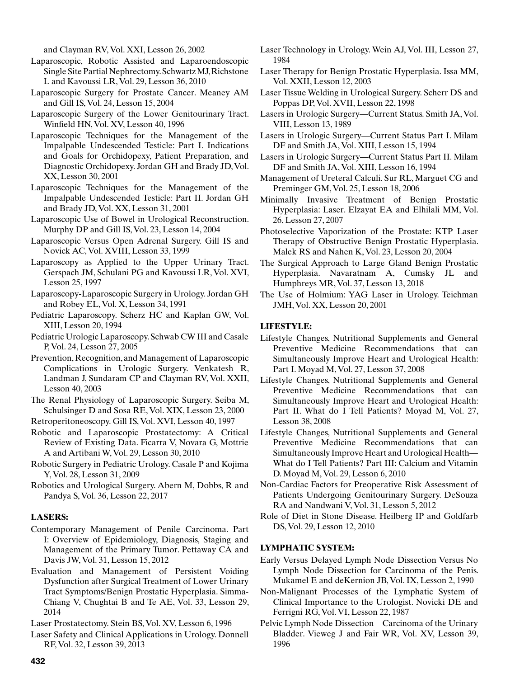and Clayman RV, Vol. XXI, Lesson 26, 2002

- Laparoscopic, Robotic Assisted and Laparoendoscopic Single Site Partial Nephrectomy. Schwartz MJ, Richstone L and Kavoussi LR, Vol. 29, Lesson 36, 2010
- Laparoscopic Surgery for Prostate Cancer. Meaney AM and Gill IS, Vol. 24, Lesson 15, 2004
- Laparoscopic Surgery of the Lower Genitourinary Tract. Winfield HN, Vol. XV, Lesson 40, 1996
- Laparoscopic Techniques for the Management of the Impalpable Undescended Testicle: Part I. Indications and Goals for Orchidopexy, Patient Preparation, and Diagnostic Orchidopexy. Jordan GH and Brady JD, Vol. XX, Lesson 30, 2001
- Laparoscopic Techniques for the Management of the Impalpable Undescended Testicle: Part II. Jordan GH and Brady JD, Vol. XX, Lesson 31, 2001
- Laparoscopic Use of Bowel in Urological Reconstruction. Murphy DP and Gill IS, Vol. 23, Lesson 14, 2004
- Laparoscopic Versus Open Adrenal Surgery. Gill IS and Novick AC, Vol. XVIII, Lesson 33, 1999
- Laparoscopy as Applied to the Upper Urinary Tract. Gerspach JM, Schulani PG and Kavoussi LR, Vol. XVI, Lesson 25, 1997
- Laparoscopy-Laparoscopic Surgery in Urology. Jordan GH and Robey EL, Vol. X, Lesson 34, 1991
- Pediatric Laparoscopy. Scherz HC and Kaplan GW, Vol. XIII, Lesson 20, 1994
- Pediatric Urologic Laparoscopy. Schwab CW III and Casale P, Vol. 24, Lesson 27, 2005
- Prevention, Recognition, and Management of Laparoscopic Complications in Urologic Surgery. Venkatesh R, Landman J, Sundaram CP and Clayman RV, Vol. XXII, Lesson 40, 2003
- The Renal Physiology of Laparoscopic Surgery. Seiba M, Schulsinger D and Sosa RE, Vol. XIX, Lesson 23, 2000
- Retroperitoneoscopy. Gill IS, Vol. XVI, Lesson 40, 1997
- Robotic and Laparoscopic Prostatectomy: A Critical Review of Existing Data. Ficarra V, Novara G, Mottrie A and Artibani W, Vol. 29, Lesson 30, 2010
- Robotic Surgery in Pediatric Urology. Casale P and Kojima Y, Vol. 28, Lesson 31, 2009
- Robotics and Urological Surgery. Abern M, Dobbs, R and Pandya S, Vol. 36, Lesson 22, 2017

## **LASERS:**

- Contemporary Management of Penile Carcinoma. Part I: Overview of Epidemiology, Diagnosis, Staging and Management of the Primary Tumor. Pettaway CA and Davis JW, Vol. 31, Lesson 15, 2012
- Evaluation and Management of Persistent Voiding Dysfunction after Surgical Treatment of Lower Urinary Tract Symptoms/Benign Prostatic Hyperplasia. Simma-Chiang V, Chughtai B and Te AE, Vol. 33, Lesson 29, 2014
- Laser Prostatectomy. Stein BS, Vol. XV, Lesson 6, 1996
- Laser Safety and Clinical Applications in Urology. Donnell RF, Vol. 32, Lesson 39, 2013
- Laser Technology in Urology. Wein AJ, Vol. III, Lesson 27, 1984
- Laser Therapy for Benign Prostatic Hyperplasia. Issa MM, Vol. XXII, Lesson 12, 2003
- Laser Tissue Welding in Urological Surgery. Scherr DS and Poppas DP, Vol. XVII, Lesson 22, 1998
- Lasers in Urologic Surgery—Current Status. Smith JA, Vol. VIII, Lesson 13, 1989
- Lasers in Urologic Surgery—Current Status Part I. Milam DF and Smith JA, Vol. XIII, Lesson 15, 1994
- Lasers in Urologic Surgery—Current Status Part II. Milam DF and Smith JA, Vol. XIII, Lesson 16, 1994
- Management of Ureteral Calculi. Sur RL, Marguet CG and Preminger GM, Vol. 25, Lesson 18, 2006
- Minimally Invasive Treatment of Benign Prostatic Hyperplasia: Laser. Elzayat EA and Elhilali MM, Vol. 26, Lesson 27, 2007
- Photoselective Vaporization of the Prostate: KTP Laser Therapy of Obstructive Benign Prostatic Hyperplasia. Malek RS and Nahen K, Vol. 23, Lesson 20, 2004
- The Surgical Approach to Large Gland Benign Prostatic Hyperplasia. Navaratnam A, Cumsky JL and Humphreys MR, Vol. 37, Lesson 13, 2018
- The Use of Holmium: YAG Laser in Urology. Teichman JMH, Vol. XX, Lesson 20, 2001

#### **LIFESTYLE:**

- Lifestyle Changes, Nutritional Supplements and General Preventive Medicine Recommendations that can Simultaneously Improve Heart and Urological Health: Part I. Moyad M, Vol. 27, Lesson 37, 2008
- Lifestyle Changes, Nutritional Supplements and General Preventive Medicine Recommendations that can Simultaneously Improve Heart and Urological Health: Part II. What do I Tell Patients? Moyad M, Vol. 27, Lesson 38, 2008
- Lifestyle Changes, Nutritional Supplements and General Preventive Medicine Recommendations that can Simultaneously Improve Heart and Urological Health— What do I Tell Patients? Part III: Calcium and Vitamin D. Moyad M, Vol. 29, Lesson 6, 2010
- Non-Cardiac Factors for Preoperative Risk Assessment of Patients Undergoing Genitourinary Surgery. DeSouza RA and Nandwani V, Vol. 31, Lesson 5, 2012
- Role of Diet in Stone Disease. Heilberg IP and Goldfarb DS, Vol. 29, Lesson 12, 2010

### **LYMPHATIC SYSTEM:**

- Early Versus Delayed Lymph Node Dissection Versus No Lymph Node Dissection for Carcinoma of the Penis. Mukamel E and deKernion JB, Vol. IX, Lesson 2, 1990
- Non-Malignant Processes of the Lymphatic System of Clinical Importance to the Urologist. Novicki DE and Ferrigni RG, Vol. VI, Lesson 22, 1987
- Pelvic Lymph Node Dissection—Carcinoma of the Urinary Bladder. Vieweg J and Fair WR, Vol. XV, Lesson 39, 1996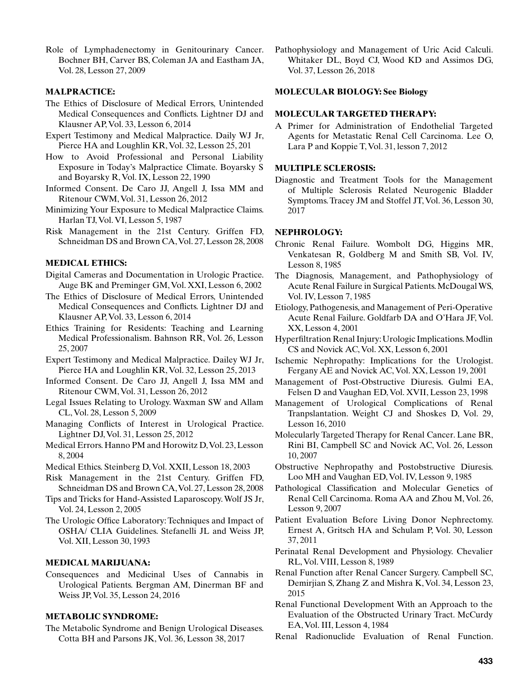Role of Lymphadenectomy in Genitourinary Cancer. Bochner BH, Carver BS, Coleman JA and Eastham JA, Vol. 28, Lesson 27, 2009

# **MALPRACTICE:**

- The Ethics of Disclosure of Medical Errors, Unintended Medical Consequences and Conflicts. Lightner DJ and Klausner AP, Vol. 33, Lesson 6, 2014
- Expert Testimony and Medical Malpractice. Daily WJ Jr, Pierce HA and Loughlin KR, Vol. 32, Lesson 25, 201
- How to Avoid Professional and Personal Liability Exposure in Today's Malpractice Climate. Boyarsky S and Boyarsky R, Vol. IX, Lesson 22, 1990
- Informed Consent. De Caro JJ, Angell J, Issa MM and Ritenour CWM, Vol. 31, Lesson 26, 2012
- Minimizing Your Exposure to Medical Malpractice Claims. Harlan TJ, Vol. VI, Lesson 5, 1987
- Risk Management in the 21st Century. Griffen FD, Schneidman DS and Brown CA, Vol. 27, Lesson 28, 2008

#### **MEDICAL ETHICS:**

- Digital Cameras and Documentation in Urologic Practice. Auge BK and Preminger GM, Vol. XXI, Lesson 6, 2002
- The Ethics of Disclosure of Medical Errors, Unintended Medical Consequences and Conflicts. Lightner DJ and Klausner AP, Vol. 33, Lesson 6, 2014
- Ethics Training for Residents: Teaching and Learning Medical Professionalism. Bahnson RR, Vol. 26, Lesson 25, 2007
- Expert Testimony and Medical Malpractice. Dailey WJ Jr, Pierce HA and Loughlin KR, Vol. 32, Lesson 25, 2013
- Informed Consent. De Caro JJ, Angell J, Issa MM and Ritenour CWM, Vol. 31, Lesson 26, 2012
- Legal Issues Relating to Urology. Waxman SW and Allam CL, Vol. 28, Lesson 5, 2009
- Managing Conflicts of Interest in Urological Practice. Lightner DJ, Vol. 31, Lesson 25, 2012
- Medical Errors. Hanno PM and Horowitz D, Vol. 23, Lesson 8, 2004
- Medical Ethics. Steinberg D, Vol. XXII, Lesson 18, 2003
- Risk Management in the 21st Century. Griffen FD, Schneidman DS and Brown CA, Vol. 27, Lesson 28, 2008
- Tips and Tricks for Hand-Assisted Laparoscopy. Wolf JS Jr, Vol. 24, Lesson 2, 2005
- The Urologic Office Laboratory: Techniques and Impact of OSHA/ CLIA Guidelines. Stefanelli JL and Weiss JP, Vol. XII, Lesson 30, 1993

## **MEDICAL MARIJUANA:**

Consequences and Medicinal Uses of Cannabis in Urological Patients. Bergman AM, Dinerman BF and Weiss JP, Vol. 35, Lesson 24, 2016

### **METABOLIC SYNDROME:**

The Metabolic Syndrome and Benign Urological Diseases. Cotta BH and Parsons JK, Vol. 36, Lesson 38, 2017

Pathophysiology and Management of Uric Acid Calculi. Whitaker DL, Boyd CJ, Wood KD and Assimos DG, Vol. 37, Lesson 26, 2018

# **MOLECULAR BIOLOGY: See Biology**

#### **MOLECULAR TARGETED THERAPY:**

A Primer for Administration of Endothelial Targeted Agents for Metastatic Renal Cell Carcinoma. Lee O, Lara P and Koppie T, Vol. 31, lesson 7, 2012

#### **MULTIPLE SCLEROSIS:**

Diagnostic and Treatment Tools for the Management of Multiple Sclerosis Related Neurogenic Bladder Symptoms. Tracey JM and Stoffel JT, Vol. 36, Lesson 30, 2017

## **NEPHROLOGY:**

- Chronic Renal Failure. Wombolt DG, Higgins MR, Venkatesan R, Goldberg M and Smith SB, Vol. IV, Lesson 8, 1985
- The Diagnosis, Management, and Pathophysiology of Acute Renal Failure in Surgical Patients. McDougal WS, Vol. IV, Lesson 7, 1985
- Etiology, Pathogenesis, and Management of Peri-Operative Acute Renal Failure. Goldfarb DA and O'Hara JF, Vol. XX, Lesson 4, 2001
- Hyperfiltration Renal Injury: Urologic Implications. Modlin CS and Novick AC, Vol. XX, Lesson 6, 2001
- Ischemic Nephropathy: Implications for the Urologist. Fergany AE and Novick AC, Vol. XX, Lesson 19, 2001
- Management of Post-Obstructive Diuresis. Gulmi EA, Felsen D and Vaughan ED, Vol. XVII, Lesson 23, 1998
- Management of Urological Complications of Renal Tranpslantation. Weight CJ and Shoskes D, Vol. 29, Lesson 16, 2010
- Molecularly Targeted Therapy for Renal Cancer. Lane BR, Rini BI, Campbell SC and Novick AC, Vol. 26, Lesson 10, 2007
- Obstructive Nephropathy and Postobstructive Diuresis. Loo MH and Vaughan ED, Vol. IV, Lesson 9, 1985
- Pathological Classification and Molecular Genetics of Renal Cell Carcinoma. Roma AA and Zhou M, Vol. 26, Lesson 9, 2007
- Patient Evaluation Before Living Donor Nephrectomy. Ernest A, Gritsch HA and Schulam P, Vol. 30, Lesson 37, 2011
- Perinatal Renal Development and Physiology. Chevalier RL, Vol. VIII, Lesson 8, 1989
- Renal Function after Renal Cancer Surgery. Campbell SC, Demirjian S, Zhang Z and Mishra K, Vol. 34, Lesson 23, 2015
- Renal Functional Development With an Approach to the Evaluation of the Obstructed Urinary Tract. McCurdy EA, Vol. III, Lesson 4, 1984
- Renal Radionuclide Evaluation of Renal Function.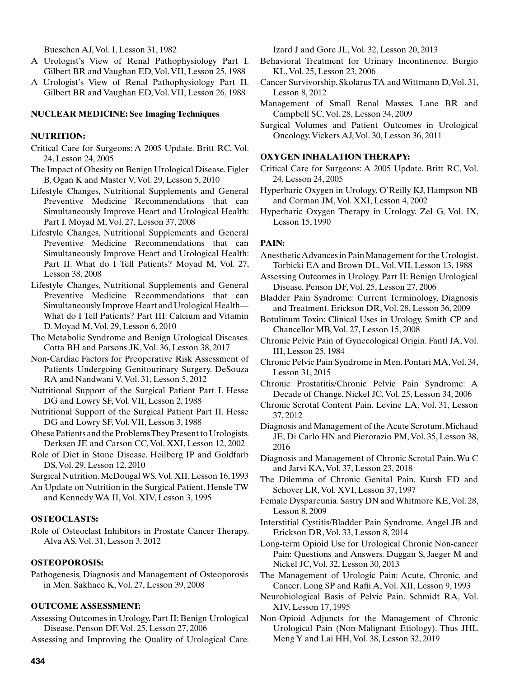Bueschen AJ, Vol. I, Lesson 31, 1982

- A Urologist's View of Renal Pathophysiology Part I. Gilbert BR and Vaughan ED, Vol. VII, Lesson 25, 1988
- A Urologist's View of Renal Pathophysiology Part II. Gilbert BR and Vaughan ED, Vol. VII, Lesson 26, 1988

# **NUCLEAR MEDICINE: See Imaging Techniques**

# **NUTRITION:**

- Critical Care for Surgeons: A 2005 Update. Britt RC, Vol. 24, Lesson 24, 2005
- The Impact of Obesity on Benign Urological Disease. Figler B, Ogan K and Master V, Vol. 29, Lesson 5, 2010
- Lifestyle Changes, Nutritional Supplements and General Preventive Medicine Recommendations that can Simultaneously Improve Heart and Urological Health: Part I. Moyad M, Vol. 27, Lesson 37, 2008
- Lifestyle Changes, Nutritional Supplements and General Preventive Medicine Recommendations that can Simultaneously Improve Heart and Urological Health: Part II. What do I Tell Patients? Moyad M, Vol. 27, Lesson 38, 2008
- Lifestyle Changes, Nutritional Supplements and General Preventive Medicine Recommendations that can Simultaneously Improve Heart and Urological Health— What do I Tell Patients? Part III: Calcium and Vitamin D. Moyad M, Vol. 29, Lesson 6, 2010
- The Metabolic Syndrome and Benign Urological Diseases. Cotta BH and Parsons JK, Vol. 36, Lesson 38, 2017
- Non-Cardiac Factors for Preoperative Risk Assessment of Patients Undergoing Genitourinary Surgery. DeSouza RA and Nandwani V, Vol. 31, Lesson 5, 2012
- Nutritional Support of the Surgical Patient Part I. Hesse DG and Lowry SF, Vol. VII, Lesson 2, 1988
- Nutritional Support of the Surgical Patient Part II. Hesse DG and Lowry SF, Vol. VII, Lesson 3, 1988
- Obese Patients and the Problems They Present to Urologists. Derksen JE and Carson CC, Vol. XXI, Lesson 12, 2002
- Role of Diet in Stone Disease. Heilberg IP and Goldfarb DS, Vol. 29, Lesson 12, 2010
- Surgical Nutrition. McDougal WS, Vol. XII, Lesson 16, 1993
- An Update on Nutrition in the Surgical Patient. Hensle TW and Kennedy WA II, Vol. XIV, Lesson 3, 1995

#### **OSTEOCLASTS:**

Role of Osteoclast Inhibitors in Prostate Cancer Therapy. Alva AS, Vol. 31, Lesson 3, 2012

#### **OSTEOPOROSIS:**

Pathogenesis, Diagnosis and Management of Osteoporosis in Men. Sakhaee K, Vol. 27, Lesson 39, 2008

#### **OUTCOME ASSESSMENT:**

Assessing Outcomes in Urology. Part II: Benign Urological Disease. Penson DF, Vol. 25, Lesson 27, 2006

Assessing and Improving the Quality of Urological Care.

Izard J and Gore JL, Vol. 32, Lesson 20, 2013

- Behavioral Treatment for Urinary Incontinence. Burgio KL, Vol. 25, Lesson 23, 2006
- Cancer Survivorship. Skolarus TA and Wittmann D, Vol. 31, Lesson 8, 2012
- Management of Small Renal Masses. Lane BR and Campbell SC, Vol. 28, Lesson 34, 2009
- Surgical Volumes and Patient Outcomes in Urological Oncology. Vickers AJ, Vol. 30, Lesson 36, 2011

## **OXYGEN INHALATION THERAPY:**

- Critical Care for Surgeons: A 2005 Update. Britt RC, Vol. 24, Lesson 24, 2005
- Hyperbaric Oxygen in Urology. O'Reilly KJ, Hampson NB and Corman JM, Vol. XXI, Lesson 4, 2002
- Hyperbaric Oxygen Therapy in Urology. Zel G, Vol. IX, Lesson 15, 1990

# **PAIN:**

- Anesthetic Advances in Pain Management for the Urologist. Torbicki EA and Brown DL, Vol. VII, Lesson 13, 1988
- Assessing Outcomes in Urology. Part II: Benign Urological Disease. Penson DF, Vol. 25, Lesson 27, 2006
- Bladder Pain Syndrome: Current Terminology, Diagnosis and Treatment. Erickson DR, Vol. 28, Lesson 36, 2009
- Botulinum Toxin: Clinical Uses in Urology. Smith CP and Chancellor MB, Vol. 27, Lesson 15, 2008
- Chronic Pelvic Pain of Gynecological Origin. Fantl JA, Vol. III, Lesson 25, 1984
- Chronic Pelvic Pain Syndrome in Men. Pontari MA, Vol. 34, Lesson 31, 2015
- Chronic Prostatitis/Chronic Pelvic Pain Syndrome: A Decade of Change. Nickel JC, Vol. 25, Lesson 34, 2006
- Chronic Scrotal Content Pain. Levine LA, Vol. 31, Lesson 37, 2012
- Diagnosis and Management of the Acute Scrotum. Michaud JE, Di Carlo HN and Pierorazio PM, Vol. 35, Lesson 38, 2016
- Diagnosis and Management of Chronic Scrotal Pain. Wu C and Jarvi KA, Vol. 37, Lesson 23, 2018
- The Dilemma of Chronic Genital Pain. Kursh ED and Schover LR, Vol. XVI, Lesson 37, 1997
- Female Dyspareunia. Sastry DN and Whitmore KE, Vol. 28, Lesson 8, 2009
- Interstitial Cystitis/Bladder Pain Syndrome. Angel JB and Erickson DR, Vol. 33, Lesson 8, 2014
- Long-term Opioid Use for Urological Chronic Non-cancer Pain: Questions and Answers. Duggan S, Jaeger M and Nickel JC, Vol. 32, Lesson 30, 2013
- The Management of Urologic Pain: Acute, Chronic, and Cancer. Long SP and Rafii A, Vol. XII, Lesson 9, 1993
- Neurobiological Basis of Pelvic Pain. Schmidt RA, Vol. XIV, Lesson 17, 1995
- Non-Opioid Adjuncts for the Management of Chronic Urological Pain (Non-Malignant Etiology). Thus JHL Meng Y and Lai HH, Vol. 38, Lesson 32, 2019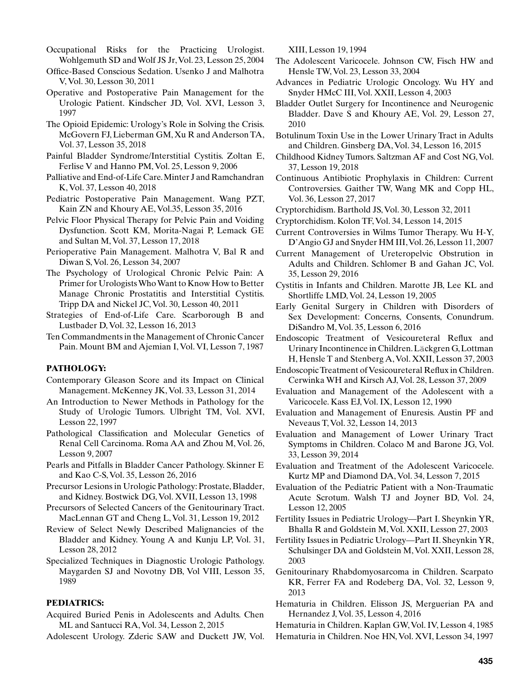- Occupational Risks for the Practicing Urologist. Wohlgemuth SD and Wolf JS Jr, Vol. 23, Lesson 25, 2004
- Office-Based Conscious Sedation. Usenko J and Malhotra V, Vol. 30, Lesson 30, 2011
- Operative and Postoperative Pain Management for the Urologic Patient. Kindscher JD, Vol. XVI, Lesson 3, 1997
- The Opioid Epidemic: Urology's Role in Solving the Crisis. McGovern FJ, Lieberman GM, Xu R and Anderson TA, Vol. 37, Lesson 35, 2018
- Painful Bladder Syndrome/Interstitial Cystitis. Zoltan E, Ferlise V and Hanno PM, Vol. 25, Lesson 9, 2006
- Palliative and End-of-Life Care. Minter J and Ramchandran K, Vol. 37, Lesson 40, 2018
- Pediatric Postoperative Pain Management. Wang PZT, Kain ZN and Khoury AE, Vol.35, Lesson 35, 2016
- Pelvic Floor Physical Therapy for Pelvic Pain and Voiding Dysfunction. Scott KM, Morita-Nagai P, Lemack GE and Sultan M, Vol. 37, Lesson 17, 2018
- Perioperative Pain Management. Malhotra V, Bal R and Diwan S, Vol. 26, Lesson 34, 2007
- The Psychology of Urological Chronic Pelvic Pain: A Primer for Urologists Who Want to Know How to Better Manage Chronic Prostatitis and Interstitial Cystitis. Tripp DA and Nickel JC, Vol. 30, Lesson 40, 2011
- Strategies of End-of-Life Care. Scarborough B and Lustbader D, Vol. 32, Lesson 16, 2013
- Ten Commandments in the Management of Chronic Cancer Pain. Mount BM and Ajemian I, Vol. VI, Lesson 7, 1987

# **PATHOLOGY:**

- Contemporary Gleason Score and its Impact on Clinical Management. McKenney JK, Vol. 33, Lesson 31, 2014
- An Introduction to Newer Methods in Pathology for the Study of Urologic Tumors. Ulbright TM, Vol. XVI, Lesson 22, 1997
- Pathological Classification and Molecular Genetics of Renal Cell Carcinoma. Roma AA and Zhou M, Vol. 26, Lesson 9, 2007
- Pearls and Pitfalls in Bladder Cancer Pathology. Skinner E and Kao C-S, Vol. 35, Lesson 26, 2016
- Precursor Lesions in Urologic Pathology: Prostate, Bladder, and Kidney. Bostwick DG, Vol. XVII, Lesson 13, 1998
- Precursors of Selected Cancers of the Genitourinary Tract. MacLennan GT and Cheng L, Vol. 31, Lesson 19, 2012
- Review of Select Newly Described Malignancies of the Bladder and Kidney. Young A and Kunju LP, Vol. 31, Lesson 28, 2012
- Specialized Techniques in Diagnostic Urologic Pathology. Maygarden SJ and Novotny DB, Vol VIII, Lesson 35, 1989

## **PEDIATRICS:**

- Acquired Buried Penis in Adolescents and Adults. Chen ML and Santucci RA, Vol. 34, Lesson 2, 2015
- Adolescent Urology. Zderic SAW and Duckett JW, Vol.

XIII, Lesson 19, 1994

- The Adolescent Varicocele. Johnson CW, Fisch HW and Hensle TW, Vol. 23, Lesson 33, 2004
- Advances in Pediatric Urologic Oncology. Wu HY and Snyder HMcC III, Vol. XXII, Lesson 4, 2003
- Bladder Outlet Surgery for Incontinence and Neurogenic Bladder. Dave S and Khoury AE, Vol. 29, Lesson 27, 2010
- Botulinum Toxin Use in the Lower Urinary Tract in Adults and Children. Ginsberg DA, Vol. 34, Lesson 16, 2015
- Childhood Kidney Tumors. Saltzman AF and Cost NG, Vol. 37, Lesson 19, 2018
- Continuous Antibiotic Prophylaxis in Children: Current Controversies. Gaither TW, Wang MK and Copp HL, Vol. 36, Lesson 27, 2017
- Cryptorchidism. Barthold JS, Vol. 30, Lesson 32, 2011
- Cryptorchidism. Kolon TF, Vol. 34, Lesson 14, 2015
- Current Controversies in Wilms Tumor Therapy. Wu H-Y, D'Angio GJ and Snyder HM III, Vol. 26, Lesson 11, 2007
- Current Management of Ureteropelvic Obstrution in Adults and Children. Schlomer B and Gahan JC, Vol. 35, Lesson 29, 2016
- Cystitis in Infants and Children. Marotte JB, Lee KL and Shortliffe LMD, Vol. 24, Lesson 19, 2005
- Early Genital Surgery in Children with Disorders of Sex Development: Concerns, Consents, Conundrum. DiSandro M, Vol. 35, Lesson 6, 2016
- Endoscopic Treatment of Vesicoureteral Reflux and Urinary Incontinence in Children. Läckgren G, Lottman H, Hensle T and Stenberg A, Vol. XXII, Lesson 37, 2003
- Endoscopic Treatment of Vesicoureteral Reflux in Children. Cerwinka WH and Kirsch AJ, Vol. 28, Lesson 37, 2009
- Evaluation and Management of the Adolescent with a Varicocele. Kass EJ, Vol. IX, Lesson 12, 1990
- Evaluation and Management of Enuresis. Austin PF and Neveaus T, Vol. 32, Lesson 14, 2013
- Evaluation and Management of Lower Urinary Tract Symptoms in Children. Colaco M and Barone JG, Vol. 33, Lesson 39, 2014
- Evaluation and Treatment of the Adolescent Varicocele. Kurtz MP and Diamond DA, Vol. 34, Lesson 7, 2015
- Evaluation of the Pediatric Patient with a Non-Traumatic Acute Scrotum. Walsh TJ and Joyner BD, Vol. 24, Lesson 12, 2005
- Fertility Issues in Pediatric Urology—Part I. Sheynkin YR, Bhalla R and Goldstein M, Vol. XXII, Lesson 27, 2003
- Fertility Issues in Pediatric Urology—Part II. Sheynkin YR, Schulsinger DA and Goldstein M, Vol. XXII, Lesson 28, 2003
- Genitourinary Rhabdomyosarcoma in Children. Scarpato KR, Ferrer FA and Rodeberg DA, Vol. 32, Lesson 9, 2013
- Hematuria in Children. Elisson JS, Merguerian PA and Hernandez J, Vol. 35, Lesson 4, 2016

Hematuria in Children. Kaplan GW, Vol. IV, Lesson 4, 1985 Hematuria in Children. Noe HN, Vol. XVI, Lesson 34, 1997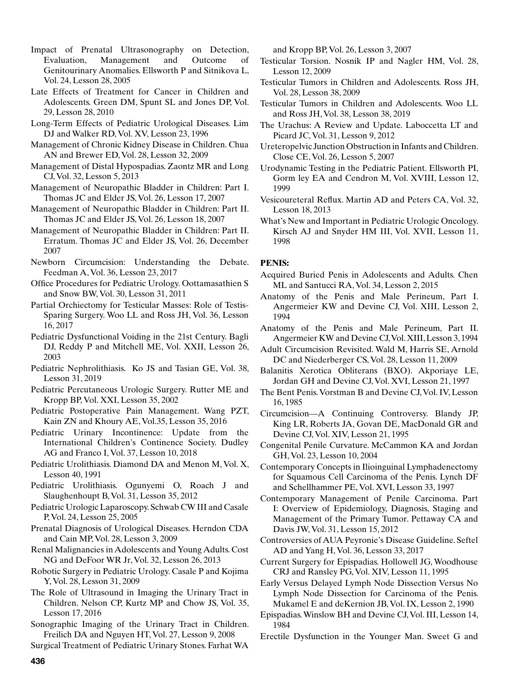- Impact of Prenatal Ultrasonography on Detection, Evaluation, Management and Outcome of Genitourinary Anomalies. Ellsworth P and Sitnikova L, Vol. 24, Lesson 28, 2005
- Late Effects of Treatment for Cancer in Children and Adolescents. Green DM, Spunt SL and Jones DP, Vol. 29, Lesson 28, 2010
- Long-Term Effects of Pediatric Urological Diseases. Lim DJ and Walker RD, Vol. XV, Lesson 23, 1996
- Management of Chronic Kidney Disease in Children. Chua AN and Brewer ED, Vol. 28, Lesson 32, 2009
- Management of Distal Hypospadias. Zaontz MR and Long CJ, Vol. 32, Lesson 5, 2013
- Management of Neuropathic Bladder in Children: Part I. Thomas JC and Elder JS, Vol. 26, Lesson 17, 2007
- Management of Neuropathic Bladder in Children: Part II. Thomas JC and Elder JS, Vol. 26, Lesson 18, 2007
- Management of Neuropathic Bladder in Children: Part II. Erratum. Thomas JC and Elder JS, Vol. 26, December 2007
- Newborn Circumcision: Understanding the Debate. Feedman A, Vol. 36, Lesson 23, 2017
- Office Procedures for Pediatric Urology. Oottamasathien S and Snow BW, Vol. 30, Lesson 31, 2011
- Partial Orchiectomy for Testicular Masses: Role of Testis-Sparing Surgery. Woo LL and Ross JH, Vol. 36, Lesson 16, 2017
- Pediatric Dysfunctional Voiding in the 21st Century. Bagli DJ, Reddy P and Mitchell ME, Vol. XXII, Lesson 26, 2003
- Pediatric Nephrolithiasis. Ko JS and Tasian GE, Vol. 38, Lesson 31, 2019
- Pediatric Percutaneous Urologic Surgery. Rutter ME and Kropp BP, Vol. XXI, Lesson 35, 2002
- Pediatric Postoperative Pain Management. Wang PZT, Kain ZN and Khoury AE, Vol.35, Lesson 35, 2016
- Pediatric Urinary Incontinence: Update from the International Children's Continence Society. Dudley AG and Franco I, Vol. 37, Lesson 10, 2018
- Pediatric Urolithiasis. Diamond DA and Menon M, Vol. X, Lesson 40, 1991
- Pediatric Urolithiasis. Ogunyemi O, Roach J and Slaughenhoupt B, Vol. 31, Lesson 35, 2012
- Pediatric Urologic Laparoscopy. Schwab CW III and Casale P, Vol. 24, Lesson 25, 2005
- Prenatal Diagnosis of Urological Diseases. Herndon CDA and Cain MP, Vol. 28, Lesson 3, 2009
- Renal Malignancies in Adolescents and Young Adults. Cost NG and DeFoor WR Jr, Vol. 32, Lesson 26, 2013
- Robotic Surgery in Pediatric Urology. Casale P and Kojima Y, Vol. 28, Lesson 31, 2009
- The Role of Ultrasound in Imaging the Urinary Tract in Children. Nelson CP, Kurtz MP and Chow JS, Vol. 35, Lesson 17, 2016
- Sonographic Imaging of the Urinary Tract in Children. Freilich DA and Nguyen HT, Vol. 27, Lesson 9, 2008

and Kropp BP, Vol. 26, Lesson 3, 2007

- Testicular Torsion. Nosnik IP and Nagler HM, Vol. 28, Lesson 12, 2009
- Testicular Tumors in Children and Adolescents. Ross JH, Vol. 28, Lesson 38, 2009
- Testicular Tumors in Children and Adolescents. Woo LL and Ross JH, Vol. 38, Lesson 38, 2019
- The Urachus: A Review and Update. Laboccetta LT and Picard JC, Vol. 31, Lesson 9, 2012
- Ureteropelvic Junction Obstruction in Infants and Children. Close CE, Vol. 26, Lesson 5, 2007
- Urodynamic Testing in the Pediatric Patient. Ellsworth PI, Gorm ley EA and Cendron M, Vol. XVIII, Lesson 12, 1999
- Vesicoureteral Reflux. Martin AD and Peters CA, Vol. 32, Lesson 18, 2013
- What's New and Important in Pediatric Urologic Oncology. Kirsch AJ and Snyder HM III, Vol. XVII, Lesson 11, 1998

# **PENIS:**

- Acquired Buried Penis in Adolescents and Adults. Chen ML and Santucci RA, Vol. 34, Lesson 2, 2015
- Anatomy of the Penis and Male Perineum, Part I. Angermeier KW and Devine CJ, Vol. XIII, Lesson 2, 1994
- Anatomy of the Penis and Male Perineum, Part II. Angermeier KW and Devine CJ, Vol. XIII, Lesson 3, 1994
- Adult Circumcision Revisited. Wald M, Harris SE, Arnold DC and Niederberger CS, Vol. 28, Lesson 11, 2009
- Balanitis Xerotica Obliterans (BXO). Akporiaye LE, Jordan GH and Devine CJ, Vol. XVI, Lesson 21, 1997
- The Bent Penis. Vorstman B and Devine CJ, Vol. IV, Lesson 16, 1985
- Circumcision—A Continuing Controversy. Blandy JP, King LR, Roberts JA, Govan DE, MacDonald GR and Devine CJ, Vol. XIV, Lesson 21, 1995
- Congenital Penile Curvature. McCammon KA and Jordan GH, Vol. 23, Lesson 10, 2004
- Contemporary Concepts in Ilioinguinal Lymphadenectomy for Squamous Cell Carcinoma of the Penis. Lynch DF and Schellhammer PE, Vol. XVI, Lesson 33, 1997
- Contemporary Management of Penile Carcinoma. Part I: Overview of Epidemiology, Diagnosis, Staging and Management of the Primary Tumor. Pettaway CA and Davis JW, Vol. 31, Lesson 15, 2012
- Controversies of AUA Peyronie's Disease Guideline. Seftel AD and Yang H, Vol. 36, Lesson 33, 2017
- Current Surgery for Epispadias. Hollowell JG, Woodhouse CRJ and Ransley PG, Vol. XIV, Lesson 11, 1995
- Early Versus Delayed Lymph Node Dissection Versus No Lymph Node Dissection for Carcinoma of the Penis. Mukamel E and deKernion JB, Vol. IX, Lesson 2, 1990
- Epispadias. Winslow BH and Devine CJ, Vol. III, Lesson 14, 1984
- Erectile Dysfunction in the Younger Man. Sweet G and

Surgical Treatment of Pediatric Urinary Stones. Farhat WA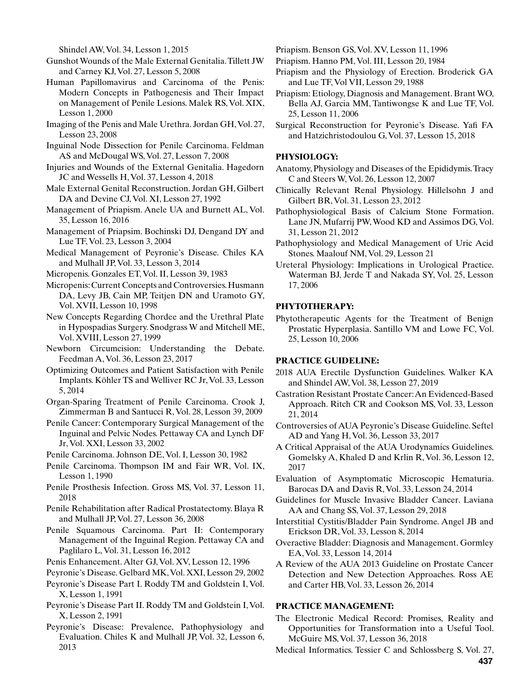Shindel AW, Vol. 34, Lesson 1, 2015

- Gunshot Wounds of the Male External Genitalia. Tillett JW and Carney KJ, Vol. 27, Lesson 5, 2008
- Human Papillomavirus and Carcinoma of the Penis: Modern Concepts in Pathogenesis and Their Impact on Management of Penile Lesions. Malek RS, Vol. XIX, Lesson 1, 2000
- Imaging of the Penis and Male Urethra. Jordan GH, Vol. 27, Lesson 23, 2008
- Inguinal Node Dissection for Penile Carcinoma. Feldman AS and McDougal WS, Vol. 27, Lesson 7, 2008
- Injuries and Wounds of the External Genitalia. Hagedorn JC and Wessells H, Vol. 37, Lesson 4, 2018
- Male External Genital Reconstruction. Jordan GH, Gilbert DA and Devine CJ, Vol. XI, Lesson 27, 1992
- Management of Priapism. Anele UA and Burnett AL, Vol. 35, Lesson 16, 2016
- Management of Priapsim. Bochinski DJ, Dengand DY and Lue TF, Vol. 23, Lesson 3, 2004
- Medical Management of Peyronie's Disease. Chiles KA and Mulhall JP, Vol. 33, Lesson 3, 2014
- Micropenis. Gonzales ET, Vol. II, Lesson 39, 1983
- Micropenis: Current Concepts and Controversies. Husmann DA, Levy JB, Cain MP, Teitjen DN and Uramoto GY, Vol. XVII, Lesson 10, 1998
- New Concepts Regarding Chordee and the Urethral Plate in Hypospadias Surgery. Snodgrass W and Mitchell ME, Vol. XVIII, Lesson 27, 1999
- Newborn Circumcision: Understanding the Debate. Feedman A, Vol. 36, Lesson 23, 2017
- Optimizing Outcomes and Patient Satisfaction with Penile Implants. Köhler TS and Welliver RC Jr, Vol. 33, Lesson 5, 2014
- Organ-Sparing Treatment of Penile Carcinoma. Crook J, Zimmerman B and Santucci R, Vol. 28, Lesson 39, 2009
- Penile Cancer: Contemporary Surgical Management of the Inguinal and Pelvic Nodes. Pettaway CA and Lynch DF Jr, Vol. XXI, Lesson 33, 2002
- Penile Carcinoma. Johnson DE, Vol. I, Lesson 30, 1982
- Penile Carcinoma. Thompson IM and Fair WR, Vol. IX, Lesson 1, 1990
- Penile Prosthesis Infection. Gross MS, Vol. 37, Lesson 11, 2018
- Penile Rehabilitation after Radical Prostatectomy. Blaya R and Mulhall JP, Vol. 27, Lesson 36, 2008
- Penile Squamous Carcinoma. Part II: Contemporary Management of the Inguinal Region. Pettaway CA and Paglilaro L, Vol. 31, Lesson 16, 2012
- Penis Enhancement. Alter GJ, Vol. XV, Lesson 12, 1996
- Peyronie's Disease. Gelbard MK, Vol. XXI, Lesson 29, 2002
- Peyronie's Disease Part I. Roddy TM and Goldstein I, Vol. X, Lesson 1, 1991
- Peyronie's Disease Part II. Roddy TM and Goldstein I, Vol. X, Lesson 2, 1991
- Peyronie's Disease: Prevalence, Pathophysiology and Evaluation. Chiles K and Mulhall JP, Vol. 32, Lesson 6, 2013

Priapism. Benson GS, Vol. XV, Lesson 11, 1996

- Priapism. Hanno PM, Vol. III, Lesson 20, 1984
- Priapism and the Physiology of Erection. Broderick GA and Lue TF, Vol VII, Lesson 29, 1988
- Priapism: Etiology, Diagnosis and Management. Brant WO, Bella AJ, Garcia MM, Tantiwongse K and Lue TF, Vol. 25, Lesson 11, 2006
- Surgical Reconstruction for Peyronie's Disease. Yafi FA and Hatzichristodoulou G, Vol. 37, Lesson 15, 2018

# **PHYSIOLOGY:**

- Anatomy, Physiology and Diseases of the Epididymis. Tracy C and Steers W, Vol. 26, Lesson 12, 2007
- Clinically Relevant Renal Physiology. Hillelsohn J and Gilbert BR, Vol. 31, Lesson 23, 2012
- Pathophysiological Basis of Calcium Stone Formation. Lane JN, Mufarrij PW, Wood KD and Assimos DG, Vol. 31, Lesson 21, 2012
- Pathophysiology and Medical Management of Uric Acid Stones. Maalouf NM, Vol. 29, Lesson 21
- Ureteral Physiology: Implications in Urological Practice. Waterman BJ, Jerde T and Nakada SY, Vol. 25, Lesson 17, 2006

# **PHYTOTHERAPY:**

Phytotherapeutic Agents for the Treatment of Benign Prostatic Hyperplasia. Santillo VM and Lowe FC, Vol. 25, Lesson 10, 2006

## **PRACTICE GUIDELINE:**

- 2018 AUA Erectile Dysfunction Guidelines. Walker KA and Shindel AW, Vol. 38, Lesson 27, 2019
- Castration Resistant Prostate Cancer: An Evidenced-Based Approach. Ritch CR and Cookson MS, Vol. 33, Lesson 21, 2014
- Controversies of AUA Peyronie's Disease Guideline. Seftel AD and Yang H, Vol. 36, Lesson 33, 2017

A Critical Appraisal of the AUA Urodynamics Guidelines. Gomelsky A, Khaled D and Krlin R, Vol. 36, Lesson 12, 2017

- Evaluation of Asymptomatic Microscopic Hematuria. Barocas DA and Davis R, Vol. 33, Lesson 24, 2014
- Guidelines for Muscle Invasive Bladder Cancer. Laviana AA and Chang SS, Vol. 37, Lesson 29, 2018
- Interstitial Cystitis/Bladder Pain Syndrome. Angel JB and Erickson DR, Vol. 33, Lesson 8, 2014
- Overactive Bladder: Diagnosis and Management. Gormley EA, Vol. 33, Lesson 14, 2014
- A Review of the AUA 2013 Guideline on Prostate Cancer Detection and New Detection Approaches. Ross AE and Carter HB, Vol. 33, Lesson 26, 2014

## **PRACTICE MANAGEMENT:**

- The Electronic Medical Record: Promises, Reality and Opportunities for Transformation into a Useful Tool. McGuire MS, Vol. 37, Lesson 36, 2018
- Medical Informatics. Tessier C and Schlossberg S, Vol. 27,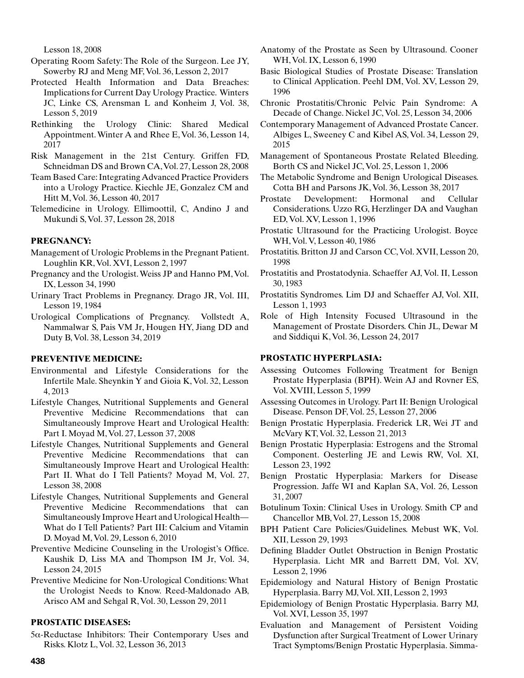Lesson 18, 2008

- Operating Room Safety: The Role of the Surgeon. Lee JY, Sowerby RJ and Meng MF, Vol. 36, Lesson 2, 2017
- Protected Health Information and Data Breaches: Implications for Current Day Urology Practice. Winters JC, Linke CS, Arensman L and Konheim J, Vol. 38, Lesson 5, 2019
- Rethinking the Urology Clinic: Shared Medical Appointment. Winter A and Rhee E, Vol. 36, Lesson 14, 2017
- Risk Management in the 21st Century. Griffen FD, Schneidman DS and Brown CA, Vol. 27, Lesson 28, 2008
- Team Based Care: Integrating Advanced Practice Providers into a Urology Practice. Kiechle JE, Gonzalez CM and Hitt M, Vol. 36, Lesson 40, 2017
- Telemedicine in Urology. Ellimoottil, C, Andino J and Mukundi S, Vol. 37, Lesson 28, 2018

# **PREGNANCY:**

- Management of Urologic Problems in the Pregnant Patient. Loughlin KR, Vol. XVI, Lesson 2, 1997
- Pregnancy and the Urologist. Weiss JP and Hanno PM, Vol. IX, Lesson 34, 1990
- Urinary Tract Problems in Pregnancy. Drago JR, Vol. III, Lesson 19, 1984
- Urological Complications of Pregnancy. Vollstedt A, Nammalwar S, Pais VM Jr, Hougen HY, Jiang DD and Duty B, Vol. 38, Lesson 34, 2019

### **PREVENTIVE MEDICINE:**

- Environmental and Lifestyle Considerations for the Infertile Male. Sheynkin Y and Gioia K, Vol. 32, Lesson 4, 2013
- Lifestyle Changes, Nutritional Supplements and General Preventive Medicine Recommendations that can Simultaneously Improve Heart and Urological Health: Part I. Moyad M, Vol. 27, Lesson 37, 2008
- Lifestyle Changes, Nutritional Supplements and General Preventive Medicine Recommendations that can Simultaneously Improve Heart and Urological Health: Part II. What do I Tell Patients? Moyad M, Vol. 27, Lesson 38, 2008
- Lifestyle Changes, Nutritional Supplements and General Preventive Medicine Recommendations that can Simultaneously Improve Heart and Urological Health— What do I Tell Patients? Part III: Calcium and Vitamin D. Moyad M, Vol. 29, Lesson 6, 2010
- Preventive Medicine Counseling in the Urologist's Office. Kaushik D, Liss MA and Thompson IM Jr, Vol. 34, Lesson 24, 2015
- Preventive Medicine for Non-Urological Conditions: What the Urologist Needs to Know. Reed-Maldonado AB, Arisco AM and Sehgal R, Vol. 30, Lesson 29, 2011

# **PROSTATIC DISEASES:**

5a-Reductase Inhibitors: Their Contemporary Uses and Risks. Klotz L, Vol. 32, Lesson 36, 2013

- Anatomy of the Prostate as Seen by Ultrasound. Cooner WH, Vol. IX, Lesson 6, 1990
- Basic Biological Studies of Prostate Disease: Translation to Clinical Application. Peehl DM, Vol. XV, Lesson 29, 1996
- Chronic Prostatitis/Chronic Pelvic Pain Syndrome: A Decade of Change. Nickel JC, Vol. 25, Lesson 34, 2006
- Contemporary Management of Advanced Prostate Cancer. Albiges L, Sweeney C and Kibel AS, Vol. 34, Lesson 29, 2015
- Management of Spontaneous Prostate Related Bleeding. Borth CS and Nickel JC, Vol. 25, Lesson 1, 2006
- The Metabolic Syndrome and Benign Urological Diseases. Cotta BH and Parsons JK, Vol. 36, Lesson 38, 2017
- Prostate Development: Hormonal and Cellular Considerations. Uzzo RG, Herzlinger DA and Vaughan ED, Vol. XV, Lesson 1, 1996
- Prostatic Ultrasound for the Practicing Urologist. Boyce WH, Vol. V, Lesson 40, 1986
- Prostatitis. Britton JJ and Carson CC, Vol. XVII, Lesson 20, 1998
- Prostatitis and Prostatodynia. Schaeffer AJ, Vol. II, Lesson 30, 1983
- Prostatitis Syndromes. Lim DJ and Schaeffer AJ, Vol. XII, Lesson 1, 1993
- Role of High Intensity Focused Ultrasound in the Management of Prostate Disorders. Chin JL, Dewar M and Siddiqui K, Vol. 36, Lesson 24, 2017

# **PROSTATIC HYPERPLASIA:**

- Assessing Outcomes Following Treatment for Benign Prostate Hyperplasia (BPH). Wein AJ and Rovner ES, Vol. XVIII, Lesson 5, 1999
- Assessing Outcomes in Urology. Part II: Benign Urological Disease. Penson DF, Vol. 25, Lesson 27, 2006
- Benign Prostatic Hyperplasia. Frederick LR, Wei JT and McVary KT, Vol. 32, Lesson 21, 2013
- Benign Prostatic Hyperplasia: Estrogens and the Stromal Component. Oesterling JE and Lewis RW, Vol. XI, Lesson 23, 1992
- Benign Prostatic Hyperplasia: Markers for Disease Progression. Jaffe WI and Kaplan SA, Vol. 26, Lesson 31, 2007
- Botulinum Toxin: Clinical Uses in Urology. Smith CP and Chancellor MB, Vol. 27, Lesson 15, 2008
- BPH Patient Care Policies/Guidelines. Mebust WK, Vol. XII, Lesson 29, 1993
- Defining Bladder Outlet Obstruction in Benign Prostatic Hyperplasia. Licht MR and Barrett DM, Vol. XV, Lesson 2, 1996
- Epidemiology and Natural History of Benign Prostatic Hyperplasia. Barry MJ, Vol. XII, Lesson 2, 1993
- Epidemiology of Benign Prostatic Hyperplasia. Barry MJ, Vol. XVI, Lesson 35, 1997
- Evaluation and Management of Persistent Voiding Dysfunction after Surgical Treatment of Lower Urinary Tract Symptoms/Benign Prostatic Hyperplasia. Simma-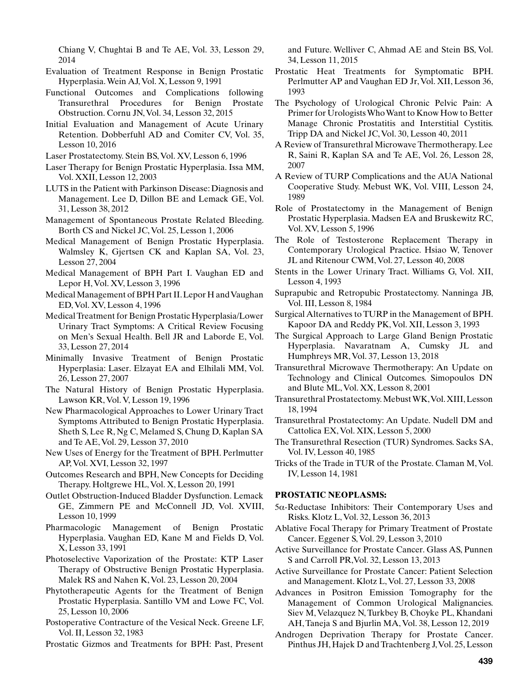Chiang V, Chughtai B and Te AE, Vol. 33, Lesson 29, 2014

- Evaluation of Treatment Response in Benign Prostatic Hyperplasia. Wein AJ, Vol. X, Lesson 9, 1991
- Functional Outcomes and Complications following Transurethral Procedures for Benign Prostate Obstruction. Cornu JN, Vol. 34, Lesson 32, 2015
- Initial Evaluation and Management of Acute Urinary Retention. Dobberfuhl AD and Comiter CV, Vol. 35, Lesson 10, 2016
- Laser Prostatectomy. Stein BS, Vol. XV, Lesson 6, 1996
- Laser Therapy for Benign Prostatic Hyperplasia. Issa MM, Vol. XXII, Lesson 12, 2003
- LUTS in the Patient with Parkinson Disease: Diagnosis and Management. Lee D, Dillon BE and Lemack GE, Vol. 31, Lesson 38, 2012
- Management of Spontaneous Prostate Related Bleeding. Borth CS and Nickel JC, Vol. 25, Lesson 1, 2006
- Medical Management of Benign Prostatic Hyperplasia. Walmsley K, Gjertsen CK and Kaplan SA, Vol. 23, Lesson 27, 2004
- Medical Management of BPH Part I. Vaughan ED and Lepor H, Vol. XV, Lesson 3, 1996
- Medical Management of BPH Part II. Lepor H and Vaughan ED, Vol. XV, Lesson 4, 1996
- Medical Treatment for Benign Prostatic Hyperplasia/Lower Urinary Tract Symptoms: A Critical Review Focusing on Men's Sexual Health. Bell JR and Laborde E, Vol. 33, Lesson 27, 2014
- Minimally Invasive Treatment of Benign Prostatic Hyperplasia: Laser. Elzayat EA and Elhilali MM, Vol. 26, Lesson 27, 2007
- The Natural History of Benign Prostatic Hyperplasia. Lawson KR, Vol. V, Lesson 19, 1996
- New Pharmacological Approaches to Lower Urinary Tract Symptoms Attributed to Benign Prostatic Hyperplasia. Sheth S, Lee R, Ng C, Melamed S, Chung D, Kaplan SA and Te AE, Vol. 29, Lesson 37, 2010
- New Uses of Energy for the Treatment of BPH. Perlmutter AP, Vol. XVI, Lesson 32, 1997
- Outcomes Research and BPH, New Concepts for Deciding Therapy. Holtgrewe HL, Vol. X, Lesson 20, 1991
- Outlet Obstruction-Induced Bladder Dysfunction. Lemack GE, Zimmern PE and McConnell JD, Vol. XVIII, Lesson 10, 1999
- Pharmacologic Management of Benign Prostatic Hyperplasia. Vaughan ED, Kane M and Fields D, Vol. X, Lesson 33, 1991
- Photoselective Vaporization of the Prostate: KTP Laser Therapy of Obstructive Benign Prostatic Hyperplasia. Malek RS and Nahen K, Vol. 23, Lesson 20, 2004
- Phytotherapeutic Agents for the Treatment of Benign Prostatic Hyperplasia. Santillo VM and Lowe FC, Vol. 25, Lesson 10, 2006
- Postoperative Contracture of the Vesical Neck. Greene LF, Vol. II, Lesson 32, 1983
- Prostatic Gizmos and Treatments for BPH: Past, Present

and Future. Welliver C, Ahmad AE and Stein BS, Vol. 34, Lesson 11, 2015

- Prostatic Heat Treatments for Symptomatic BPH. Perlmutter AP and Vaughan ED Jr, Vol. XII, Lesson 36, 1993
- The Psychology of Urological Chronic Pelvic Pain: A Primer for Urologists Who Want to Know How to Better Manage Chronic Prostatitis and Interstitial Cystitis. Tripp DA and Nickel JC, Vol. 30, Lesson 40, 2011
- A Review of Transurethral Microwave Thermotherapy. Lee R, Saini R, Kaplan SA and Te AE, Vol. 26, Lesson 28, 2007
- A Review of TURP Complications and the AUA National Cooperative Study. Mebust WK, Vol. VIII, Lesson 24, 1989
- Role of Prostatectomy in the Management of Benign Prostatic Hyperplasia. Madsen EA and Bruskewitz RC, Vol. XV, Lesson 5, 1996
- The Role of Testosterone Replacement Therapy in Contemporary Urological Practice. Hsiao W, Tenover JL and Ritenour CWM, Vol. 27, Lesson 40, 2008
- Stents in the Lower Urinary Tract. Williams G, Vol. XII, Lesson 4, 1993
- Suprapubic and Retropubic Prostatectomy. Nanninga JB, Vol. III, Lesson 8, 1984
- Surgical Alternatives to TURP in the Management of BPH. Kapoor DA and Reddy PK, Vol. XII, Lesson 3, 1993
- The Surgical Approach to Large Gland Benign Prostatic Hyperplasia. Navaratnam A, Cumsky JL and Humphreys MR, Vol. 37, Lesson 13, 2018
- Transurethral Microwave Thermotherapy: An Update on Technology and Clinical Outcomes. Simopoulos DN and Blute ML, Vol. XX, Lesson 8, 2001
- Transurethral Prostatectomy. Mebust WK, Vol. XIII, Lesson 18, 1994
- Transurethral Prostatectomy: An Update. Nudell DM and Cattolica EX, Vol. XIX, Lesson 5, 2000
- The Transurethral Resection (TUR) Syndromes. Sacks SA, Vol. IV, Lesson 40, 1985
- Tricks of the Trade in TUR of the Prostate. Claman M, Vol. IV, Lesson 14, 1981

## **PROSTATIC NEOPLASMS:**

- 5a-Reductase Inhibitors: Their Contemporary Uses and Risks. Klotz L, Vol. 32, Lesson 36, 2013
- Ablative Focal Therapy for Primary Treatment of Prostate Cancer. Eggener S, Vol. 29, Lesson 3, 2010
- Active Surveillance for Prostate Cancer. Glass AS, Punnen S and Carroll PR,Vol. 32, Lesson 13, 2013
- Active Surveillance for Prostate Cancer: Patient Selection and Management. Klotz L, Vol. 27, Lesson 33, 2008
- Advances in Positron Emission Tomography for the Management of Common Urological Malignancies. Siev M, Velazquez N, Turkbey B, Choyke PL, Khandani AH, Taneja S and Bjurlin MA, Vol. 38, Lesson 12, 2019
- Androgen Deprivation Therapy for Prostate Cancer. Pinthus JH, Hajek D and Trachtenberg J, Vol. 25, Lesson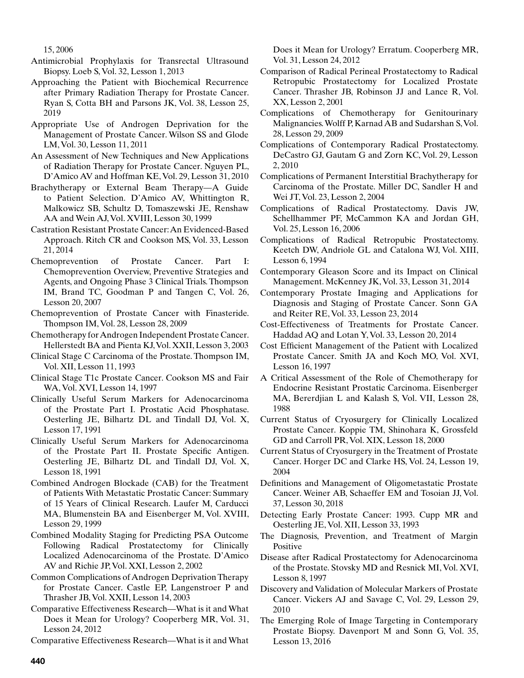15, 2006

- Antimicrobial Prophylaxis for Transrectal Ultrasound Biopsy. Loeb S, Vol. 32, Lesson 1, 2013
- Approaching the Patient with Biochemical Recurrence after Primary Radiation Therapy for Prostate Cancer. Ryan S, Cotta BH and Parsons JK, Vol. 38, Lesson 25, 2019
- Appropriate Use of Androgen Deprivation for the Management of Prostate Cancer. Wilson SS and Glode LM, Vol. 30, Lesson 11, 2011
- An Assessment of New Techniques and New Applications of Radiation Therapy for Prostate Cancer. Nguyen PL, D'Amico AV and Hoffman KE, Vol. 29, Lesson 31, 2010
- Brachytherapy or External Beam Therapy—A Guide to Patient Selection. D'Amico AV, Whittington R, Malkowicz SB, Schultz D, Tomaszewski JE, Renshaw AA and Wein AJ, Vol. XVIII, Lesson 30, 1999
- Castration Resistant Prostate Cancer: An Evidenced-Based Approach. Ritch CR and Cookson MS, Vol. 33, Lesson 21, 2014
- Chemoprevention of Prostate Cancer. Part I: Chemoprevention Overview, Preventive Strategies and Agents, and Ongoing Phase 3 Clinical Trials. Thompson IM, Brand TC, Goodman P and Tangen C, Vol. 26, Lesson 20, 2007
- Chemoprevention of Prostate Cancer with Finasteride. Thompson IM, Vol. 28, Lesson 28, 2009
- Chemotherapy for Androgen Independent Prostate Cancer. Hellerstedt BA and Pienta KJ, Vol. XXII, Lesson 3, 2003
- Clinical Stage C Carcinoma of the Prostate. Thompson IM, Vol. XII, Lesson 11, 1993
- Clinical Stage T1c Prostate Cancer. Cookson MS and Fair WA, Vol. XVI, Lesson 14, 1997
- Clinically Useful Serum Markers for Adenocarcinoma of the Prostate Part I. Prostatic Acid Phosphatase. Oesterling JE, Bilhartz DL and Tindall DJ, Vol. X, Lesson 17, 1991
- Clinically Useful Serum Markers for Adenocarcinoma of the Prostate Part II. Prostate Specific Antigen. Oesterling JE, Bilhartz DL and Tindall DJ, Vol. X, Lesson 18, 1991
- Combined Androgen Blockade (CAB) for the Treatment of Patients With Metastatic Prostatic Cancer: Summary of 15 Years of Clinical Research. Laufer M, Carducci MA, Blumenstein BA and Eisenberger M, Vol. XVIII, Lesson 29, 1999
- Combined Modality Staging for Predicting PSA Outcome Following Radical Prostatectomy for Clinically Localized Adenocarcinoma of the Prostate. D'Amico AV and Richie JP, Vol. XXI, Lesson 2, 2002
- Common Complications of Androgen Deprivation Therapy for Prostate Cancer. Castle EP, Langenstroer P and Thrasher JB, Vol. XXII, Lesson 14, 2003
- Comparative Effectiveness Research—What is it and What Does it Mean for Urology? Cooperberg MR, Vol. 31, Lesson 24, 2012

Comparative Effectiveness Research—What is it and What

Does it Mean for Urology? Erratum. Cooperberg MR, Vol. 31, Lesson 24, 2012

- Comparison of Radical Perineal Prostatectomy to Radical Retropubic Prostatectomy for Localized Prostate Cancer. Thrasher JB, Robinson JJ and Lance R, Vol. XX, Lesson 2, 2001
- Complications of Chemotherapy for Genitourinary Malignancies. Wolff P, Karnad AB and Sudarshan S, Vol. 28, Lesson 29, 2009

Complications of Contemporary Radical Prostatectomy. DeCastro GJ, Gautam G and Zorn KC, Vol. 29, Lesson 2, 2010

- Complications of Permanent Interstitial Brachytherapy for Carcinoma of the Prostate. Miller DC, Sandler H and Wei JT, Vol. 23, Lesson 2, 2004
- Complications of Radical Prostatectomy. Davis JW, Schellhammer PF, McCammon KA and Jordan GH, Vol. 25, Lesson 16, 2006
- Complications of Radical Retropubic Prostatectomy. Keetch DW, Andriole GL and Catalona WJ, Vol. XIII, Lesson 6, 1994
- Contemporary Gleason Score and its Impact on Clinical Management. McKenney JK, Vol. 33, Lesson 31, 2014
- Contemporary Prostate Imaging and Applications for Diagnosis and Staging of Prostate Cancer. Sonn GA and Reiter RE, Vol. 33, Lesson 23, 2014
- Cost-Effectiveness of Treatments for Prostate Cancer. Haddad AQ and Lotan Y, Vol. 33, Lesson 20, 2014
- Cost Efficient Management of the Patient with Localized Prostate Cancer. Smith JA and Koch MO, Vol. XVI, Lesson 16, 1997
- A Critical Assessment of the Role of Chemotherapy for Endocrine Resistant Prostatic Carcinoma. Eisenberger MA, Bererdjian L and Kalash S, Vol. VII, Lesson 28, 1988
- Current Status of Cryosurgery for Clinically Localized Prostate Cancer. Koppie TM, Shinohara K, Grossfeld GD and Carroll PR, Vol. XIX, Lesson 18, 2000
- Current Status of Cryosurgery in the Treatment of Prostate Cancer. Horger DC and Clarke HS, Vol. 24, Lesson 19, 2004
- Definitions and Management of Oligometastatic Prostate Cancer. Weiner AB, Schaeffer EM and Tosoian JJ, Vol. 37, Lesson 30, 2018
- Detecting Early Prostate Cancer: 1993. Cupp MR and Oesterling JE, Vol. XII, Lesson 33, 1993
- The Diagnosis, Prevention, and Treatment of Margin Positive
- Disease after Radical Prostatectomy for Adenocarcinoma of the Prostate. Stovsky MD and Resnick MI, Vol. XVI, Lesson 8, 1997
- Discovery and Validation of Molecular Markers of Prostate Cancer. Vickers AJ and Savage C, Vol. 29, Lesson 29, 2010
- The Emerging Role of Image Targeting in Contemporary Prostate Biopsy. Davenport M and Sonn G, Vol. 35, Lesson 13, 2016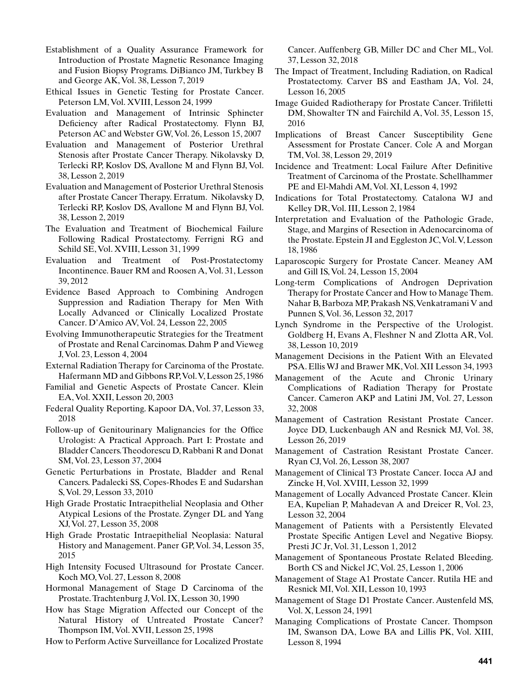Establishment of a Quality Assurance Framework for Introduction of Prostate Magnetic Resonance Imaging and Fusion Biopsy Programs. DiBianco JM, Turkbey B and George AK, Vol. 38, Lesson 7, 2019

Ethical Issues in Genetic Testing for Prostate Cancer. Peterson LM, Vol. XVIII, Lesson 24, 1999

Evaluation and Management of Intrinsic Sphincter Deficiency after Radical Prostatectomy. Flynn BJ, Peterson AC and Webster GW, Vol. 26, Lesson 15, 2007

Evaluation and Management of Posterior Urethral Stenosis after Prostate Cancer Therapy. Nikolavsky D, Terlecki RP, Koslov DS, Avallone M and Flynn BJ, Vol. 38, Lesson 2, 2019

Evaluation and Management of Posterior Urethral Stenosis after Prostate Cancer Therapy. Erratum. Nikolavsky D, Terlecki RP, Koslov DS, Avallone M and Flynn BJ, Vol. 38, Lesson 2, 2019

The Evaluation and Treatment of Biochemical Failure Following Radical Prostatectomy. Ferrigni RG and Schild SE, Vol. XVIII, Lesson 31, 1999

Evaluation and Treatment of Post-Prostatectomy Incontinence. Bauer RM and Roosen A, Vol. 31, Lesson 39, 2012

Evidence Based Approach to Combining Androgen Suppression and Radiation Therapy for Men With Locally Advanced or Clinically Localized Prostate Cancer. D'Amico AV, Vol. 24, Lesson 22, 2005

Evolving Immunotherapeutic Strategies for the Treatment of Prostate and Renal Carcinomas. Dahm P and Vieweg J, Vol. 23, Lesson 4, 2004

External Radiation Therapy for Carcinoma of the Prostate. Hafermann MD and Gibbons RP, Vol. V, Lesson 25, 1986

Familial and Genetic Aspects of Prostate Cancer. Klein EA, Vol. XXII, Lesson 20, 2003

Federal Quality Reporting. Kapoor DA, Vol. 37, Lesson 33, 2018

Follow-up of Genitourinary Malignancies for the Office Urologist: A Practical Approach. Part I: Prostate and Bladder Cancers. Theodorescu D, Rabbani R and Donat SM, Vol. 23, Lesson 37, 2004

Genetic Perturbations in Prostate, Bladder and Renal Cancers. Padalecki SS, Copes-Rhodes E and Sudarshan S, Vol. 29, Lesson 33, 2010

High Grade Prostatic Intraepithelial Neoplasia and Other Atypical Lesions of the Prostate. Zynger DL and Yang XJ, Vol. 27, Lesson 35, 2008

High Grade Prostatic Intraepithelial Neoplasia: Natural History and Management. Paner GP, Vol. 34, Lesson 35, 2015

High Intensity Focused Ultrasound for Prostate Cancer. Koch MO, Vol. 27, Lesson 8, 2008

Hormonal Management of Stage D Carcinoma of the Prostate. Trachtenburg J, Vol. IX, Lesson 30, 1990

How has Stage Migration Affected our Concept of the Natural History of Untreated Prostate Cancer? Thompson IM, Vol. XVII, Lesson 25, 1998

How to Perform Active Surveillance for Localized Prostate

Cancer. Auffenberg GB, Miller DC and Cher ML, Vol. 37, Lesson 32, 2018

The Impact of Treatment, Including Radiation, on Radical Prostatectomy. Carver BS and Eastham JA, Vol. 24, Lesson 16, 2005

Image Guided Radiotherapy for Prostate Cancer. Trifiletti DM, Showalter TN and Fairchild A, Vol. 35, Lesson 15, 2016

Implications of Breast Cancer Susceptibility Gene Assessment for Prostate Cancer. Cole A and Morgan TM, Vol. 38, Lesson 29, 2019

Incidence and Treatment: Local Failure After Definitive Treatment of Carcinoma of the Prostate. Schellhammer PE and El-Mahdi AM, Vol. XI, Lesson 4, 1992

Indications for Total Prostatectomy. Catalona WJ and Kelley DR, Vol. III, Lesson 2, 1984

Interpretation and Evaluation of the Pathologic Grade, Stage, and Margins of Resection in Adenocarcinoma of the Prostate. Epstein JI and Eggleston JC, Vol. V, Lesson 18, 1986

Laparoscopic Surgery for Prostate Cancer. Meaney AM and Gill IS, Vol. 24, Lesson 15, 2004

Long-term Complications of Androgen Deprivation Therapy for Prostate Cancer and How to Manage Them. Nahar B, Barboza MP, Prakash NS, Venkatramani V and Punnen S, Vol. 36, Lesson 32, 2017

Lynch Syndrome in the Perspective of the Urologist. Goldberg H, Evans A, Fleshner N and Zlotta AR, Vol. 38, Lesson 10, 2019

Management Decisions in the Patient With an Elevated PSA. Ellis WJ and Brawer MK, Vol. XII Lesson 34, 1993

Management of the Acute and Chronic Urinary Complications of Radiation Therapy for Prostate Cancer. Cameron AKP and Latini JM, Vol. 27, Lesson 32, 2008

Management of Castration Resistant Prostate Cancer. Joyce DD, Luckenbaugh AN and Resnick MJ, Vol. 38, Lesson 26, 2019

Management of Castration Resistant Prostate Cancer. Ryan CJ, Vol. 26, Lesson 38, 2007

Management of Clinical T3 Prostate Cancer. Iocca AJ and Zincke H, Vol. XVIII, Lesson 32, 1999

Management of Locally Advanced Prostate Cancer. Klein EA, Kupelian P, Mahadevan A and Dreicer R, Vol. 23, Lesson 32, 2004

Management of Patients with a Persistently Elevated Prostate Specific Antigen Level and Negative Biopsy. Presti JC Jr, Vol. 31, Lesson 1, 2012

Management of Spontaneous Prostate Related Bleeding. Borth CS and Nickel JC, Vol. 25, Lesson 1, 2006

Management of Stage A1 Prostate Cancer. Rutila HE and Resnick MI, Vol. XII, Lesson 10, 1993

Management of Stage D1 Prostate Cancer. Austenfeld MS, Vol. X, Lesson 24, 1991

Managing Complications of Prostate Cancer. Thompson IM, Swanson DA, Lowe BA and Lillis PK, Vol. XIII, Lesson 8, 1994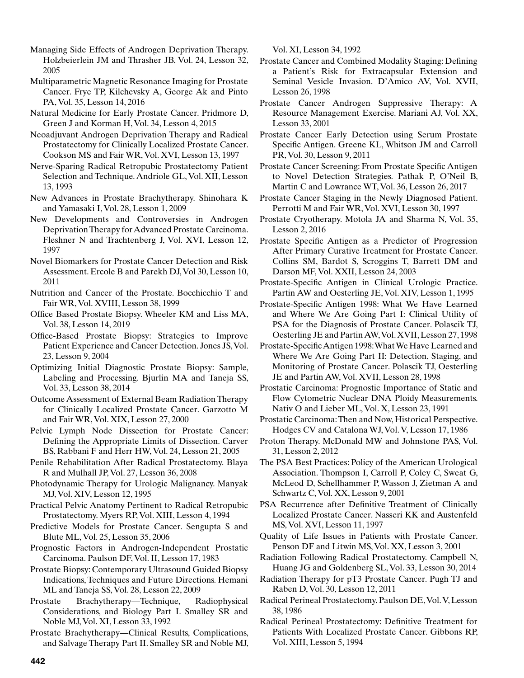Managing Side Effects of Androgen Deprivation Therapy. Holzbeierlein JM and Thrasher JB, Vol. 24, Lesson 32, 2005

Multiparametric Magnetic Resonance Imaging for Prostate Cancer. Frye TP, Kilchevsky A, George Ak and Pinto PA, Vol. 35, Lesson 14, 2016

Natural Medicine for Early Prostate Cancer. Pridmore D, Green J and Korman H, Vol. 34, Lesson 4, 2015

Neoadjuvant Androgen Deprivation Therapy and Radical Prostatectomy for Clinically Localized Prostate Cancer. Cookson MS and Fair WR, Vol. XVI, Lesson 13, 1997

Nerve-Sparing Radical Retropubic Prostatectomy Patient Selection and Technique. Andriole GL, Vol. XII, Lesson 13, 1993

New Advances in Prostate Brachytherapy. Shinohara K and Yamasaki I, Vol. 28, Lesson 1, 2009

New Developments and Controversies in Androgen Deprivation Therapy for Advanced Prostate Carcinoma. Fleshner N and Trachtenberg J, Vol. XVI, Lesson 12, 1997

Novel Biomarkers for Prostate Cancer Detection and Risk Assessment. Ercole B and Parekh DJ, Vol 30, Lesson 10, 2011

Nutrition and Cancer of the Prostate. Bocchicchio T and Fair WR, Vol. XVIII, Lesson 38, 1999

Office Based Prostate Biopsy. Wheeler KM and Liss MA, Vol. 38, Lesson 14, 2019

Office-Based Prostate Biopsy: Strategies to Improve Patient Experience and Cancer Detection. Jones JS, Vol. 23, Lesson 9, 2004

Optimizing Initial Diagnostic Prostate Biopsy: Sample, Labeling and Processing. Bjurlin MA and Taneja SS, Vol. 33, Lesson 38, 2014

Outcome Assessment of External Beam Radiation Therapy for Clinically Localized Prostate Cancer. Garzotto M and Fair WR, Vol. XIX, Lesson 27, 2000

Pelvic Lymph Node Dissection for Prostate Cancer: Defining the Appropriate Limits of Dissection. Carver BS, Rabbani F and Herr HW, Vol. 24, Lesson 21, 2005

Penile Rehabilitation After Radical Prostatectomy. Blaya R and Mulhall JP, Vol. 27, Lesson 36, 2008

Photodynamic Therapy for Urologic Malignancy. Manyak MJ, Vol. XIV, Lesson 12, 1995

Practical Pelvic Anatomy Pertinent to Radical Retropubic Prostatectomy. Myers RP, Vol. XIII, Lesson 4, 1994

Predictive Models for Prostate Cancer. Sengupta S and Blute ML, Vol. 25, Lesson 35, 2006

Prognostic Factors in Androgen-Independent Prostatic Carcinoma. Paulson DF, Vol. II, Lesson 17, 1983

Prostate Biopsy: Contemporary Ultrasound Guided Biopsy Indications, Techniques and Future Directions. Hemani ML and Taneja SS, Vol. 28, Lesson 22, 2009

Prostate Brachytherapy—Technique, Radiophysical Considerations, and Biology Part I. Smalley SR and Noble MJ, Vol. XI, Lesson 33, 1992

Prostate Brachytherapy—Clinical Results, Complications, and Salvage Therapy Part II. Smalley SR and Noble MJ, Vol. XI, Lesson 34, 1992

Prostate Cancer and Combined Modality Staging: Defining a Patient's Risk for Extracapsular Extension and Seminal Vesicle Invasion. D'Amico AV, Vol. XVII, Lesson 26, 1998

Prostate Cancer Androgen Suppressive Therapy: A Resource Management Exercise. Mariani AJ, Vol. XX, Lesson 33, 2001

Prostate Cancer Early Detection using Serum Prostate Specific Antigen. Greene KL, Whitson JM and Carroll PR, Vol. 30, Lesson 9, 2011

Prostate Cancer Screening: From Prostate Specific Antigen to Novel Detection Strategies. Pathak P, O'Neil B, Martin C and Lowrance WT, Vol. 36, Lesson 26, 2017

Prostate Cancer Staging in the Newly Diagnosed Patient. Perrotti M and Fair WR, Vol. XVI, Lesson 30, 1997

Prostate Cryotherapy. Motola JA and Sharma N, Vol. 35, Lesson 2, 2016

Prostate Specific Antigen as a Predictor of Progression After Primary Curative Treatment for Prostate Cancer. Collins SM, Bardot S, Scroggins T, Barrett DM and Darson MF, Vol. XXII, Lesson 24, 2003

Prostate-Specific Antigen in Clinical Urologic Practice. Partin AW and Oesterling JE, Vol. XIV, Lesson 1, 1995

Prostate-Specific Antigen 1998: What We Have Learned and Where We Are Going Part I: Clinical Utility of PSA for the Diagnosis of Prostate Cancer. Polascik TJ, Oesterling JE and Partin AW, Vol. XVII, Lesson 27, 1998

Prostate-Specific Antigen 1998: What We Have Learned and Where We Are Going Part II: Detection, Staging, and Monitoring of Prostate Cancer. Polascik TJ, Oesterling JE and Partin AW, Vol. XVII, Lesson 28, 1998

Prostatic Carcinoma: Prognostic Importance of Static and Flow Cytometric Nuclear DNA Ploidy Measurements. Nativ O and Lieber ML, Vol. X, Lesson 23, 1991

Prostatic Carcinoma: Then and Now, Historical Perspective. Hodges CV and Catalona WJ, Vol. V, Lesson 17, 1986

Proton Therapy. McDonald MW and Johnstone PAS, Vol. 31, Lesson 2, 2012

The PSA Best Practices: Policy of the American Urological Association. Thompson I, Carroll P, Coley C, Sweat G, McLeod D, Schellhammer P, Wasson J, Zietman A and Schwartz C, Vol. XX, Lesson 9, 2001

PSA Recurrence after Definitive Treatment of Clinically Localized Prostate Cancer. Nasseri KK and Austenfeld MS, Vol. XVI, Lesson 11, 1997

Quality of Life Issues in Patients with Prostate Cancer. Penson DF and Litwin MS, Vol. XX, Lesson 3, 2001

Radiation Following Radical Prostatectomy. Campbell N, Huang JG and Goldenberg SL, Vol. 33, Lesson 30, 2014

Radiation Therapy for pT3 Prostate Cancer. Pugh TJ and Raben D, Vol. 30, Lesson 12, 2011

Radical Perineal Prostatectomy. Paulson DE, Vol. V, Lesson 38, 1986

Radical Perineal Prostatectomy: Definitive Treatment for Patients With Localized Prostate Cancer. Gibbons RP, Vol. XIII, Lesson 5, 1994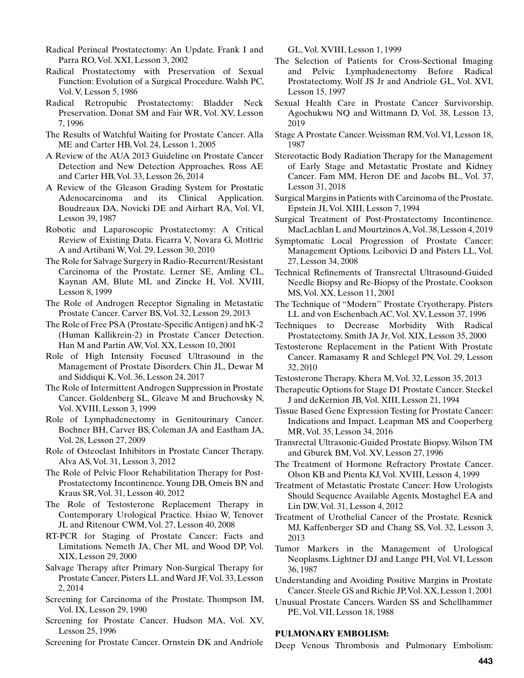- Radical Perineal Prostatectomy: An Update. Frank I and Parra RO, Vol. XXI, Lesson 3, 2002
- Radical Prostatectomy with Preservation of Sexual Function: Evolution of a Surgical Procedure. Walsh PC, Vol. V, Lesson 5, 1986
- Radical Retropubic Prostatectomy: Bladder Neck Preservation. Donat SM and Fair WR, Vol. XV, Lesson 7, 1996
- The Results of Watchful Waiting for Prostate Cancer. Alla ME and Carter HB, Vol. 24, Lesson 1, 2005
- A Review of the AUA 2013 Guideline on Prostate Cancer Detection and New Detection Approaches. Ross AE and Carter HB, Vol. 33, Lesson 26, 2014
- A Review of the Gleason Grading System for Prostatic Adenocarcinoma and its Clinical Application. Boudreaux DA, Novicki DE and Airhart RA, Vol. VI, Lesson 39, 1987
- Robotic and Laparoscopic Prostatectomy: A Critical Review of Existing Data. Ficarra V, Novara G, Mottrie A and Artibani W, Vol. 29, Lesson 30, 2010
- The Role for Salvage Surgery in Radio-Recurrent/Resistant Carcinoma of the Prostate. Lerner SE, Amling CL, Kaynan AM, Blute ML and Zincke H, Vol. XVIII, Lesson 8, 1999
- The Role of Androgen Receptor Signaling in Metastatic Prostate Cancer. Carver BS, Vol. 32, Lesson 29, 2013
- The Role of Free PSA (Prostate-Specific Antigen) and hK-2 (Human Kallikrein-2) in Prostate Cancer Detection. Han M and Partin AW, Vol. XX, Lesson 10, 2001
- Role of High Intensity Focused Ultrasound in the Management of Prostate Disorders. Chin JL, Dewar M and Siddiqui K, Vol. 36, Lesson 24, 2017
- The Role of Intermittent Androgen Suppression in Prostate Cancer. Goldenberg SL, Gleave M and Bruchovsky N, Vol. XVIII, Lesson 3, 1999
- Role of Lymphadenectomy in Genitourinary Cancer. Bochner BH, Carver BS, Coleman JA and Eastham JA, Vol. 28, Lesson 27, 2009
- Role of Osteoclast Inhibitors in Prostate Cancer Therapy. Alva AS, Vol. 31, Lesson 3, 2012
- The Role of Pelvic Floor Rehabilitation Therapy for Post-Prostatectomy Incontinence. Young DB, Omeis BN and Kraus SR, Vol. 31, Lesson 40, 2012
- The Role of Testosterone Replacement Therapy in Contemporary Urological Practice. Hsiao W, Tenover JL and Ritenour CWM, Vol. 27, Lesson 40, 2008
- RT-PCR for Staging of Prostate Cancer: Facts and Limitations. Nemeth JA, Cher ML and Wood DP, Vol. XIX, Lesson 29, 2000
- Salvage Therapy after Primary Non-Surgical Therapy for Prostate Cancer. Pisters LL and Ward JF, Vol. 33, Lesson 2, 2014
- Screening for Carcinoma of the Prostate. Thompson IM, Vol. IX, Lesson 29, 1990
- Screening for Prostate Cancer. Hudson MA, Vol. XV, Lesson 25, 1996
- Screening for Prostate Cancer. Ornstein DK and Andriole

GL, Vol. XVIII, Lesson 1, 1999

- The Selection of Patients for Cross-Sectional Imaging and Pelvic Lymphadenectomy Before Radical Prostatectomy. Wolf JS Jr and Andriole GL, Vol. XVI, Lesson 15, 1997
- Sexual Health Care in Prostate Cancer Survivorship. Agochukwu NQ and Wittmann D, Vol. 38, Lesson 13, 2019
- Stage A Prostate Cancer. Weissman RM, Vol. VI, Lesson 18, 1987
- Stereotactic Body Radiation Therapy for the Management of Early Stage and Metastatic Prostate and Kidney Cancer. Fam MM, Heron DE and Jacobs BL, Vol. 37, Lesson 31, 2018
- Surgical Margins in Patients with Carcinoma of the Prostate. Epstein JI, Vol. XIII, Lesson 7, 1994
- Surgical Treatment of Post-Prostatectomy Incontinence. MacLachlan L and Mourtzinos A, Vol. 38, Lesson 4, 2019
- Symptomatic Local Progression of Prostate Cancer: Management Options. Leibovici D and Pisters LL, Vol. 27, Lesson 34, 2008
- Technical Refinements of Transrectal Ultrasound-Guided Needle Biopsy and Re-Biopsy of the Prostate. Cookson MS, Vol. XX, Lesson 11, 2001
- The Technique of "Modern'' Prostate Cryotherapy. Pisters LL and von Eschenbach AC, Vol. XV, Lesson 37, 1996
- Techniques to Decrease Morbidity With Radical Prostatectomy. Smith JA Jr, Vol. XIX, Lesson 35, 2000
- Testosterone Replacement in the Patient With Prostate Cancer. Ramasamy R and Schlegel PN, Vol. 29, Lesson 32, 2010
- Testosterone Therapy. Khera M, Vol. 32, Lesson 35, 2013
- Therapeutic Options for Stage D1 Prostate Cancer. Steckel J and deKernion JB, Vol. XIII, Lesson 21, 1994
- Tissue Based Gene Expression Testing for Prostate Cancer: Indications and Impact. Leapman MS and Cooperberg MR, Vol. 35, Lesson 34, 2016
- Transrectal Ultrasonic-Guided Prostate Biopsy. Wilson TM and Gburek BM, Vol. XV, Lesson 27, 1996
- The Treatment of Hormone Refractory Prostate Cancer. Olson KB and Pienta KJ, Vol. XVIII, Lesson 4, 1999
- Treatment of Metastatic Prostate Cancer: How Urologists Should Sequence Available Agents. Mostaghel EA and Lin DW, Vol. 31, Lesson 4, 2012
- Treatment of Urothelial Cancer of the Prostate. Resnick MJ, Kaffenberger SD and Chang SS, Vol. 32, Lesson 3, 2013
- Tumor Markers in the Management of Urological Neoplasms. Lightner DJ and Lange PH, Vol. VI, Lesson 36, 1987
- Understanding and Avoiding Positive Margins in Prostate Cancer. Steele GS and Richie JP, Vol. XX, Lesson 1, 2001
- Unusual Prostate Cancers. Warden SS and Schellhammer PE, Vol. VII, Lesson 18, 1988

### **PULMONARY EMBOLISM:**

Deep Venous Thrombosis and Pulmonary Embolism: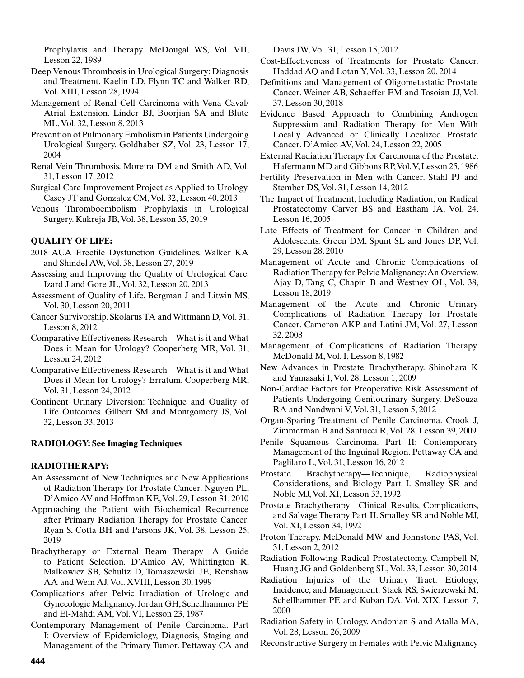Prophylaxis and Therapy. McDougal WS, Vol. VII, Lesson 22, 1989

- Deep Venous Thrombosis in Urological Surgery: Diagnosis and Treatment. Kaelin LD, Flynn TC and Walker RD, Vol. XIII, Lesson 28, 1994
- Management of Renal Cell Carcinoma with Vena Caval/ Atrial Extension. Linder BJ, Boorjian SA and Blute ML, Vol. 32, Lesson 8, 2013
- Prevention of Pulmonary Embolism in Patients Undergoing Urological Surgery. Goldhaber SZ, Vol. 23, Lesson 17, 2004
- Renal Vein Thrombosis. Moreira DM and Smith AD, Vol. 31, Lesson 17, 2012
- Surgical Care Improvement Project as Applied to Urology. Casey JT and Gonzalez CM, Vol. 32, Lesson 40, 2013
- Venous Thromboembolism Prophylaxis in Urological Surgery. Kukreja JB, Vol. 38, Lesson 35, 2019

# **QUALITY OF LIFE:**

- 2018 AUA Erectile Dysfunction Guidelines. Walker KA and Shindel AW, Vol. 38, Lesson 27, 2019
- Assessing and Improving the Quality of Urological Care. Izard J and Gore JL, Vol. 32, Lesson 20, 2013
- Assessment of Quality of Life. Bergman J and Litwin MS, Vol. 30, Lesson 20, 2011
- Cancer Survivorship. Skolarus TA and Wittmann D, Vol. 31, Lesson 8, 2012
- Comparative Effectiveness Research—What is it and What Does it Mean for Urology? Cooperberg MR, Vol. 31, Lesson 24, 2012
- Comparative Effectiveness Research—What is it and What Does it Mean for Urology? Erratum. Cooperberg MR, Vol. 31, Lesson 24, 2012
- Continent Urinary Diversion: Technique and Quality of Life Outcomes. Gilbert SM and Montgomery JS, Vol. 32, Lesson 33, 2013

# **RADIOLOGY: See Imaging Techniques**

# **RADIOTHERAPY:**

- An Assessment of New Techniques and New Applications of Radiation Therapy for Prostate Cancer. Nguyen PL, D'Amico AV and Hoffman KE, Vol. 29, Lesson 31, 2010
- Approaching the Patient with Biochemical Recurrence after Primary Radiation Therapy for Prostate Cancer. Ryan S, Cotta BH and Parsons JK, Vol. 38, Lesson 25, 2019
- Brachytherapy or External Beam Therapy—A Guide to Patient Selection. D'Amico AV, Whittington R, Malkowicz SB, Schultz D, Tomaszewski JE, Renshaw AA and Wein AJ, Vol. XVIII, Lesson 30, 1999
- Complications after Pelvic Irradiation of Urologic and Gynecologic Malignancy. Jordan GH, Schellhammer PE and El-Mahdi AM, Vol. VI, Lesson 23, 1987
- Contemporary Management of Penile Carcinoma. Part I: Overview of Epidemiology, Diagnosis, Staging and Management of the Primary Tumor. Pettaway CA and

Davis JW, Vol. 31, Lesson 15, 2012

- Cost-Effectiveness of Treatments for Prostate Cancer. Haddad AQ and Lotan Y, Vol. 33, Lesson 20, 2014
- Definitions and Management of Oligometastatic Prostate Cancer. Weiner AB, Schaeffer EM and Tosoian JJ, Vol. 37, Lesson 30, 2018
- Evidence Based Approach to Combining Androgen Suppression and Radiation Therapy for Men With Locally Advanced or Clinically Localized Prostate Cancer. D'Amico AV, Vol. 24, Lesson 22, 2005
- External Radiation Therapy for Carcinoma of the Prostate. Hafermann MD and Gibbons RP, Vol. V, Lesson 25, 1986
- Fertility Preservation in Men with Cancer. Stahl PJ and Stember DS, Vol. 31, Lesson 14, 2012
- The Impact of Treatment, Including Radiation, on Radical Prostatectomy. Carver BS and Eastham JA, Vol. 24, Lesson 16, 2005
- Late Effects of Treatment for Cancer in Children and Adolescents. Green DM, Spunt SL and Jones DP, Vol. 29, Lesson 28, 2010
- Management of Acute and Chronic Complications of Radiation Therapy for Pelvic Malignancy: An Overview. Ajay D, Tang C, Chapin B and Westney OL, Vol. 38, Lesson 18, 2019
- Management of the Acute and Chronic Urinary Complications of Radiation Therapy for Prostate Cancer. Cameron AKP and Latini JM, Vol. 27, Lesson 32, 2008
- Management of Complications of Radiation Therapy. McDonald M, Vol. I, Lesson 8, 1982
- New Advances in Prostate Brachytherapy. Shinohara K and Yamasaki I, Vol. 28, Lesson 1, 2009
- Non-Cardiac Factors for Preoperative Risk Assessment of Patients Undergoing Genitourinary Surgery. DeSouza RA and Nandwani V, Vol. 31, Lesson 5, 2012
- Organ-Sparing Treatment of Penile Carcinoma. Crook J, Zimmerman B and Santucci R, Vol. 28, Lesson 39, 2009
- Penile Squamous Carcinoma. Part II: Contemporary Management of the Inguinal Region. Pettaway CA and Paglilaro L, Vol. 31, Lesson 16, 2012
- Prostate Brachytherapy—Technique, Radiophysical Considerations, and Biology Part I. Smalley SR and Noble MJ, Vol. XI, Lesson 33, 1992
- Prostate Brachytherapy—Clinical Results, Complications, and Salvage Therapy Part II. Smalley SR and Noble MJ, Vol. XI, Lesson 34, 1992
- Proton Therapy. McDonald MW and Johnstone PAS, Vol. 31, Lesson 2, 2012
- Radiation Following Radical Prostatectomy. Campbell N, Huang JG and Goldenberg SL, Vol. 33, Lesson 30, 2014
- Radiation Injuries of the Urinary Tract: Etiology, Incidence, and Management. Stack RS, Swierzewski M, Schellhammer PE and Kuban DA, Vol. XIX, Lesson 7, 2000
- Radiation Safety in Urology. Andonian S and Atalla MA, Vol. 28, Lesson 26, 2009
- Reconstructive Surgery in Females with Pelvic Malignancy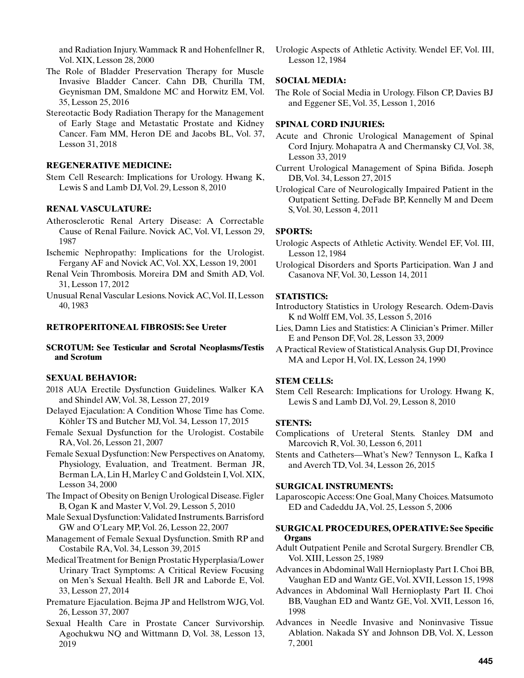and Radiation Injury. Wammack R and Hohenfellner R, Vol. XIX, Lesson 28, 2000

- The Role of Bladder Preservation Therapy for Muscle Invasive Bladder Cancer. Cahn DB, Churilla TM, Geynisman DM, Smaldone MC and Horwitz EM, Vol. 35, Lesson 25, 2016
- Stereotactic Body Radiation Therapy for the Management of Early Stage and Metastatic Prostate and Kidney Cancer. Fam MM, Heron DE and Jacobs BL, Vol. 37, Lesson 31, 2018

# **REGENERATIVE MEDICINE:**

Stem Cell Research: Implications for Urology. Hwang K, Lewis S and Lamb DJ, Vol. 29, Lesson 8, 2010

# **RENAL VASCULATURE:**

- Atherosclerotic Renal Artery Disease: A Correctable Cause of Renal Failure. Novick AC, Vol. VI, Lesson 29, 1987
- Ischemic Nephropathy: Implications for the Urologist. Fergany AF and Novick AC, Vol. XX, Lesson 19, 2001
- Renal Vein Thrombosis. Moreira DM and Smith AD, Vol. 31, Lesson 17, 2012
- Unusual Renal Vascular Lesions. Novick AC, Vol. II, Lesson 40, 1983

#### **RETROPERITONEAL FIBROSIS: See Ureter**

**SCROTUM: See Testicular and Scrotal Neoplasms/Testis and Scrotum**

### **SEXUAL BEHAVIOR:**

- 2018 AUA Erectile Dysfunction Guidelines. Walker KA and Shindel AW, Vol. 38, Lesson 27, 2019
- Delayed Ejaculation: A Condition Whose Time has Come. Köhler TS and Butcher MJ, Vol. 34, Lesson 17, 2015
- Female Sexual Dysfunction for the Urologist. Costabile RA, Vol. 26, Lesson 21, 2007
- Female Sexual Dysfunction: New Perspectives on Anatomy, Physiology, Evaluation, and Treatment. Berman JR, Berman LA, Lin H, Marley C and Goldstein I, Vol. XIX, Lesson 34, 2000
- The Impact of Obesity on Benign Urological Disease. Figler B, Ogan K and Master V, Vol. 29, Lesson 5, 2010
- Male Sexual Dysfunction: Validated Instruments. Barrisford GW and O'Leary MP, Vol. 26, Lesson 22, 2007
- Management of Female Sexual Dysfunction. Smith RP and Costabile RA, Vol. 34, Lesson 39, 2015
- Medical Treatment for Benign Prostatic Hyperplasia/Lower Urinary Tract Symptoms: A Critical Review Focusing on Men's Sexual Health. Bell JR and Laborde E, Vol. 33, Lesson 27, 2014
- Premature Ejaculation. Bejma JP and Hellstrom WJG, Vol. 26, Lesson 37, 2007
- Sexual Health Care in Prostate Cancer Survivorship. Agochukwu NQ and Wittmann D, Vol. 38, Lesson 13, 2019

Urologic Aspects of Athletic Activity. Wendel EF, Vol. III, Lesson 12, 1984

# **SOCIAL MEDIA:**

The Role of Social Media in Urology. Filson CP, Davies BJ and Eggener SE, Vol. 35, Lesson 1, 2016

#### **SPINAL CORD INJURIES:**

- Acute and Chronic Urological Management of Spinal Cord Injury. Mohapatra A and Chermansky CJ, Vol. 38, Lesson 33, 2019
- Current Urological Management of Spina Bifida. Joseph DB, Vol. 34, Lesson 27, 2015
- Urological Care of Neurologically Impaired Patient in the Outpatient Setting. DeFade BP, Kennelly M and Deem S, Vol. 30, Lesson 4, 2011

#### **SPORTS:**

- Urologic Aspects of Athletic Activity. Wendel EF, Vol. III, Lesson 12, 1984
- Urological Disorders and Sports Participation. Wan J and Casanova NF, Vol. 30, Lesson 14, 2011

#### **STATISTICS:**

- Introductory Statistics in Urology Research. Odem-Davis K nd Wolff EM, Vol. 35, Lesson 5, 2016
- Lies, Damn Lies and Statistics: A Clinician's Primer. Miller E and Penson DF, Vol. 28, Lesson 33, 2009
- A Practical Review of Statistical Analysis. Gup DI, Province MA and Lepor H, Vol. IX, Lesson 24, 1990

### **STEM CELLS:**

Stem Cell Research: Implications for Urology. Hwang K, Lewis S and Lamb DJ, Vol. 29, Lesson 8, 2010

#### **STENTS:**

- Complications of Ureteral Stents. Stanley DM and Marcovich R, Vol. 30, Lesson 6, 2011
- Stents and Catheters—What's New? Tennyson L, Kafka I and Averch TD, Vol. 34, Lesson 26, 2015

#### **SURGICAL INSTRUMENTS:**

Laparoscopic Access: One Goal, Many Choices. Matsumoto ED and Cadeddu JA, Vol. 25, Lesson 5, 2006

### **SURGICAL PROCEDURES, OPERATIVE: See Specific Organs**

Adult Outpatient Penile and Scrotal Surgery. Brendler CB, Vol. XIII, Lesson 25, 1989

Advances in Abdominal Wall Hernioplasty Part I. Choi BB, Vaughan ED and Wantz GE, Vol. XVII, Lesson 15, 1998

- Advances in Abdominal Wall Hernioplasty Part II. Choi BB, Vaughan ED and Wantz GE, Vol. XVII, Lesson 16, 1998
- Advances in Needle Invasive and Noninvasive Tissue Ablation. Nakada SY and Johnson DB, Vol. X, Lesson 7, 2001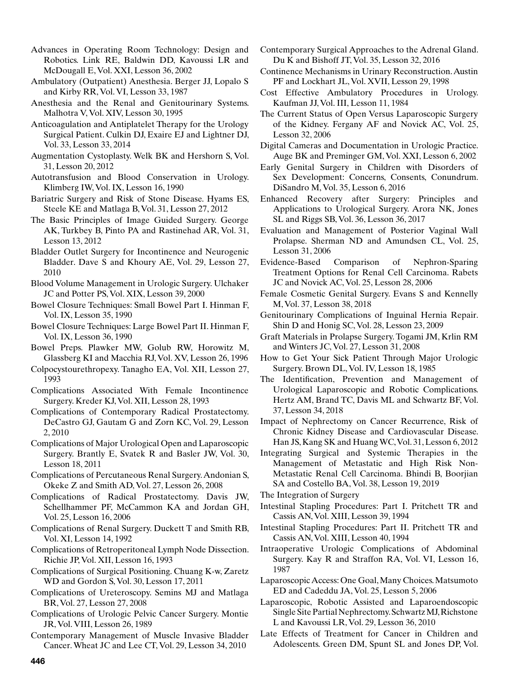Advances in Operating Room Technology: Design and Robotics. Link RE, Baldwin DD, Kavoussi LR and McDougall E, Vol. XXI, Lesson 36, 2002

- Ambulatory (Outpatient) Anesthesia. Berger JJ, Lopalo S and Kirby RR, Vol. VI, Lesson 33, 1987
- Anesthesia and the Renal and Genitourinary Systems. Malhotra V, Vol. XIV, Lesson 30, 1995
- Anticoagulation and Antiplatelet Therapy for the Urology Surgical Patient. Culkin DJ, Exaire EJ and Lightner DJ, Vol. 33, Lesson 33, 2014
- Augmentation Cystoplasty. Welk BK and Hershorn S, Vol. 31, Lesson 20, 2012
- Autotransfusion and Blood Conservation in Urology. Klimberg IW, Vol. IX, Lesson 16, 1990
- Bariatric Surgery and Risk of Stone Disease. Hyams ES, Steele KE and Matlaga B, Vol. 31, Lesson 27, 2012
- The Basic Principles of Image Guided Surgery. George AK, Turkbey B, Pinto PA and Rastinehad AR, Vol. 31, Lesson 13, 2012
- Bladder Outlet Surgery for Incontinence and Neurogenic Bladder. Dave S and Khoury AE, Vol. 29, Lesson 27, 2010
- Blood Volume Management in Urologic Surgery. Ulchaker JC and Potter PS, Vol. XIX, Lesson 39, 2000
- Bowel Closure Techniques: Small Bowel Part I. Hinman F, Vol. IX, Lesson 35, 1990
- Bowel Closure Techniques: Large Bowel Part II. Hinman F, Vol. IX, Lesson 36, 1990
- Bowel Preps. Plawker MW, Golub RW, Horowitz M, Glassberg KI and Macchia RJ, Vol. XV, Lesson 26, 1996
- Colpocystourethropexy. Tanagho EA, Vol. XII, Lesson 27, 1993
- Complications Associated With Female Incontinence Surgery. Kreder KJ, Vol. XII, Lesson 28, 1993
- Complications of Contemporary Radical Prostatectomy. DeCastro GJ, Gautam G and Zorn KC, Vol. 29, Lesson 2, 2010
- Complications of Major Urological Open and Laparoscopic Surgery. Brantly E, Svatek R and Basler JW, Vol. 30, Lesson 18, 2011
- Complications of Percutaneous Renal Surgery. Andonian S, Okeke Z and Smith AD, Vol. 27, Lesson 26, 2008
- Complications of Radical Prostatectomy. Davis JW, Schellhammer PF, McCammon KA and Jordan GH, Vol. 25, Lesson 16, 2006
- Complications of Renal Surgery. Duckett T and Smith RB, Vol. XI, Lesson 14, 1992
- Complications of Retroperitoneal Lymph Node Dissection. Richie JP, Vol. XII, Lesson 16, 1993
- Complications of Surgical Positioning. Chuang K-w, Zaretz WD and Gordon S, Vol. 30, Lesson 17, 2011
- Complications of Ureteroscopy. Semins MJ and Matlaga BR, Vol. 27, Lesson 27, 2008
- Complications of Urologic Pelvic Cancer Surgery. Montie JR, Vol. VIII, Lesson 26, 1989
- Contemporary Management of Muscle Invasive Bladder Cancer. Wheat JC and Lee CT, Vol. 29, Lesson 34, 2010
- Contemporary Surgical Approaches to the Adrenal Gland. Du K and Bishoff JT, Vol. 35, Lesson 32, 2016
- Continence Mechanisms in Urinary Reconstruction. Austin PF and Lockhart JL, Vol. XVII, Lesson 29, 1998
- Cost Effective Ambulatory Procedures in Urology. Kaufman JJ, Vol. III, Lesson 11, 1984
- The Current Status of Open Versus Laparoscopic Surgery of the Kidney. Fergany AF and Novick AC, Vol. 25, Lesson 32, 2006
- Digital Cameras and Documentation in Urologic Practice. Auge BK and Preminger GM, Vol. XXI, Lesson 6, 2002
- Early Genital Surgery in Children with Disorders of Sex Development: Concerns, Consents, Conundrum. DiSandro M, Vol. 35, Lesson 6, 2016
- Enhanced Recovery after Surgery: Principles and Applications to Urological Surgery. Arora NK, Jones SL and Riggs SB, Vol. 36, Lesson 36, 2017
- Evaluation and Management of Posterior Vaginal Wall Prolapse. Sherman ND and Amundsen CL, Vol. 25, Lesson 31, 2006
- Evidence-Based Comparison of Nephron-Sparing Treatment Options for Renal Cell Carcinoma. Rabets JC and Novick AC, Vol. 25, Lesson 28, 2006
- Female Cosmetic Genital Surgery. Evans S and Kennelly M, Vol. 37, Lesson 38, 2018
- Genitourinary Complications of Inguinal Hernia Repair. Shin D and Honig SC, Vol. 28, Lesson 23, 2009
- Graft Materials in Prolapse Surgery. Togami JM, Krlin RM and Winters JC, Vol. 27, Lesson 31, 2008
- How to Get Your Sick Patient Through Major Urologic Surgery. Brown DL, Vol. IV, Lesson 18, 1985
- The Identification, Prevention and Management of Urological Laparoscopic and Robotic Complications. Hertz AM, Brand TC, Davis ML and Schwartz BF, Vol. 37, Lesson 34, 2018
- Impact of Nephrectomy on Cancer Recurrence, Risk of Chronic Kidney Disease and Cardiovascular Disease. Han JS, Kang SK and Huang WC, Vol. 31, Lesson 6, 2012
- Integrating Surgical and Systemic Therapies in the Management of Metastatic and High Risk Non-Metastatic Renal Cell Carcinoma. Bhindi B, Boorjian SA and Costello BA, Vol. 38, Lesson 19, 2019
- The Integration of Surgery
- Intestinal Stapling Procedures: Part I. Pritchett TR and Cassis AN, Vol. XIII, Lesson 39, 1994
- Intestinal Stapling Procedures: Part II. Pritchett TR and Cassis AN, Vol. XIII, Lesson 40, 1994
- Intraoperative Urologic Complications of Abdominal Surgery. Kay R and Straffon RA, Vol. VI, Lesson 16, 1987
- Laparoscopic Access: One Goal, Many Choices. Matsumoto ED and Cadeddu JA, Vol. 25, Lesson 5, 2006
- Laparoscopic, Robotic Assisted and Laparoendoscopic Single Site Partial Nephrectomy. Schwartz MJ, Richstone L and Kavoussi LR, Vol. 29, Lesson 36, 2010
- Late Effects of Treatment for Cancer in Children and Adolescents. Green DM, Spunt SL and Jones DP, Vol.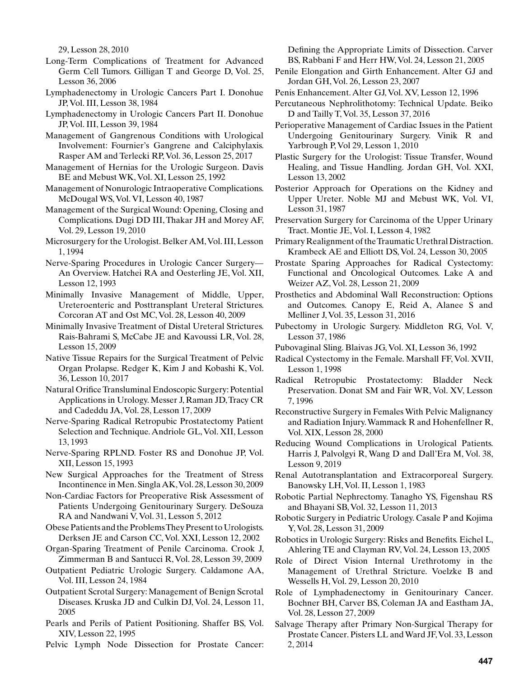29, Lesson 28, 2010

- Long-Term Complications of Treatment for Advanced Germ Cell Tumors. Gilligan T and George D, Vol. 25, Lesson 36, 2006
- Lymphadenectomy in Urologic Cancers Part I. Donohue JP, Vol. III, Lesson 38, 1984
- Lymphadenectomy in Urologic Cancers Part II. Donohue JP, Vol. III, Lesson 39, 1984
- Management of Gangrenous Conditions with Urological Involvement: Fournier's Gangrene and Calciphylaxis. Rasper AM and Terlecki RP, Vol. 36, Lesson 25, 2017
- Management of Hernias for the Urologic Surgeon. Davis BE and Mebust WK, Vol. XI, Lesson 25, 1992
- Management of Nonurologic Intraoperative Complications. McDougal WS, Vol. VI, Lesson 40, 1987
- Management of the Surgical Wound: Opening, Closing and Complications. Dugi DD III, Thakar JH and Morey AF, Vol. 29, Lesson 19, 2010
- Microsurgery for the Urologist. Belker AM, Vol. III, Lesson 1, 1994
- Nerve-Sparing Procedures in Urologic Cancer Surgery— An Overview. Hatchei RA and Oesterling JE, Vol. XII, Lesson 12, 1993
- Minimally Invasive Management of Middle, Upper, Ureteroenteric and Posttransplant Ureteral Strictures. Corcoran AT and Ost MC, Vol. 28, Lesson 40, 2009
- Minimally Invasive Treatment of Distal Ureteral Strictures. Rais-Bahrami S, McCabe JE and Kavoussi LR, Vol. 28, Lesson 15, 2009
- Native Tissue Repairs for the Surgical Treatment of Pelvic Organ Prolapse. Redger K, Kim J and Kobashi K, Vol. 36, Lesson 10, 2017
- Natural Orifice Transluminal Endoscopic Surgery: Potential Applications in Urology. Messer J, Raman JD, Tracy CR and Cadeddu JA, Vol. 28, Lesson 17, 2009
- Nerve-Sparing Radical Retropubic Prostatectomy Patient Selection and Technique. Andriole GL, Vol. XII, Lesson 13, 1993
- Nerve-Sparing RPLND. Foster RS and Donohue JP, Vol. XII, Lesson 15, 1993
- New Surgical Approaches for the Treatment of Stress Incontinence in Men. Singla AK, Vol. 28, Lesson 30, 2009
- Non-Cardiac Factors for Preoperative Risk Assessment of Patients Undergoing Genitourinary Surgery. DeSouza RA and Nandwani V, Vol. 31, Lesson 5, 2012
- Obese Patients and the Problems They Present to Urologists. Derksen JE and Carson CC, Vol. XXI, Lesson 12, 2002
- Organ-Sparing Treatment of Penile Carcinoma. Crook J, Zimmerman B and Santucci R, Vol. 28, Lesson 39, 2009
- Outpatient Pediatric Urologic Surgery. Caldamone AA, Vol. III, Lesson 24, 1984
- Outpatient Scrotal Surgery: Management of Benign Scrotal Diseases. Kruska JD and Culkin DJ, Vol. 24, Lesson 11, 2005
- Pearls and Perils of Patient Positioning. Shaffer BS, Vol. XIV, Lesson 22, 1995
- Pelvic Lymph Node Dissection for Prostate Cancer:

Defining the Appropriate Limits of Dissection. Carver BS, Rabbani F and Herr HW, Vol. 24, Lesson 21, 2005

- Penile Elongation and Girth Enhancement. Alter GJ and Jordan GH, Vol. 26, Lesson 23, 2007
- Penis Enhancement. Alter GJ, Vol. XV, Lesson 12, 1996
- Percutaneous Nephrolithotomy: Technical Update. Beiko D and Tailly T, Vol. 35, Lesson 37, 2016
- Perioperative Management of Cardiac Issues in the Patient Undergoing Genitourinary Surgery. Vinik R and Yarbrough P, Vol 29, Lesson 1, 2010
- Plastic Surgery for the Urologist: Tissue Transfer, Wound Healing, and Tissue Handling. Jordan GH, Vol. XXI, Lesson 13, 2002
- Posterior Approach for Operations on the Kidney and Upper Ureter. Noble MJ and Mebust WK, Vol. VI, Lesson 31, 1987
- Preservation Surgery for Carcinoma of the Upper Urinary Tract. Montie JE, Vol. I, Lesson 4, 1982
- Primary Realignment of the Traumatic Urethral Distraction. Krambeck AE and Elliott DS, Vol. 24, Lesson 30, 2005
- Prostate Sparing Approaches for Radical Cystectomy: Functional and Oncological Outcomes. Lake A and Weizer AZ, Vol. 28, Lesson 21, 2009
- Prosthetics and Abdominal Wall Reconstruction: Options and Outcomes. Canopy E, Reid A, Alanee S and Melliner J, Vol. 35, Lesson 31, 2016
- Pubectomy in Urologic Surgery. Middleton RG, Vol. V, Lesson 37, 1986
- Pubovaginal Sling. Blaivas JG, Vol. XI, Lesson 36, 1992
- Radical Cystectomy in the Female. Marshall FF, Vol. XVII, Lesson 1, 1998
- Radical Retropubic Prostatectomy: Bladder Neck Preservation. Donat SM and Fair WR, Vol. XV, Lesson 7, 1996
- Reconstructive Surgery in Females With Pelvic Malignancy and Radiation Injury. Wammack R and Hohenfellner R, Vol. XIX, Lesson 28, 2000
- Reducing Wound Complications in Urological Patients. Harris J, Palvolgyi R, Wang D and Dall'Era M, Vol. 38, Lesson 9, 2019
- Renal Autotransplantation and Extracorporeal Surgery. Banowsky LH, Vol. II, Lesson 1, 1983
- Robotic Partial Nephrectomy. Tanagho YS, Figenshau RS and Bhayani SB, Vol. 32, Lesson 11, 2013
- Robotic Surgery in Pediatric Urology. Casale P and Kojima Y, Vol. 28, Lesson 31, 2009
- Robotics in Urologic Surgery: Risks and Benefits. Eichel L, Ahlering TE and Clayman RV, Vol. 24, Lesson 13, 2005
- Role of Direct Vision Internal Urethrotomy in the Management of Urethral Stricture. Voelzke B and Wessells H, Vol. 29, Lesson 20, 2010
- Role of Lymphadenectomy in Genitourinary Cancer. Bochner BH, Carver BS, Coleman JA and Eastham JA, Vol. 28, Lesson 27, 2009
- Salvage Therapy after Primary Non-Surgical Therapy for Prostate Cancer. Pisters LL and Ward JF, Vol. 33, Lesson 2, 2014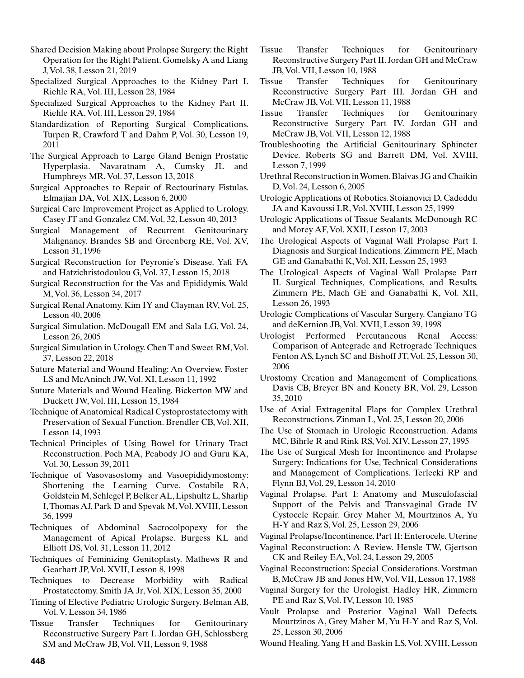Shared Decision Making about Prolapse Surgery: the Right Operation for the Right Patient. Gomelsky A and Liang J, Vol. 38, Lesson 21, 2019

Specialized Surgical Approaches to the Kidney Part I. Riehle RA, Vol. III, Lesson 28, 1984

Specialized Surgical Approaches to the Kidney Part II. Riehle RA, Vol. III, Lesson 29, 1984

Standardization of Reporting Surgical Complications. Turpen R, Crawford T and Dahm P, Vol. 30, Lesson 19, 2011

The Surgical Approach to Large Gland Benign Prostatic Hyperplasia. Navaratnam A, Cumsky JL and Humphreys MR, Vol. 37, Lesson 13, 2018

Surgical Approaches to Repair of Rectourinary Fistulas. Elmajian DA, Vol. XIX, Lesson 6, 2000

Surgical Care Improvement Project as Applied to Urology. Casey JT and Gonzalez CM, Vol. 32, Lesson 40, 2013

Surgical Management of Recurrent Genitourinary Malignancy. Brandes SB and Greenberg RE, Vol. XV, Lesson 31, 1996

Surgical Reconstruction for Peyronie's Disease. Yafi FA and Hatzichristodoulou G, Vol. 37, Lesson 15, 2018

Surgical Reconstruction for the Vas and Epididymis. Wald M, Vol. 36, Lesson 34, 2017

Surgical Renal Anatomy. Kim IY and Clayman RV, Vol. 25, Lesson 40, 2006

- Surgical Simulation. McDougall EM and Sala LG, Vol. 24, Lesson 26, 2005
- Surgical Simulation in Urology. Chen T and Sweet RM, Vol. 37, Lesson 22, 2018
- Suture Material and Wound Healing: An Overview. Foster LS and McAninch JW, Vol. XI, Lesson 11, 1992
- Suture Materials and Wound Healing. Bickerton MW and Duckett JW, Vol. III, Lesson 15, 1984
- Technique of Anatomical Radical Cystoprostatectomy with Preservation of Sexual Function. Brendler CB, Vol. XII, Lesson 14, 1993

Technical Principles of Using Bowel for Urinary Tract Reconstruction. Poch MA, Peabody JO and Guru KA, Vol. 30, Lesson 39, 2011

Technique of Vasovasostomy and Vasoepididymostomy: Shortening the Learning Curve. Costabile RA, Goldstein M, Schlegel P, Belker AL, Lipshultz L, Sharlip I, Thomas AJ, Park D and Spevak M, Vol. XVIII, Lesson 36, 1999

Techniques of Abdominal Sacrocolpopexy for the Management of Apical Prolapse. Burgess KL and Elliott DS, Vol. 31, Lesson 11, 2012

Techniques of Feminizing Genitoplasty. Mathews R and Gearhart JP, Vol. XVII, Lesson 8, 1998

Techniques to Decrease Morbidity with Radical Prostatectomy. Smith JA Jr, Vol. XIX, Lesson 35, 2000

Timing of Elective Pediatric Urologic Surgery. Belman AB, Vol. V, Lesson 34, 1986

Tissue Transfer Techniques for Genitourinary Reconstructive Surgery Part I. Jordan GH, Schlossberg SM and McCraw JB, Vol. VII, Lesson 9, 1988

Tissue Transfer Techniques for Genitourinary Reconstructive Surgery Part II. Jordan GH and McCraw JB, Vol. VII, Lesson 10, 1988

Tissue Transfer Techniques for Genitourinary Reconstructive Surgery Part III. Jordan GH and McCraw JB, Vol. VII, Lesson 11, 1988

Tissue Transfer Techniques for Genitourinary Reconstructive Surgery Part IV. Jordan GH and McCraw JB, Vol. VII, Lesson 12, 1988

Troubleshooting the Artificial Genitourinary Sphincter Device. Roberts SG and Barrett DM, Vol. XVIII, Lesson 7, 1999

Urethral Reconstruction in Women. Blaivas JG and Chaikin D, Vol. 24, Lesson 6, 2005

Urologic Applications of Robotics. Stoianovici D, Cadeddu JA and Kavoussi LR, Vol. XVIII, Lesson 25, 1999

Urologic Applications of Tissue Sealants. McDonough RC and Morey AF, Vol. XXII, Lesson 17, 2003

The Urological Aspects of Vaginal Wall Prolapse Part I. Diagnosis and Surgical Indications. Zimmern PE, Mach GE and Ganabathi K, Vol. XII, Lesson 25, 1993

The Urological Aspects of Vaginal Wall Prolapse Part II. Surgical Techniques, Complications, and Results. Zimmern PE, Mach GE and Ganabathi K, Vol. XII, Lesson 26, 1993

Urologic Complications of Vascular Surgery. Cangiano TG and deKernion JB, Vol. XVII, Lesson 39, 1998

Urologist Performed Percutaneous Renal Access: Comparison of Antegrade and Retrograde Techniques. Fenton AS, Lynch SC and Bishoff JT, Vol. 25, Lesson 30, 2006

Urostomy Creation and Management of Complications. Davis CB, Breyer BN and Konety BR, Vol. 29, Lesson 35, 2010

Use of Axial Extragenital Flaps for Complex Urethral Reconstructions. Zinman L, Vol. 25, Lesson 20, 2006

The Use of Stomach in Urologic Reconstruction. Adams MC, Bihrle R and Rink RS, Vol. XIV, Lesson 27, 1995

The Use of Surgical Mesh for Incontinence and Prolapse Surgery: Indications for Use, Technical Considerations and Management of Complications. Terlecki RP and Flynn BJ, Vol. 29, Lesson 14, 2010

Vaginal Prolapse. Part I: Anatomy and Musculofascial Support of the Pelvis and Transvaginal Grade IV Cystocele Repair. Grey Maher M, Mourtzinos A, Yu H-Y and Raz S, Vol. 25, Lesson 29, 2006

Vaginal Prolapse/Incontinence. Part II: Enterocele, Uterine

Vaginal Reconstruction: A Review. Hensle TW, Gjertson CK and Reiley EA, Vol. 24, Lesson 29, 2005

Vaginal Reconstruction: Special Considerations. Vorstman B, McCraw JB and Jones HW, Vol. VII, Lesson 17, 1988

Vaginal Surgery for the Urologist. Hadley HR, Zimmern PE and Raz S, Vol. IV, Lesson 10, 1985

Vault Prolapse and Posterior Vaginal Wall Defects. Mourtzinos A, Grey Maher M, Yu H-Y and Raz S, Vol. 25, Lesson 30, 2006

Wound Healing. Yang H and Baskin LS, Vol. XVIII, Lesson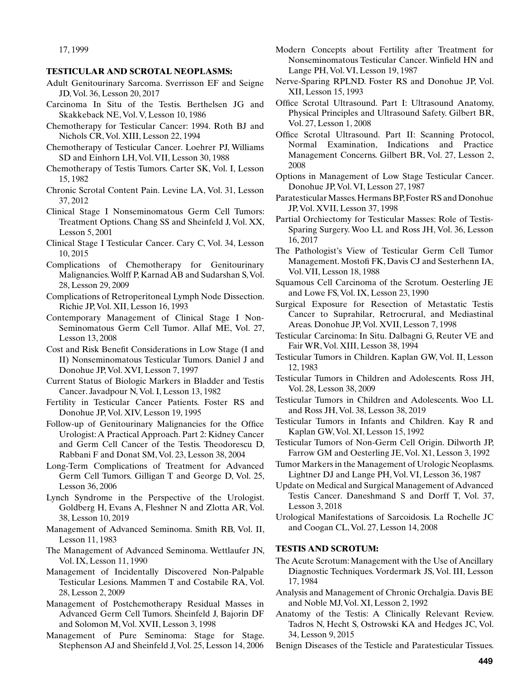### **TESTICULAR AND SCROTAL NEOPLASMS:**

- Adult Genitourinary Sarcoma. Sverrisson EF and Seigne JD, Vol. 36, Lesson 20, 2017
- Carcinoma In Situ of the Testis. Berthelsen JG and Skakkeback NE, Vol. V, Lesson 10, 1986
- Chemotherapy for Testicular Cancer: 1994. Roth BJ and Nichols CR, Vol. XIII, Lesson 22, 1994
- Chemotherapy of Testicular Cancer. Loehrer PJ, Williams SD and Einhorn LH, Vol. VII, Lesson 30, 1988
- Chemotherapy of Testis Tumors. Carter SK, Vol. I, Lesson 15, 1982
- Chronic Scrotal Content Pain. Levine LA, Vol. 31, Lesson 37, 2012
- Clinical Stage I Nonseminomatous Germ Cell Tumors: Treatment Options. Chang SS and Sheinfeld J, Vol. XX, Lesson 5, 2001
- Clinical Stage I Testicular Cancer. Cary C, Vol. 34, Lesson 10, 2015
- Complications of Chemotherapy for Genitourinary Malignancies. Wolff P, Karnad AB and Sudarshan S, Vol. 28, Lesson 29, 2009
- Complications of Retroperitoneal Lymph Node Dissection. Richie JP, Vol. XII, Lesson 16, 1993
- Contemporary Management of Clinical Stage I Non-Seminomatous Germ Cell Tumor. Allaf ME, Vol. 27, Lesson 13, 2008
- Cost and Risk Benefit Considerations in Low Stage (I and II) Nonseminomatous Testicular Tumors. Daniel J and Donohue JP, Vol. XVI, Lesson 7, 1997
- Current Status of Biologic Markers in Bladder and Testis Cancer. Javadpour N, Vol. I, Lesson 13, 1982
- Fertility in Testicular Cancer Patients. Foster RS and Donohue JP, Vol. XIV, Lesson 19, 1995
- Follow-up of Genitourinary Malignancies for the Office Urologist: A Practical Approach. Part 2: Kidney Cancer and Germ Cell Cancer of the Testis. Theodorescu D, Rabbani F and Donat SM, Vol. 23, Lesson 38, 2004
- Long-Term Complications of Treatment for Advanced Germ Cell Tumors. Gilligan T and George D, Vol. 25, Lesson 36, 2006
- Lynch Syndrome in the Perspective of the Urologist. Goldberg H, Evans A, Fleshner N and Zlotta AR, Vol. 38, Lesson 10, 2019
- Management of Advanced Seminoma. Smith RB, Vol. II, Lesson 11, 1983
- The Management of Advanced Seminoma. Wettlaufer JN, Vol. IX, Lesson 11, 1990
- Management of Incidentally Discovered Non-Palpable Testicular Lesions. Mammen T and Costabile RA, Vol. 28, Lesson 2, 2009
- Management of Postchemotherapy Residual Masses in Advanced Germ Cell Tumors. Sheinfeld J, Bajorin DF and Solomon M, Vol. XVII, Lesson 3, 1998
- Management of Pure Seminoma: Stage for Stage. Stephenson AJ and Sheinfeld J, Vol. 25, Lesson 14, 2006
- Modern Concepts about Fertility after Treatment for Nonseminomatous Testicular Cancer. Winfield HN and Lange PH, Vol. VI, Lesson 19, 1987
- Nerve-Sparing RPLND. Foster RS and Donohue JP, Vol. XII, Lesson 15, 1993
- Office Scrotal Ultrasound. Part I: Ultrasound Anatomy, Physical Principles and Ultrasound Safety. Gilbert BR, Vol. 27, Lesson 1, 2008
- Office Scrotal Ultrasound. Part II: Scanning Protocol, Normal Examination, Indications and Practice Management Concerns. Gilbert BR, Vol. 27, Lesson 2, 2008
- Options in Management of Low Stage Testicular Cancer. Donohue JP, Vol. VI, Lesson 27, 1987
- Paratesticular Masses. Hermans BP, Foster RS and Donohue JP, Vol. XVII, Lesson 37, 1998
- Partial Orchiectomy for Testicular Masses: Role of Testis-Sparing Surgery. Woo LL and Ross JH, Vol. 36, Lesson 16, 2017
- The Pathologist's View of Testicular Germ Cell Tumor Management. Mostofi FK, Davis CJ and Sesterhenn IA, Vol. VII, Lesson 18, 1988
- Squamous Cell Carcinoma of the Scrotum. Oesterling JE and Lowe FS, Vol. IX, Lesson 23, 1990
- Surgical Exposure for Resection of Metastatic Testis Cancer to Suprahilar, Retrocrural, and Mediastinal Areas. Donohue JP, Vol. XVII, Lesson 7, 1998
- Testicular Carcinoma: In Situ. Dalbagni G, Reuter VE and Fair WR, Vol. XIII, Lesson 38, 1994
- Testicular Tumors in Children. Kaplan GW, Vol. II, Lesson 12, 1983
- Testicular Tumors in Children and Adolescents. Ross JH, Vol. 28, Lesson 38, 2009
- Testicular Tumors in Children and Adolescents. Woo LL and Ross JH, Vol. 38, Lesson 38, 2019
- Testicular Tumors in Infants and Children. Kay R and Kaplan GW, Vol. XI, Lesson 15, 1992
- Testicular Tumors of Non-Germ Cell Origin. Dilworth JP, Farrow GM and Oesterling JE, Vol. X1, Lesson 3, 1992
- Tumor Markers in the Management of Urologic Neoplasms. Lightner DJ and Lange PH, Vol. VI, Lesson 36, 1987
- Update on Medical and Surgical Management of Advanced Testis Cancer. Daneshmand S and Dorff T, Vol. 37, Lesson 3, 2018
- Urological Manifestations of Sarcoidosis. La Rochelle JC and Coogan CL, Vol. 27, Lesson 14, 2008

#### **TESTIS AND SCROTUM:**

- The Acute Scrotum: Management with the Use of Ancillary Diagnostic Techniques. Vordermark JS, Vol. III, Lesson 17, 1984
- Analysis and Management of Chronic Orchalgia. Davis BE and Noble MJ, Vol. XI, Lesson 2, 1992
- Anatomy of the Testis: A Clinically Relevant Review. Tadros N, Hecht S, Ostrowski KA and Hedges JC, Vol. 34, Lesson 9, 2015
- Benign Diseases of the Testicle and Paratesticular Tissues.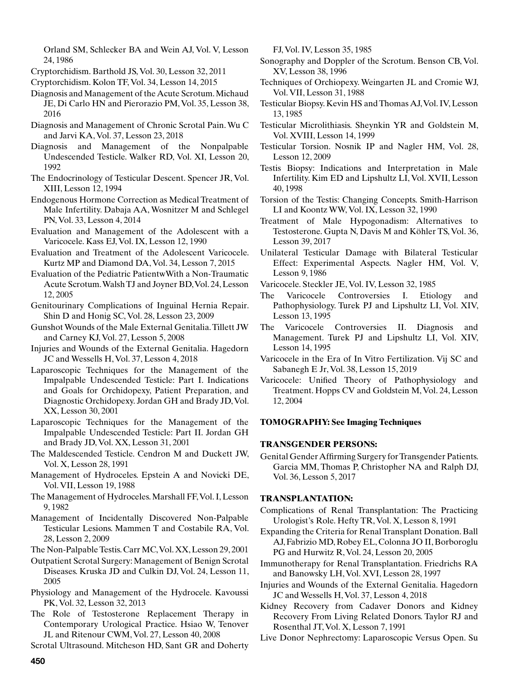Orland SM, Schlecker BA and Wein AJ, Vol. V, Lesson 24, 1986

- Cryptorchidism. Barthold JS, Vol. 30, Lesson 32, 2011
- Cryptorchidism. Kolon TF, Vol. 34, Lesson 14, 2015
- Diagnosis and Management of the Acute Scrotum. Michaud JE, Di Carlo HN and Pierorazio PM, Vol. 35, Lesson 38, 2016
- Diagnosis and Management of Chronic Scrotal Pain. Wu C and Jarvi KA, Vol. 37, Lesson 23, 2018
- Diagnosis and Management of the Nonpalpable Undescended Testicle. Walker RD, Vol. XI, Lesson 20, 1992
- The Endocrinology of Testicular Descent. Spencer JR, Vol. XIII, Lesson 12, 1994
- Endogenous Hormone Correction as Medical Treatment of Male Infertility. Dabaja AA, Wosnitzer M and Schlegel PN, Vol. 33, Lesson 4, 2014
- Evaluation and Management of the Adolescent with a Varicocele. Kass EJ, Vol. IX, Lesson 12, 1990
- Evaluation and Treatment of the Adolescent Varicocele. Kurtz MP and Diamond DA, Vol. 34, Lesson 7, 2015
- Evaluation of the Pediatric PatientwWith a Non-Traumatic Acute Scrotum. Walsh TJ and Joyner BD, Vol. 24, Lesson 12, 2005
- Genitourinary Complications of Inguinal Hernia Repair. Shin D and Honig SC, Vol. 28, Lesson 23, 2009
- Gunshot Wounds of the Male External Genitalia. Tillett JW and Carney KJ, Vol. 27, Lesson 5, 2008
- Injuries and Wounds of the External Genitalia. Hagedorn JC and Wessells H, Vol. 37, Lesson 4, 2018
- Laparoscopic Techniques for the Management of the Impalpable Undescended Testicle: Part I. Indications and Goals for Orchidopexy, Patient Preparation, and Diagnostic Orchidopexy. Jordan GH and Brady JD, Vol. XX, Lesson 30, 2001
- Laparoscopic Techniques for the Management of the Impalpable Undescended Testicle: Part II. Jordan GH and Brady JD, Vol. XX, Lesson 31, 2001
- The Maldescended Testicle. Cendron M and Duckett JW, Vol. X, Lesson 28, 1991
- Management of Hydroceles. Epstein A and Novicki DE, Vol. VII, Lesson 19, 1988
- The Management of Hydroceles. Marshall FF, Vol. I, Lesson 9, 1982
- Management of Incidentally Discovered Non-Palpable Testicular Lesions. Mammen T and Costabile RA, Vol. 28, Lesson 2, 2009
- The Non-Palpable Testis. Carr MC, Vol. XX, Lesson 29, 2001
- Outpatient Scrotal Surgery: Management of Benign Scrotal Diseases. Kruska JD and Culkin DJ, Vol. 24, Lesson 11, 2005
- Physiology and Management of the Hydrocele. Kavoussi PK, Vol. 32, Lesson 32, 2013
- The Role of Testosterone Replacement Therapy in Contemporary Urological Practice. Hsiao W, Tenover JL and Ritenour CWM, Vol. 27, Lesson 40, 2008
- Scrotal Ultrasound. Mitcheson HD, Sant GR and Doherty

FJ, Vol. IV, Lesson 35, 1985

- Sonography and Doppler of the Scrotum. Benson CB, Vol. XV, Lesson 38, 1996
- Techniques of Orchiopexy. Weingarten JL and Cromie WJ, Vol. VII, Lesson 31, 1988
- Testicular Biopsy. Kevin HS and Thomas AJ, Vol. IV, Lesson 13, 1985
- Testicular Microlithiasis. Sheynkin YR and Goldstein M, Vol. XVIII, Lesson 14, 1999
- Testicular Torsion. Nosnik IP and Nagler HM, Vol. 28, Lesson 12, 2009
- Testis Biopsy: Indications and Interpretation in Male Infertility. Kim ED and Lipshultz LI, Vol. XVII, Lesson 40, 1998
- Torsion of the Testis: Changing Concepts. Smith-Harrison LI and Koontz WW, Vol. IX, Lesson 32, 1990
- Treatment of Male Hypogonadism: Alternatives to Testosterone. Gupta N, Davis M and Köhler TS, Vol. 36, Lesson 39, 2017
- Unilateral Testicular Damage with Bilateral Testicular Effect: Experimental Aspects. Nagler HM, Vol. V, Lesson 9, 1986
- Varicocele. Steckler JE, Vol. IV, Lesson 32, 1985
- The Varicocele Controversies I. Etiology and Pathophysiology. Turek PJ and Lipshultz LI, Vol. XIV, Lesson 13, 1995
- The Varicocele Controversies II. Diagnosis and Management. Turek PJ and Lipshultz LI, Vol. XIV, Lesson 14, 1995
- Varicocele in the Era of In Vitro Fertilization. Vij SC and Sabanegh E Jr, Vol. 38, Lesson 15, 2019
- Varicocele: Unified Theory of Pathophysiology and Treatment. Hopps CV and Goldstein M, Vol. 24, Lesson 12, 2004

#### **TOMOGRAPHY: See Imaging Techniques**

#### **TRANSGENDER PERSONS:**

Genital Gender Affirming Surgery for Transgender Patients. Garcia MM, Thomas P, Christopher NA and Ralph DJ, Vol. 36, Lesson 5, 2017

#### **TRANSPLANTATION:**

- Complications of Renal Transplantation: The Practicing Urologist's Role. Hefty TR, Vol. X, Lesson 8, 1991
- Expanding the Criteria for Renal Transplant Donation. Ball AJ, Fabrizio MD, Robey EL, Colonna JO II, Borboroglu PG and Hurwitz R, Vol. 24, Lesson 20, 2005
- Immunotherapy for Renal Transplantation. Friedrichs RA and Banowsky LH, Vol. XVI, Lesson 28, 1997
- Injuries and Wounds of the External Genitalia. Hagedorn JC and Wessells H, Vol. 37, Lesson 4, 2018
- Kidney Recovery from Cadaver Donors and Kidney Recovery From Living Related Donors. Taylor RJ and Rosenthal JT, Vol. X, Lesson 7, 1991
- Live Donor Nephrectomy: Laparoscopic Versus Open. Su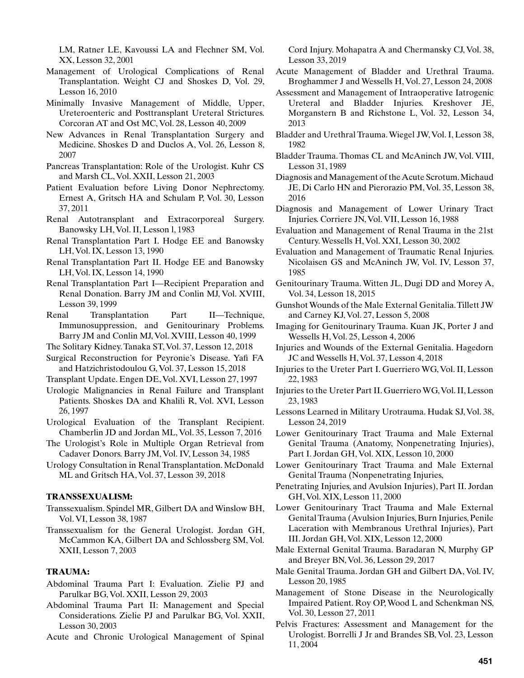LM, Ratner LE, Kavoussi LA and Flechner SM, Vol. XX, Lesson 32, 2001

- Management of Urological Complications of Renal Transplantation. Weight CJ and Shoskes D, Vol. 29, Lesson 16, 2010
- Minimally Invasive Management of Middle, Upper, Ureteroenteric and Posttransplant Ureteral Strictures. Corcoran AT and Ost MC, Vol. 28, Lesson 40, 2009
- New Advances in Renal Transplantation Surgery and Medicine. Shoskes D and Duclos A, Vol. 26, Lesson 8, 2007
- Pancreas Transplantation: Role of the Urologist. Kuhr CS and Marsh CL, Vol. XXII, Lesson 21, 2003
- Patient Evaluation before Living Donor Nephrectomy. Ernest A, Gritsch HA and Schulam P, Vol. 30, Lesson 37, 2011
- Renal Autotransplant and Extracorporeal Surgery. Banowsky LH, Vol. II, Lesson l, 1983
- Renal Transplantation Part I. Hodge EE and Banowsky LH, Vol. IX, Lesson 13, 1990
- Renal Transplantation Part II. Hodge EE and Banowsky LH, Vol. IX, Lesson 14, 1990
- Renal Transplantation Part I—Recipient Preparation and Renal Donation. Barry JM and Conlin MJ, Vol. XVIII, Lesson 39, 1999
- Renal Transplantation Part II—Technique, Immunosuppression, and Genitourinary Problems. Barry JM and Conlin MJ, Vol. XVIII, Lesson 40, 1999
- The Solitary Kidney. Tanaka ST, Vol. 37, Lesson 12, 2018
- Surgical Reconstruction for Peyronie's Disease. Yafi FA and Hatzichristodoulou G, Vol. 37, Lesson 15, 2018
- Transplant Update. Engen DE, Vol. XVI, Lesson 27, 1997
- Urologic Malignancies in Renal Failure and Transplant Patients. Shoskes DA and Khalili R, Vol. XVI, Lesson 26, 1997
- Urological Evaluation of the Transplant Recipient. Chamberlin JD and Jordan ML, Vol. 35, Lesson 7, 2016
- The Urologist's Role in Multiple Organ Retrieval from Cadaver Donors. Barry JM, Vol. IV, Lesson 34, 1985
- Urology Consultation in Renal Transplantation. McDonald ML and Gritsch HA, Vol. 37, Lesson 39, 2018

## **TRANSSEXUALISM:**

- Transsexualism. Spindel MR, Gilbert DA and Winslow BH, Vol. VI, Lesson 38, 1987
- Transsexualism for the General Urologist. Jordan GH, McCammon KA, Gilbert DA and Schlossberg SM, Vol. XXII, Lesson 7, 2003

# **TRAUMA:**

- Abdominal Trauma Part I: Evaluation. Zielie PJ and Parulkar BG, Vol. XXII, Lesson 29, 2003
- Abdominal Trauma Part II: Management and Special Considerations. Zielie PJ and Parulkar BG, Vol. XXII, Lesson 30, 2003
- Acute and Chronic Urological Management of Spinal

Cord Injury. Mohapatra A and Chermansky CJ, Vol. 38, Lesson 33, 2019

- Acute Management of Bladder and Urethral Trauma. Broghammer J and Wessells H, Vol. 27, Lesson 24, 2008
- Assessment and Management of Intraoperative Iatrogenic Ureteral and Bladder Injuries. Kreshover JE, Morganstern B and Richstone L, Vol. 32, Lesson 34, 2013
- Bladder and Urethral Trauma. Wiegel JW, Vol. I, Lesson 38, 1982
- Bladder Trauma. Thomas CL and McAninch JW, Vol. VIII, Lesson 31, 1989
- Diagnosis and Management of the Acute Scrotum. Michaud JE, Di Carlo HN and Pierorazio PM, Vol. 35, Lesson 38, 2016
- Diagnosis and Management of Lower Urinary Tract Injuries. Corriere JN, Vol. VII, Lesson 16, 1988
- Evaluation and Management of Renal Trauma in the 21st Century. Wessells H, Vol. XXI, Lesson 30, 2002
- Evaluation and Management of Traumatic Renal Injuries. Nicolaisen GS and McAninch JW, Vol. IV, Lesson 37, 1985
- Genitourinary Trauma. Witten JL, Dugi DD and Morey A, Vol. 34, Lesson 18, 2015
- Gunshot Wounds of the Male External Genitalia. Tillett JW and Carney KJ, Vol. 27, Lesson 5, 2008
- Imaging for Genitourinary Trauma. Kuan JK, Porter J and Wessells H, Vol. 25, Lesson 4, 2006
- Injuries and Wounds of the External Genitalia. Hagedorn JC and Wessells H, Vol. 37, Lesson 4, 2018
- Injuries to the Ureter Part I. Guerriero WG, Vol. II, Lesson 22, 1983
- Injuries to the Ureter Part II. Guerriero WG, Vol. II, Lesson 23, 1983
- Lessons Learned in Military Urotrauma. Hudak SJ, Vol. 38, Lesson 24, 2019
- Lower Genitourinary Tract Trauma and Male External Genital Trauma (Anatomy, Nonpenetrating Injuries), Part I. Jordan GH, Vol. XIX, Lesson 10, 2000
- Lower Genitourinary Tract Trauma and Male External Genital Trauma (Nonpenetrating Injuries,
- Penetrating Injuries, and Avulsion Injuries), Part II. Jordan GH, Vol. XIX, Lesson 11, 2000
- Lower Genitourinary Tract Trauma and Male External Genital Trauma (Avulsion Injuries, Burn Injuries, Penile Laceration with Membranous Urethral Injuries), Part III. Jordan GH, Vol. XIX, Lesson 12, 2000
- Male External Genital Trauma. Baradaran N, Murphy GP and Breyer BN, Vol. 36, Lesson 29, 2017
- Male Genital Trauma. Jordan GH and Gilbert DA, Vol. IV, Lesson 20, 1985
- Management of Stone Disease in the Neurologically Impaired Patient. Roy OP, Wood L and Schenkman NS, Vol. 30, Lesson 27, 2011
- Pelvis Fractures: Assessment and Management for the Urologist. Borrelli J Jr and Brandes SB, Vol. 23, Lesson 11, 2004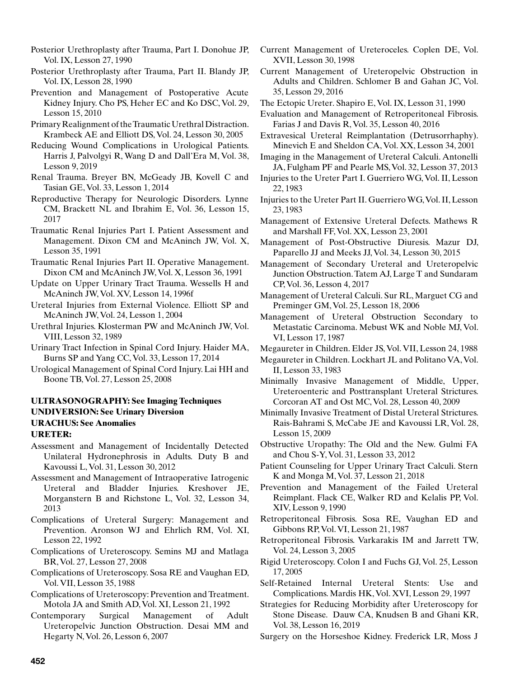- Posterior Urethroplasty after Trauma, Part I. Donohue JP, Vol. IX, Lesson 27, 1990
- Posterior Urethroplasty after Trauma, Part II. Blandy JP, Vol. IX, Lesson 28, 1990
- Prevention and Management of Postoperative Acute Kidney Injury. Cho PS, Heher EC and Ko DSC, Vol. 29, Lesson 15, 2010
- Primary Realignment of the Traumatic Urethral Distraction. Krambeck AE and Elliott DS, Vol. 24, Lesson 30, 2005
- Reducing Wound Complications in Urological Patients. Harris J, Palvolgyi R, Wang D and Dall'Era M, Vol. 38, Lesson 9, 2019
- Renal Trauma. Breyer BN, McGeady JB, Kovell C and Tasian GE, Vol. 33, Lesson 1, 2014
- Reproductive Therapy for Neurologic Disorders. Lynne CM, Brackett NL and Ibrahim E, Vol. 36, Lesson 15, 2017
- Traumatic Renal Injuries Part I. Patient Assessment and Management. Dixon CM and McAninch JW, Vol. X, Lesson 35, 1991
- Traumatic Renal Injuries Part II. Operative Management. Dixon CM and McAninch JW, Vol. X, Lesson 36, 1991
- Update on Upper Urinary Tract Trauma. Wessells H and McAninch JW, Vol. XV, Lesson 14, 1996f
- Ureteral Injuries from External Violence. Elliott SP and McAninch JW, Vol. 24, Lesson 1, 2004
- Urethral Injuries. Klosterman PW and McAninch JW, Vol. VIII, Lesson 32, 1989
- Urinary Tract Infection in Spinal Cord Injury. Haider MA, Burns SP and Yang CC, Vol. 33, Lesson 17, 2014
- Urological Management of Spinal Cord Injury. Lai HH and Boone TB, Vol. 27, Lesson 25, 2008

# **ULTRASONOGRAPHY: See Imaging Techniques UNDIVERSION: See Urinary Diversion URACHUS: See Anomalies URETER:**

- Assessment and Management of Incidentally Detected Unilateral Hydronephrosis in Adults. Duty B and Kavoussi L, Vol. 31, Lesson 30, 2012
- Assessment and Management of Intraoperative Iatrogenic Ureteral and Bladder Injuries. Kreshover JE, Morganstern B and Richstone L, Vol. 32, Lesson 34, 2013
- Complications of Ureteral Surgery: Management and Prevention. Aronson WJ and Ehrlich RM, Vol. XI, Lesson 22, 1992
- Complications of Ureteroscopy. Semins MJ and Matlaga BR, Vol. 27, Lesson 27, 2008
- Complications of Ureteroscopy. Sosa RE and Vaughan ED, Vol. VII, Lesson 35, 1988
- Complications of Ureteroscopy: Prevention and Treatment. Motola JA and Smith AD, Vol. XI, Lesson 21, 1992
- Contemporary Surgical Management of Adult Ureteropelvic Junction Obstruction. Desai MM and Hegarty N, Vol. 26, Lesson 6, 2007
- Current Management of Ureteroceles. Coplen DE, Vol. XVII, Lesson 30, 1998
- Current Management of Ureteropelvic Obstruction in Adults and Children. Schlomer B and Gahan JC, Vol. 35, Lesson 29, 2016
- The Ectopic Ureter. Shapiro E, Vol. IX, Lesson 31, 1990
- Evaluation and Management of Retroperitoneal Fibrosis. Farias J and Davis R, Vol. 35, Lesson 40, 2016
- Extravesical Ureteral Reimplantation (Detrusorrhaphy). Minevich E and Sheldon CA, Vol. XX, Lesson 34, 2001
- Imaging in the Management of Ureteral Calculi. Antonelli JA, Fulgham PF and Pearle MS, Vol. 32, Lesson 37, 2013
- Injuries to the Ureter Part I. Guerriero WG, Vol. II, Lesson 22, 1983
- Injuries to the Ureter Part II. Guerriero WG, Vol. II, Lesson 23, 1983
- Management of Extensive Ureteral Defects. Mathews R and Marshall FF, Vol. XX, Lesson 23, 2001
- Management of Post-Obstructive Diuresis. Mazur DJ, Paparello JJ and Meeks JJ, Vol. 34, Lesson 30, 2015
- Management of Secondary Ureteral and Ureteropelvic Junction Obstruction. Tatem AJ, Large T and Sundaram CP, Vol. 36, Lesson 4, 2017
- Management of Ureteral Calculi. Sur RL, Marguet CG and Preminger GM, Vol. 25, Lesson 18, 2006
- Management of Ureteral Obstruction Secondary to Metastatic Carcinoma. Mebust WK and Noble MJ, Vol. VI, Lesson 17, 1987
- Megaureter in Children. Elder JS, Vol. VII, Lesson 24, 1988
- Megaureter in Children. Lockhart JL and Politano VA, Vol. II, Lesson 33, 1983
- Minimally Invasive Management of Middle, Upper, Ureteroenteric and Posttransplant Ureteral Strictures. Corcoran AT and Ost MC, Vol. 28, Lesson 40, 2009
- Minimally Invasive Treatment of Distal Ureteral Strictures. Rais-Bahrami S, McCabe JE and Kavoussi LR, Vol. 28, Lesson 15, 2009
- Obstructive Uropathy: The Old and the New. Gulmi FA and Chou S-Y, Vol. 31, Lesson 33, 2012
- Patient Counseling for Upper Urinary Tract Calculi. Stern K and Monga M, Vol. 37, Lesson 21, 2018
- Prevention and Management of the Failed Ureteral Reimplant. Flack CE, Walker RD and Kelalis PP, Vol. XIV, Lesson 9, 1990
- Retroperitoneal Fibrosis. Sosa RE, Vaughan ED and Gibbons RP, Vol. VI, Lesson 21, 1987
- Retroperitoneal Fibrosis. Varkarakis IM and Jarrett TW, Vol. 24, Lesson 3, 2005
- Rigid Ureteroscopy. Colon I and Fuchs GJ, Vol. 25, Lesson 17, 2005
- Self-Retained Internal Ureteral Stents: Use and Complications. Mardis HK, Vol. XVI, Lesson 29, 1997
- Strategies for Reducing Morbidity after Ureteroscopy for Stone Disease. Dauw CA, Knudsen B and Ghani KR, Vol. 38, Lesson 16, 2019
- Surgery on the Horseshoe Kidney. Frederick LR, Moss J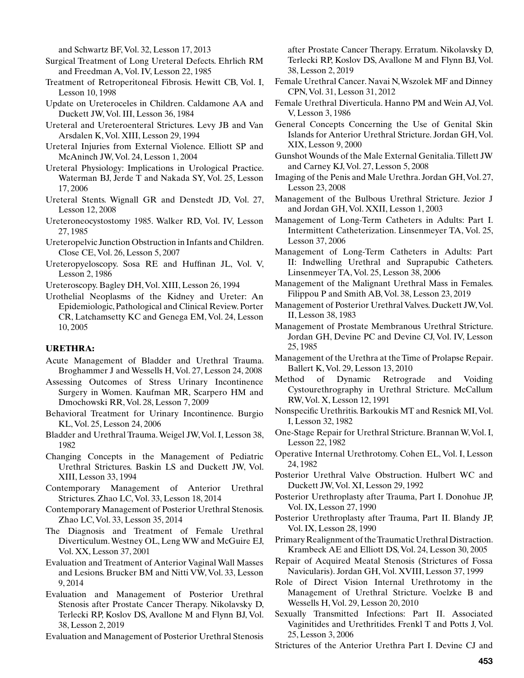and Schwartz BF, Vol. 32, Lesson 17, 2013

- Surgical Treatment of Long Ureteral Defects. Ehrlich RM and Freedman A, Vol. IV, Lesson 22, 1985
- Treatment of Retroperitoneal Fibrosis. Hewitt CB, Vol. I, Lesson 10, 1998
- Update on Ureteroceles in Children. Caldamone AA and Duckett JW, Vol. III, Lesson 36, 1984
- Ureteral and Ureteroenteral Strictures. Levy JB and Van Arsdalen K, Vol. XIII, Lesson 29, 1994
- Ureteral Injuries from External Violence. Elliott SP and McAninch JW, Vol. 24, Lesson 1, 2004
- Ureteral Physiology: Implications in Urological Practice. Waterman BJ, Jerde T and Nakada SY, Vol. 25, Lesson 17, 2006
- Ureteral Stents. Wignall GR and Denstedt JD, Vol. 27, Lesson 12, 2008
- Ureteroneocystostomy 1985. Walker RD, Vol. IV, Lesson 27, 1985
- Ureteropelvic Junction Obstruction in Infants and Children. Close CE, Vol. 26, Lesson 5, 2007
- Ureteropyeloscopy. Sosa RE and Huffinan JL, Vol. V, Lesson 2, 1986

Ureteroscopy. Bagley DH, Vol. XIII, Lesson 26, 1994

Urothelial Neoplasms of the Kidney and Ureter: An Epidemiologic, Pathological and Clinical Review. Porter CR, Latchamsetty KC and Genega EM, Vol. 24, Lesson 10, 2005

# **URETHRA:**

- Acute Management of Bladder and Urethral Trauma. Broghammer J and Wessells H, Vol. 27, Lesson 24, 2008
- Assessing Outcomes of Stress Urinary Incontinence Surgery in Women. Kaufman MR, Scarpero HM and Dmochowski RR, Vol. 28, Lesson 7, 2009
- Behavioral Treatment for Urinary Incontinence. Burgio KL, Vol. 25, Lesson 24, 2006
- Bladder and Urethral Trauma. Weigel JW, Vol. I, Lesson 38, 1982
- Changing Concepts in the Management of Pediatric Urethral Strictures. Baskin LS and Duckett JW, Vol. XIII, Lesson 33, 1994
- Contemporary Management of Anterior Urethral Strictures. Zhao LC, Vol. 33, Lesson 18, 2014
- Contemporary Management of Posterior Urethral Stenosis. Zhao LC, Vol. 33, Lesson 35, 2014
- The Diagnosis and Treatment of Female Urethral Diverticulum. Westney OL, Leng WW and McGuire EJ, Vol. XX, Lesson 37, 2001
- Evaluation and Treatment of Anterior Vaginal Wall Masses and Lesions. Brucker BM and Nitti VW, Vol. 33, Lesson 9, 2014
- Evaluation and Management of Posterior Urethral Stenosis after Prostate Cancer Therapy. Nikolavsky D, Terlecki RP, Koslov DS, Avallone M and Flynn BJ, Vol. 38, Lesson 2, 2019

Evaluation and Management of Posterior Urethral Stenosis

after Prostate Cancer Therapy. Erratum. Nikolavsky D, Terlecki RP, Koslov DS, Avallone M and Flynn BJ, Vol. 38, Lesson 2, 2019

- Female Urethral Cancer. Navai N, Wszolek MF and Dinney CPN, Vol. 31, Lesson 31, 2012
- Female Urethral Diverticula. Hanno PM and Wein AJ, Vol. V, Lesson 3, 1986
- General Concepts Concerning the Use of Genital Skin Islands for Anterior Urethral Stricture. Jordan GH, Vol. XIX, Lesson 9, 2000
- Gunshot Wounds of the Male External Genitalia. Tillett JW and Carney KJ, Vol. 27, Lesson 5, 2008
- Imaging of the Penis and Male Urethra. Jordan GH, Vol. 27, Lesson 23, 2008
- Management of the Bulbous Urethral Stricture. Jezior J and Jordan GH, Vol. XXII, Lesson 1, 2003
- Management of Long-Term Catheters in Adults: Part I. Intermittent Catheterization. Linsenmeyer TA, Vol. 25, Lesson 37, 2006
- Management of Long-Term Catheters in Adults: Part II: Indwelling Urethral and Suprapubic Catheters. Linsenmeyer TA, Vol. 25, Lesson 38, 2006
- Management of the Malignant Urethral Mass in Females. Filippou P and Smith AB, Vol. 38, Lesson 23, 2019
- Management of Posterior Urethral Valves. Duckett JW, Vol. II, Lesson 38, 1983
- Management of Prostate Membranous Urethral Stricture. Jordan GH, Devine PC and Devine CJ, Vol. IV, Lesson 25, 1985
- Management of the Urethra at the Time of Prolapse Repair. Ballert K, Vol. 29, Lesson 13, 2010
- Method of Dynamic Retrograde and Voiding Cystourethrography in Urethral Stricture. McCallum RW, Vol. X, Lesson 12, 1991
- Nonspecific Urethritis. Barkoukis MT and Resnick MI, Vol. I, Lesson 32, 1982
- One-Stage Repair for Urethral Stricture. Brannan W, Vol. I, Lesson 22, 1982
- Operative Internal Urethrotomy. Cohen EL, Vol. I, Lesson 24, 1982
- Posterior Urethral Valve Obstruction. Hulbert WC and Duckett JW, Vol. XI, Lesson 29, 1992
- Posterior Urethroplasty after Trauma, Part I. Donohue JP, Vol. IX, Lesson 27, 1990
- Posterior Urethroplasty after Trauma, Part II. Blandy JP, Vol. IX, Lesson 28, 1990
- Primary Realignment of the Traumatic Urethral Distraction. Krambeck AE and Elliott DS, Vol. 24, Lesson 30, 2005
- Repair of Acquired Meatal Stenosis (Strictures of Fossa Navicularis). Jordan GH, Vol. XVIII, Lesson 37, 1999
- Role of Direct Vision Internal Urethrotomy in the Management of Urethral Stricture. Voelzke B and Wessells H, Vol. 29, Lesson 20, 2010
- Sexually Transmitted Infections: Part II. Associated Vaginitides and Urethritides. Frenkl T and Potts J, Vol. 25, Lesson 3, 2006
- Strictures of the Anterior Urethra Part I. Devine CJ and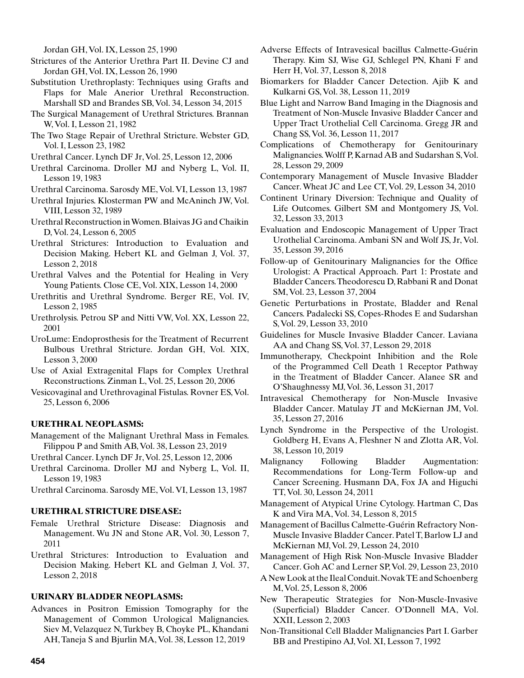Jordan GH, Vol. IX, Lesson 25, 1990

Strictures of the Anterior Urethra Part II. Devine CJ and Jordan GH, Vol. IX, Lesson 26, 1990

- Substitution Urethroplasty: Techniques using Grafts and Flaps for Male Anerior Urethral Reconstruction. Marshall SD and Brandes SB, Vol. 34, Lesson 34, 2015
- The Surgical Management of Urethral Strictures. Brannan W, Vol. I, Lesson 21, 1982
- The Two Stage Repair of Urethral Stricture. Webster GD, Vol. I, Lesson 23, 1982
- Urethral Cancer. Lynch DF Jr, Vol. 25, Lesson 12, 2006
- Urethral Carcinoma. Droller MJ and Nyberg L, Vol. II, Lesson 19, 1983
- Urethral Carcinoma. Sarosdy ME, Vol. VI, Lesson 13, 1987
- Urethral Injuries. Klosterman PW and McAninch JW, Vol. VIII, Lesson 32, 1989
- Urethral Reconstruction in Women. Blaivas JG and Chaikin D, Vol. 24, Lesson 6, 2005
- Urethral Strictures: Introduction to Evaluation and Decision Making. Hebert KL and Gelman J, Vol. 37, Lesson 2, 2018
- Urethral Valves and the Potential for Healing in Very Young Patients. Close CE, Vol. XIX, Lesson 14, 2000
- Urethritis and Urethral Syndrome. Berger RE, Vol. IV, Lesson 2, 1985
- Urethrolysis. Petrou SP and Nitti VW, Vol. XX, Lesson 22, 2001
- UroLume: Endoprosthesis for the Treatment of Recurrent Bulbous Urethral Stricture. Jordan GH, Vol. XIX, Lesson 3, 2000
- Use of Axial Extragenital Flaps for Complex Urethral Reconstructions. Zinman L, Vol. 25, Lesson 20, 2006
- Vesicovaginal and Urethrovaginal Fistulas. Rovner ES, Vol. 25, Lesson 6, 2006

# **URETHRAL NEOPLASMS:**

- Management of the Malignant Urethral Mass in Females. Filippou P and Smith AB, Vol. 38, Lesson 23, 2019
- Urethral Cancer. Lynch DF Jr, Vol. 25, Lesson 12, 2006
- Urethral Carcinoma. Droller MJ and Nyberg L, Vol. II, Lesson 19, 1983
- Urethral Carcinoma. Sarosdy ME, Vol. VI, Lesson 13, 1987

## **URETHRAL STRICTURE DISEASE:**

- Female Urethral Stricture Disease: Diagnosis and Management. Wu JN and Stone AR, Vol. 30, Lesson 7, 2011
- Urethral Strictures: Introduction to Evaluation and Decision Making. Hebert KL and Gelman J, Vol. 37, Lesson 2, 2018

## **URINARY BLADDER NEOPLASMS:**

Advances in Positron Emission Tomography for the Management of Common Urological Malignancies. Siev M, Velazquez N, Turkbey B, Choyke PL, Khandani AH, Taneja S and Bjurlin MA, Vol. 38, Lesson 12, 2019

- Adverse Effects of Intravesical bacillus Calmette-Guérin Therapy. Kim SJ, Wise GJ, Schlegel PN, Khani F and Herr H, Vol. 37, Lesson 8, 2018
- Biomarkers for Bladder Cancer Detection. Ajib K and Kulkarni GS, Vol. 38, Lesson 11, 2019
- Blue Light and Narrow Band Imaging in the Diagnosis and Treatment of Non-Muscle Invasive Bladder Cancer and Upper Tract Urothelial Cell Carcinoma. Gregg JR and Chang SS, Vol. 36, Lesson 11, 2017

Complications of Chemotherapy for Genitourinary Malignancies. Wolff P, Karnad AB and Sudarshan S, Vol. 28, Lesson 29, 2009

- Contemporary Management of Muscle Invasive Bladder Cancer. Wheat JC and Lee CT, Vol. 29, Lesson 34, 2010
- Continent Urinary Diversion: Technique and Quality of Life Outcomes. Gilbert SM and Montgomery JS, Vol. 32, Lesson 33, 2013
- Evaluation and Endoscopic Management of Upper Tract Urothelial Carcinoma. Ambani SN and Wolf JS, Jr, Vol. 35, Lesson 39, 2016
- Follow-up of Genitourinary Malignancies for the Office Urologist: A Practical Approach. Part 1: Prostate and Bladder Cancers. Theodorescu D, Rabbani R and Donat SM, Vol. 23, Lesson 37, 2004
- Genetic Perturbations in Prostate, Bladder and Renal Cancers. Padalecki SS, Copes-Rhodes E and Sudarshan S, Vol. 29, Lesson 33, 2010
- Guidelines for Muscle Invasive Bladder Cancer. Laviana AA and Chang SS, Vol. 37, Lesson 29, 2018
- Immunotherapy, Checkpoint Inhibition and the Role of the Programmed Cell Death 1 Receptor Pathway in the Treatment of Bladder Cancer. Alanee SR and O'Shaughnessy MJ, Vol. 36, Lesson 31, 2017
- Intravesical Chemotherapy for Non-Muscle Invasive Bladder Cancer. Matulay JT and McKiernan JM, Vol. 35, Lesson 27, 2016
- Lynch Syndrome in the Perspective of the Urologist. Goldberg H, Evans A, Fleshner N and Zlotta AR, Vol. 38, Lesson 10, 2019
- Malignancy Following Bladder Augmentation: Recommendations for Long-Term Follow-up and Cancer Screening. Husmann DA, Fox JA and Higuchi TT, Vol. 30, Lesson 24, 2011
- Management of Atypical Urine Cytology. Hartman C, Das K and Vira MA, Vol. 34, Lesson 8, 2015
- Management of Bacillus Calmette-Guérin Refractory Non-Muscle Invasive Bladder Cancer. Patel T, Barlow LJ and McKiernan MJ, Vol. 29, Lesson 24, 2010
- Management of High Risk Non-Muscle Invasive Bladder Cancer. Goh AC and Lerner SP, Vol. 29, Lesson 23, 2010
- A New Look at the Ileal Conduit. Novak TE and Schoenberg M, Vol. 25, Lesson 8, 2006
- New Therapeutic Strategies for Non-Muscle-Invasive (Superficial) Bladder Cancer. O'Donnell MA, Vol. XXII, Lesson 2, 2003
- Non-Transitional Cell Bladder Malignancies Part I. Garber BB and Prestipino AJ, Vol. XI, Lesson 7, 1992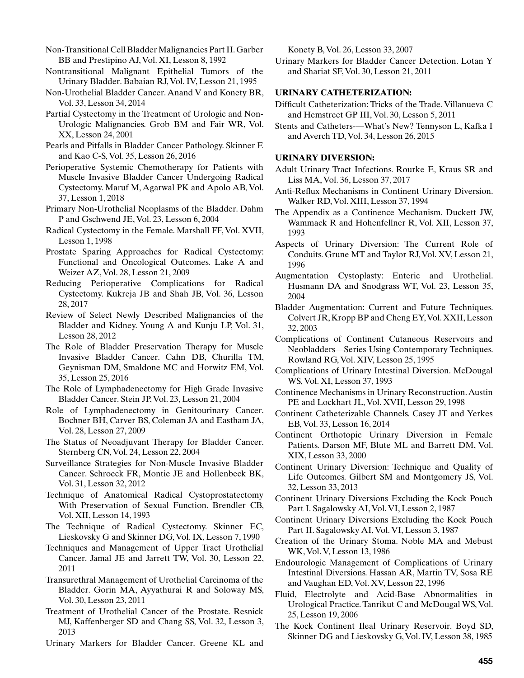Non-Transitional Cell Bladder Malignancies Part II. Garber BB and Prestipino AJ, Vol. XI, Lesson 8, 1992

- Nontransitional Malignant Epithelial Tumors of the Urinary Bladder. Babaian RJ, Vol. IV, Lesson 21, 1995
- Non-Urothelial Bladder Cancer. Anand V and Konety BR, Vol. 33, Lesson 34, 2014
- Partial Cystectomy in the Treatment of Urologic and Non-Urologic Malignancies. Grob BM and Fair WR, Vol. XX, Lesson 24, 2001
- Pearls and Pitfalls in Bladder Cancer Pathology. Skinner E and Kao C-S, Vol. 35, Lesson 26, 2016
- Perioperative Systemic Chemotherapy for Patients with Muscle Invasive Bladder Cancer Undergoing Radical Cystectomy. Maruf M, Agarwal PK and Apolo AB, Vol. 37, Lesson 1, 2018
- Primary Non-Urothelial Neoplasms of the Bladder. Dahm P and Gschwend JE, Vol. 23, Lesson 6, 2004
- Radical Cystectomy in the Female. Marshall FF, Vol. XVII, Lesson 1, 1998
- Prostate Sparing Approaches for Radical Cystectomy: Functional and Oncological Outcomes. Lake A and Weizer AZ, Vol. 28, Lesson 21, 2009
- Reducing Perioperative Complications for Radical Cystectomy. Kukreja JB and Shah JB, Vol. 36, Lesson 28, 2017
- Review of Select Newly Described Malignancies of the Bladder and Kidney. Young A and Kunju LP, Vol. 31, Lesson 28, 2012
- The Role of Bladder Preservation Therapy for Muscle Invasive Bladder Cancer. Cahn DB, Churilla TM, Geynisman DM, Smaldone MC and Horwitz EM, Vol. 35, Lesson 25, 2016
- The Role of Lymphadenectomy for High Grade Invasive Bladder Cancer. Stein JP, Vol. 23, Lesson 21, 2004
- Role of Lymphadenectomy in Genitourinary Cancer. Bochner BH, Carver BS, Coleman JA and Eastham JA, Vol. 28, Lesson 27, 2009
- The Status of Neoadjuvant Therapy for Bladder Cancer. Sternberg CN, Vol. 24, Lesson 22, 2004
- Surveillance Strategies for Non-Muscle Invasive Bladder Cancer. Schroeck FR, Montie JE and Hollenbeck BK, Vol. 31, Lesson 32, 2012
- Technique of Anatomical Radical Cystoprostatectomy With Preservation of Sexual Function. Brendler CB, Vol. XII, Lesson 14, 1993
- The Technique of Radical Cystectomy. Skinner EC, Lieskovsky G and Skinner DG, Vol. IX, Lesson 7, 1990
- Techniques and Management of Upper Tract Urothelial Cancer. Jamal JE and Jarrett TW, Vol. 30, Lesson 22, 2011
- Transurethral Management of Urothelial Carcinoma of the Bladder. Gorin MA, Ayyathurai R and Soloway MS, Vol. 30, Lesson 23, 2011
- Treatment of Urothelial Cancer of the Prostate. Resnick MJ, Kaffenberger SD and Chang SS, Vol. 32, Lesson 3, 2013
- Urinary Markers for Bladder Cancer. Greene KL and

Konety B, Vol. 26, Lesson 33, 2007

Urinary Markers for Bladder Cancer Detection. Lotan Y and Shariat SF, Vol. 30, Lesson 21, 2011

### **URINARY CATHETERIZATION:**

- Difficult Catheterization: Tricks of the Trade. Villanueva C and Hemstreet GP III, Vol. 30, Lesson 5, 2011
- Stents and Catheters-—What's New? Tennyson L, Kafka I and Averch TD, Vol. 34, Lesson 26, 2015

#### **URINARY DIVERSION:**

- Adult Urinary Tract Infections. Rourke E, Kraus SR and Liss MA, Vol. 36, Lesson 37, 2017
- Anti-Reflux Mechanisms in Continent Urinary Diversion. Walker RD, Vol. XIII, Lesson 37, 1994
- The Appendix as a Continence Mechanism. Duckett JW, Wammack R and Hohenfellner R, Vol. XII, Lesson 37, 1993
- Aspects of Urinary Diversion: The Current Role of Conduits. Grune MT and Taylor RJ, Vol. XV, Lesson 21, 1996
- Augmentation Cystoplasty: Enteric and Urothelial. Husmann DA and Snodgrass WT, Vol. 23, Lesson 35, 2004
- Bladder Augmentation: Current and Future Techniques. Colvert JR, Kropp BP and Cheng EY, Vol. XXII, Lesson 32, 2003
- Complications of Continent Cutaneous Reservoirs and Neobladders—Series Using Contemporary Techniques. Rowland RG, Vol. XIV, Lesson 25, 1995
- Complications of Urinary Intestinal Diversion. McDougal WS, Vol. XI, Lesson 37, 1993
- Continence Mechanisms in Urinary Reconstruction. Austin PE and Lockhart JL, Vol. XVII, Lesson 29, 1998
- Continent Catheterizable Channels. Casey JT and Yerkes EB, Vol. 33, Lesson 16, 2014
- Continent Orthotopic Urinary Diversion in Female Patients. Darson MF, Blute ML and Barrett DM, Vol. XIX, Lesson 33, 2000
- Continent Urinary Diversion: Technique and Quality of Life Outcomes. Gilbert SM and Montgomery JS, Vol. 32, Lesson 33, 2013
- Continent Urinary Diversions Excluding the Kock Pouch Part I. Sagalowsky AI, Vol. VI, Lesson 2, 1987
- Continent Urinary Diversions Excluding the Kock Pouch Part II. Sagalowsky AI, Vol. VI, Lesson 3, 1987
- Creation of the Urinary Stoma. Noble MA and Mebust WK, Vol. V, Lesson 13, 1986
- Endourologic Management of Complications of Urinary Intestinal Diversions. Hassan AR, Martin TV, Sosa RE and Vaughan ED, Vol. XV, Lesson 22, 1996
- Fluid, Electrolyte and Acid-Base Abnormalities in Urological Practice. Tanrikut C and McDougal WS, Vol. 25, Lesson 19, 2006
- The Kock Continent Ileal Urinary Reservoir. Boyd SD, Skinner DG and Lieskovsky G, Vol. IV, Lesson 38, 1985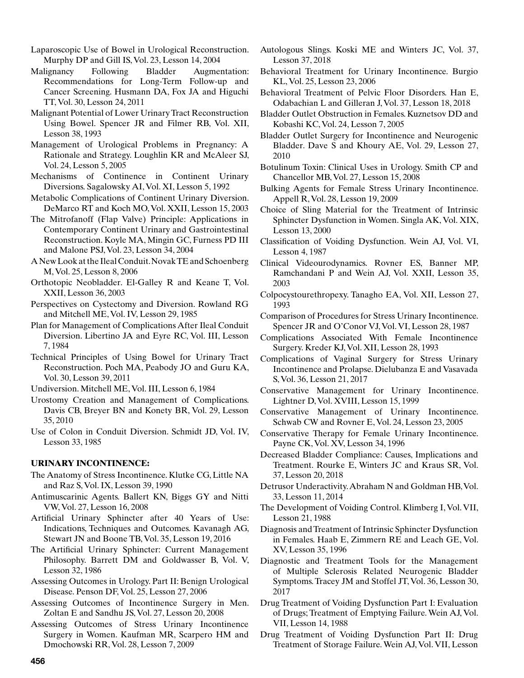- Laparoscopic Use of Bowel in Urological Reconstruction. Murphy DP and Gill IS, Vol. 23, Lesson 14, 2004
- Malignancy Following Bladder Augmentation: Recommendations for Long-Term Follow-up and Cancer Screening. Husmann DA, Fox JA and Higuchi TT, Vol. 30, Lesson 24, 2011
- Malignant Potential of Lower Urinary Tract Reconstruction Using Bowel. Spencer JR and Filmer RB, Vol. XII, Lesson 38, 1993
- Management of Urological Problems in Pregnancy: A Rationale and Strategy. Loughlin KR and McAleer SJ, Vol. 24, Lesson 5, 2005
- Mechanisms of Continence in Continent Urinary Diversions. Sagalowsky AI, Vol. XI, Lesson 5, 1992
- Metabolic Complications of Continent Urinary Diversion. DeMarco RT and Koch MO, Vol. XXII, Lesson 15, 2003
- The Mitrofanoff (Flap Valve) Principle: Applications in Contemporary Continent Urinary and Gastrointestinal Reconstruction. Koyle MA, Mingin GC, Furness PD III and Malone PSJ, Vol. 23, Lesson 34, 2004
- A New Look at the Ileal Conduit. Novak TE and Schoenberg M, Vol. 25, Lesson 8, 2006
- Orthotopic Neobladder. El-Galley R and Keane T, Vol. XXII, Lesson 36, 2003
- Perspectives on Cystectomy and Diversion. Rowland RG and Mitchell ME, Vol. IV, Lesson 29, 1985
- Plan for Management of Complications After Ileal Conduit Diversion. Libertino JA and Eyre RC, Vol. III, Lesson 7, 1984
- Technical Principles of Using Bowel for Urinary Tract Reconstruction. Poch MA, Peabody JO and Guru KA, Vol. 30, Lesson 39, 2011
- Undiversion. Mitchell ME, Vol. III, Lesson 6, 1984
- Urostomy Creation and Management of Complications. Davis CB, Breyer BN and Konety BR, Vol. 29, Lesson 35, 2010
- Use of Colon in Conduit Diversion. Schmidt JD, Vol. IV, Lesson 33, 1985

## **URINARY INCONTINENCE:**

- The Anatomy of Stress Incontinence. Klutke CG, Little NA and Raz S, Vol. IX, Lesson 39, 1990
- Antimuscarinic Agents. Ballert KN, Biggs GY and Nitti VW, Vol. 27, Lesson 16, 2008
- Artificial Urinary Sphincter after 40 Years of Use: Indications, Techniques and Outcomes. Kavanagh AG, Stewart JN and Boone TB, Vol. 35, Lesson 19, 2016
- The Artificial Urinary Sphincter: Current Management Philosophy. Barrett DM and Goldwasser B, Vol. V, Lesson 32, 1986
- Assessing Outcomes in Urology. Part II: Benign Urological Disease. Penson DF, Vol. 25, Lesson 27, 2006
- Assessing Outcomes of Incontinence Surgery in Men. Zoltan E and Sandhu JS, Vol. 27, Lesson 20, 2008
- Assessing Outcomes of Stress Urinary Incontinence Surgery in Women. Kaufman MR, Scarpero HM and Dmochowski RR, Vol. 28, Lesson 7, 2009
- Autologous Slings. Koski ME and Winters JC, Vol. 37, Lesson 37, 2018
- Behavioral Treatment for Urinary Incontinence. Burgio KL, Vol. 25, Lesson 23, 2006
- Behavioral Treatment of Pelvic Floor Disorders. Han E, Odabachian L and Gilleran J, Vol. 37, Lesson 18, 2018
- Bladder Outlet Obstruction in Females. Kuznetsov DD and Kobashi KC, Vol. 24, Lesson 7, 2005
- Bladder Outlet Surgery for Incontinence and Neurogenic Bladder. Dave S and Khoury AE, Vol. 29, Lesson 27, 2010
- Botulinum Toxin: Clinical Uses in Urology. Smith CP and Chancellor MB, Vol. 27, Lesson 15, 2008
- Bulking Agents for Female Stress Urinary Incontinence. Appell R, Vol. 28, Lesson 19, 2009
- Choice of Sling Material for the Treatment of Intrinsic Sphincter Dysfunction in Women. Singla AK, Vol. XIX, Lesson 13, 2000
- Classification of Voiding Dysfunction. Wein AJ, Vol. VI, Lesson 4, 1987
- Clinical Videourodynamics. Rovner ES, Banner MP, Ramchandani P and Wein AJ, Vol. XXII, Lesson 35, 2003
- Colpocystourethropexy. Tanagho EA, Vol. XII, Lesson 27, 1993
- Comparison of Procedures for Stress Urinary Incontinence. Spencer JR and O'Conor VJ, Vol. VI, Lesson 28, 1987
- Complications Associated With Female Incontinence Surgery. Kreder KJ, Vol. XII, Lesson 28, 1993
- Complications of Vaginal Surgery for Stress Urinary Incontinence and Prolapse. Dielubanza E and Vasavada S, Vol. 36, Lesson 21, 2017
- Conservative Management for Urinary Incontinence. Lightner D, Vol. XVIII, Lesson 15, 1999
- Conservative Management of Urinary Incontinence. Schwab CW and Rovner E, Vol. 24, Lesson 23, 2005
- Conservative Therapy for Female Urinary Incontinence. Payne CK, Vol. XV, Lesson 34, 1996
- Decreased Bladder Compliance: Causes, Implications and Treatment. Rourke E, Winters JC and Kraus SR, Vol. 37, Lesson 20, 2018
- Detrusor Underactivity. Abraham N and Goldman HB, Vol. 33, Lesson 11, 2014
- The Development of Voiding Control. Klimberg I, Vol. VII, Lesson 21, 1988
- Diagnosis and Treatment of Intrinsic Sphincter Dysfunction in Females. Haab E, Zimmern RE and Leach GE, Vol. XV, Lesson 35, 1996
- Diagnostic and Treatment Tools for the Management of Multiple Sclerosis Related Neurogenic Bladder Symptoms. Tracey JM and Stoffel JT, Vol. 36, Lesson 30, 2017
- Drug Treatment of Voiding Dysfunction Part I: Evaluation of Drugs; Treatment of Emptying Failure. Wein AJ, Vol. VII, Lesson 14, 1988
- Drug Treatment of Voiding Dysfunction Part II: Drug Treatment of Storage Failure. Wein AJ, Vol. VII, Lesson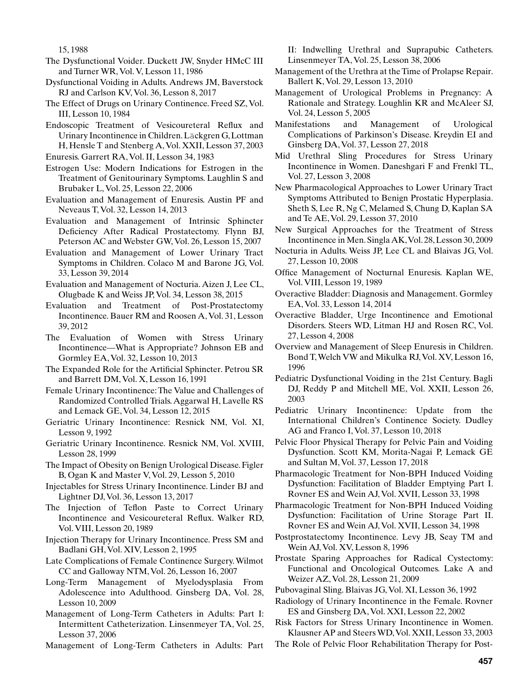15, 1988

- The Dysfunctional Voider. Duckett JW, Snyder HMcC III and Turner WR, Vol. V, Lesson 11, 1986
- Dysfunctional Voiding in Adults. Andrews JM, Baverstock RJ and Carlson KV, Vol. 36, Lesson 8, 2017
- The Effect of Drugs on Urinary Continence. Freed SZ, Vol. III, Lesson 10, 1984
- Endoscopic Treatment of Vesicoureteral Reflux and Urinary Incontinence in Children. Läckgren G, Lottman H, Hensle T and Stenberg A, Vol. XXII, Lesson 37, 2003
- Enuresis. Garrert RA, Vol. II, Lesson 34, 1983
- Estrogen Use: Modern Indications for Estrogen in the Treatment of Genitourinary Symptoms. Laughlin S and Brubaker L, Vol. 25, Lesson 22, 2006
- Evaluation and Management of Enuresis. Austin PF and Neveaus T, Vol. 32, Lesson 14, 2013
- Evaluation and Management of Intrinsic Sphincter Deficiency After Radical Prostatectomy. Flynn BJ, Peterson AC and Webster GW, Vol. 26, Lesson 15, 2007
- Evaluation and Management of Lower Urinary Tract Symptoms in Children. Colaco M and Barone JG, Vol. 33, Lesson 39, 2014
- Evaluation and Management of Nocturia. Aizen J, Lee CL, Olugbade K and Weiss JP, Vol. 34, Lesson 38, 2015
- Evaluation and Treatment of Post-Prostatectomy Incontinence. Bauer RM and Roosen A, Vol. 31, Lesson 39, 2012
- The Evaluation of Women with Stress Urinary Incontinence—What is Appropriate? Johnson EB and Gormley EA, Vol. 32, Lesson 10, 2013
- The Expanded Role for the Artificial Sphincter. Petrou SR and Barrett DM, Vol. X, Lesson 16, 1991
- Female Urinary Incontinence: The Value and Challenges of Randomized Controlled Trials. Aggarwal H, Lavelle RS and Lemack GE, Vol. 34, Lesson 12, 2015
- Geriatric Urinary Incontinence: Resnick NM, Vol. XI, Lesson 9, 1992
- Geriatric Urinary Incontinence. Resnick NM, Vol. XVIII, Lesson 28, 1999
- The Impact of Obesity on Benign Urological Disease. Figler B, Ogan K and Master V, Vol. 29, Lesson 5, 2010
- Injectables for Stress Urinary Incontinence. Linder BJ and Lightner DJ, Vol. 36, Lesson 13, 2017
- The Injection of Teflon Paste to Correct Urinary Incontinence and Vesicoureteral Reflux. Walker RD, Vol. VIII, Lesson 20, 1989
- Injection Therapy for Urinary Incontinence. Press SM and Badlani GH, Vol. XIV, Lesson 2, 1995
- Late Complications of Female Continence Surgery. Wilmot CC and Galloway NTM, Vol. 26, Lesson 16, 2007
- Long-Term Management of Myelodysplasia From Adolescence into Adulthood. Ginsberg DA, Vol. 28, Lesson 10, 2009

Management of Long-Term Catheters in Adults: Part I: Intermittent Catheterization. Linsenmeyer TA, Vol. 25, Lesson 37, 2006

Management of Long-Term Catheters in Adults: Part

II: Indwelling Urethral and Suprapubic Catheters. Linsenmeyer TA, Vol. 25, Lesson 38, 2006

- Management of the Urethra at the Time of Prolapse Repair. Ballert K, Vol. 29, Lesson 13, 2010
- Management of Urological Problems in Pregnancy: A Rationale and Strategy. Loughlin KR and McAleer SJ, Vol. 24, Lesson 5, 2005
- Manifestations and Management of Urological Complications of Parkinson's Disease. Kreydin EI and Ginsberg DA, Vol. 37, Lesson 27, 2018
- Mid Urethral Sling Procedures for Stress Urinary Incontinence in Women. Daneshgari F and Frenkl TL, Vol. 27, Lesson 3, 2008
- New Pharmacological Approaches to Lower Urinary Tract Symptoms Attributed to Benign Prostatic Hyperplasia. Sheth S, Lee R, Ng C, Melamed S, Chung D, Kaplan SA and Te AE, Vol. 29, Lesson 37, 2010
- New Surgical Approaches for the Treatment of Stress Incontinence in Men. Singla AK, Vol. 28, Lesson 30, 2009
- Nocturia in Adults. Weiss JP, Lee CL and Blaivas JG, Vol. 27, Lesson 10, 2008
- Office Management of Nocturnal Enuresis. Kaplan WE, Vol. VIII, Lesson 19, 1989
- Overactive Bladder: Diagnosis and Management. Gormley EA, Vol. 33, Lesson 14, 2014
- Overactive Bladder, Urge Incontinence and Emotional Disorders. Steers WD, Litman HJ and Rosen RC, Vol. 27, Lesson 4, 2008
- Overview and Management of Sleep Enuresis in Children. Bond T, Welch VW and Mikulka RJ, Vol. XV, Lesson 16, 1996
- Pediatric Dysfunctional Voiding in the 21st Century. Bagli DJ, Reddy P and Mitchell ME, Vol. XXII, Lesson 26, 2003
- Pediatric Urinary Incontinence: Update from the International Children's Continence Society. Dudley AG and Franco I, Vol. 37, Lesson 10, 2018
- Pelvic Floor Physical Therapy for Pelvic Pain and Voiding Dysfunction. Scott KM, Morita-Nagai P, Lemack GE and Sultan M, Vol. 37, Lesson 17, 2018
- Pharmacologic Treatment for Non-BPH Induced Voiding Dysfunction: Facilitation of Bladder Emptying Part I. Rovner ES and Wein AJ, Vol. XVII, Lesson 33, 1998
- Pharmacologic Treatment for Non-BPH Induced Voiding Dysfunction: Facilitation of Urine Storage Part II. Rovner ES and Wein AJ, Vol. XVII, Lesson 34, 1998
- Postprostatectomy Incontinence. Levy JB, Seay TM and Wein AJ, Vol. XV, Lesson 8, 1996
- Prostate Sparing Approaches for Radical Cystectomy: Functional and Oncological Outcomes. Lake A and Weizer AZ, Vol. 28, Lesson 21, 2009
- Pubovaginal Sling. Blaivas JG, Vol. XI, Lesson 36, 1992
- Radiology of Urinary Incontinence in the Female. Rovner ES and Ginsberg DA, Vol. XXI, Lesson 22, 2002
- Risk Factors for Stress Urinary Incontinence in Women. Klausner AP and Steers WD, Vol. XXII, Lesson 33, 2003
- The Role of Pelvic Floor Rehabilitation Therapy for Post-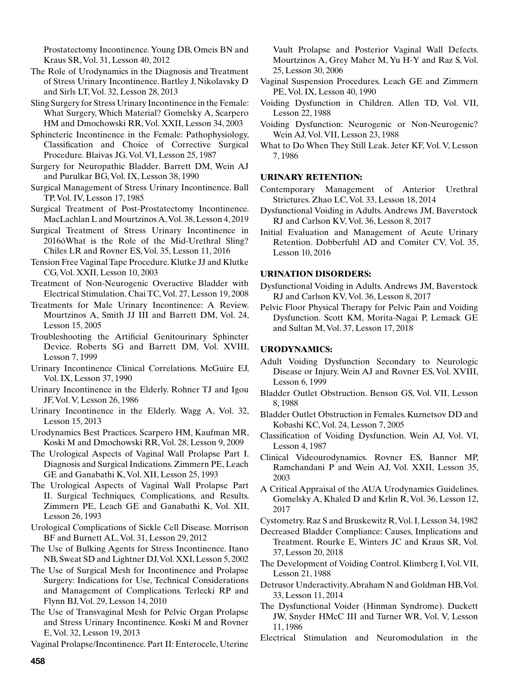Prostatectomy Incontinence. Young DB, Omeis BN and Kraus SR, Vol. 31, Lesson 40, 2012

- The Role of Urodynamics in the Diagnosis and Treatment of Stress Urinary Incontinence. Bartley J, Nikolavsky D and Sirls LT, Vol. 32, Lesson 28, 2013
- Sling Surgery for Stress Urinary Incontinence in the Female: What Surgery, Which Material? Gomelsky A, Scarpero HM and Dmochowski RR, Vol. XXII, Lesson 34, 2003
- Sphincteric Incontinence in the Female: Pathophysiology, Classification and Choice of Corrective Surgical Procedure. Blaivas JG, Vol. VI, Lesson 25, 1987
- Surgery for Neuropathic Bladder. Barrett DM, Wein AJ and Purulkar BG, Vol. IX, Lesson 38, 1990
- Surgical Management of Stress Urinary Incontinence. Ball TP, Vol. IV, Lesson 17, 1985
- Surgical Treatment of Post-Prostatectomy Incontinence. MacLachlan L and Mourtzinos A, Vol. 38, Lesson 4, 2019
- Surgical Treatment of Stress Urinary Incontinence in 2016óWhat is the Role of the Mid-Urethral Sling? Chiles LR and Rovner ES, Vol. 35, Lesson 11, 2016
- Tension Free Vaginal Tape Procedure. Klutke JJ and Klutke CG, Vol. XXII, Lesson 10, 2003
- Treatment of Non-Neurogenic Overactive Bladder with Electrical Stimulation. Chai TC, Vol. 27, Lesson 19, 2008
- Treatments for Male Urinary Incontinence: A Review. Mourtzinos A, Smith JJ III and Barrett DM, Vol. 24, Lesson 15, 2005
- Troubleshooting the Artificial Genitourinary Sphincter Device. Roberts SG and Barrett DM, Vol. XVIII, Lesson 7, 1999
- Urinary Incontinence Clinical Correlations. McGuire EJ, Vol. IX, Lesson 37, 1990
- Urinary Incontinence in the Elderly. Rohner TJ and Igou JF, Vol. V, Lesson 26, 1986
- Urinary Incontinence in the Elderly. Wagg A, Vol. 32, Lesson 15, 2013
- Urodynamics Best Practices. Scarpero HM, Kaufman MR, Koski M and Dmochowski RR, Vol. 28, Lesson 9, 2009
- The Urological Aspects of Vaginal Wall Prolapse Part I. Diagnosis and Surgical Indications. Zimmern PE, Leach GE and Ganabathi K, Vol. XII, Lesson 25, 1993
- The Urological Aspects of Vaginal Wall Prolapse Part II. Surgical Techniques, Complications, and Results. Zimmern PE, Leach GE and Ganabathi K, Vol. XII, Lesson 26, 1993
- Urological Complications of Sickle Cell Disease. Morrison BF and Burnett AL, Vol. 31, Lesson 29, 2012
- The Use of Bulking Agents for Stress Incontinence. Itano NB, Sweat SD and Lightner DJ, Vol. XXI, Lesson 5, 2002
- The Use of Surgical Mesh for Incontinence and Prolapse Surgery: Indications for Use, Technical Considerations and Management of Complications. Terlecki RP and Flynn BJ, Vol. 29, Lesson 14, 2010
- The Use of Transvaginal Mesh for Pelvic Organ Prolapse and Stress Urinary Incontinence. Koski M and Rovner E, Vol. 32, Lesson 19, 2013

Vaginal Prolapse/Incontinence. Part II: Enterocele, Uterine

Vault Prolapse and Posterior Vaginal Wall Defects. Mourtzinos A, Grey Maher M, Yu H-Y and Raz S, Vol. 25, Lesson 30, 2006

- Vaginal Suspension Procedures. Leach GE and Zimmern PE, Vol. IX, Lesson 40, 1990
- Voiding Dysfunction in Children. Allen TD, Vol. VII, Lesson 22, 1988
- Voiding Dysfunction: Neurogenic or Non-Neurogenic? Wein AJ, Vol. VII, Lesson 23, 1988
- What to Do When They Still Leak. Jeter KF, Vol. V, Lesson 7, 1986

## **URINARY RETENTION:**

- Contemporary Management of Anterior Urethral Strictures. Zhao LC, Vol. 33, Lesson 18, 2014
- Dysfunctional Voiding in Adults. Andrews JM, Baverstock RJ and Carlson KV, Vol. 36, Lesson 8, 2017
- Initial Evaluation and Management of Acute Urinary Retention. Dobberfuhl AD and Comiter CV, Vol. 35, Lesson 10, 2016

## **URINATION DISORDERS:**

Dysfunctional Voiding in Adults. Andrews JM, Baverstock RJ and Carlson KV, Vol. 36, Lesson 8, 2017

Pelvic Floor Physical Therapy for Pelvic Pain and Voiding Dysfunction. Scott KM, Morita-Nagai P, Lemack GE and Sultan M, Vol. 37, Lesson 17, 2018

## **URODYNAMICS:**

- Adult Voiding Dysfunction Secondary to Neurologic Disease or Injury. Wein AJ and Rovner ES, Vol. XVIII, Lesson 6, 1999
- Bladder Outlet Obstruction. Benson GS, Vol. VII, Lesson 8, 1988
- Bladder Outlet Obstruction in Females. Kuznetsov DD and Kobashi KC, Vol. 24, Lesson 7, 2005
- Classification of Voiding Dysfunction. Wein AJ, Vol. VI, Lesson 4, 1987
- Clinical Videourodynamics. Rovner ES, Banner MP, Ramchandani P and Wein AJ, Vol. XXII, Lesson 35, 2003
- A Critical Appraisal of the AUA Urodynamics Guidelines. Gomelsky A, Khaled D and Krlin R, Vol. 36, Lesson 12, 2017
- Cystometry. Raz S and Bruskewitz R, Vol. I, Lesson 34, 1982
- Decreased Bladder Compliance: Causes, Implications and Treatment. Rourke E, Winters JC and Kraus SR, Vol. 37, Lesson 20, 2018
- The Development of Voiding Control. Klimberg I, Vol. VII, Lesson 21, 1988
- Detrusor Underactivity. Abraham N and Goldman HB, Vol. 33, Lesson 11, 2014
- The Dysfunctional Voider (Hinman Syndrome). Duckett JW, Snyder HMcC III and Turner WR, Vol. V, Lesson 11, 1986
- Electrical Stimulation and Neuromodulation in the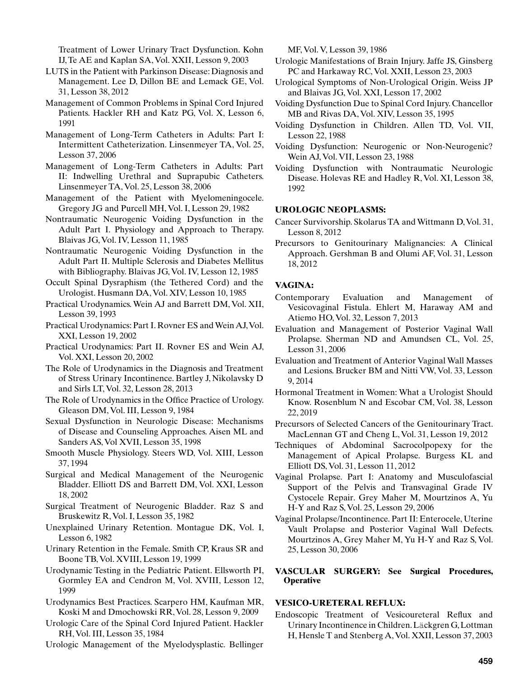Treatment of Lower Urinary Tract Dysfunction. Kohn IJ, Te AE and Kaplan SA, Vol. XXII, Lesson 9, 2003

- LUTS in the Patient with Parkinson Disease: Diagnosis and Management. Lee D, Dillon BE and Lemack GE, Vol. 31, Lesson 38, 2012
- Management of Common Problems in Spinal Cord Injured Patients. Hackler RH and Katz PG, Vol. X, Lesson 6, 1991
- Management of Long-Term Catheters in Adults: Part I: Intermittent Catheterization. Linsenmeyer TA, Vol. 25, Lesson 37, 2006
- Management of Long-Term Catheters in Adults: Part II: Indwelling Urethral and Suprapubic Catheters. Linsenmeyer TA, Vol. 25, Lesson 38, 2006
- Management of the Patient with Myelomeningocele. Gregory JG and Purcell MH, Vol. I, Lesson 29, 1982
- Nontraumatic Neurogenic Voiding Dysfunction in the Adult Part I. Physiology and Approach to Therapy. Blaivas JG, Vol. IV, Lesson 11, 1985
- Nontraumatic Neurogenic Voiding Dysfunction in the Adult Part II. Multiple Sclerosis and Diabetes Mellitus with Bibliography. Blaivas JG, Vol. IV, Lesson 12, 1985
- Occult Spinal Dysraphism (the Tethered Cord) and the Urologist. Husmann DA, Vol. XIV, Lesson 10, 1985
- Practical Urodynamics. Wein AJ and Barrett DM, Vol. XII, Lesson 39, 1993
- Practical Urodynamics: Part I. Rovner ES and Wein AJ, Vol. XXI, Lesson 19, 2002
- Practical Urodynamics: Part II. Rovner ES and Wein AJ, Vol. XXI, Lesson 20, 2002
- The Role of Urodynamics in the Diagnosis and Treatment of Stress Urinary Incontinence. Bartley J, Nikolavsky D and Sirls LT, Vol. 32, Lesson 28, 2013
- The Role of Urodynamics in the Office Practice of Urology. Gleason DM, Vol. III, Lesson 9, 1984
- Sexual Dysfunction in Neurologic Disease: Mechanisms of Disease and Counseling Approaches. Aisen ML and Sanders AS, Vol XVII, Lesson 35, 1998
- Smooth Muscle Physiology. Steers WD, Vol. XIII, Lesson 37, 1994
- Surgical and Medical Management of the Neurogenic Bladder. Elliott DS and Barrett DM, Vol. XXI, Lesson 18, 2002
- Surgical Treatment of Neurogenic Bladder. Raz S and Bruskewitz R, Vol. I, Lesson 35, 1982
- Unexplained Urinary Retention. Montague DK, Vol. I, Lesson 6, 1982
- Urinary Retention in the Female. Smith CP, Kraus SR and Boone TB, Vol. XVIII, Lesson 19, 1999
- Urodynamic Testing in the Pediatric Patient. Ellsworth PI, Gormley EA and Cendron M, Vol. XVIII, Lesson 12, 1999
- Urodynamics Best Practices. Scarpero HM, Kaufman MR, Koski M and Dmochowski RR, Vol. 28, Lesson 9, 2009
- Urologic Care of the Spinal Cord Injured Patient. Hackler RH, Vol. III, Lesson 35, 1984
- Urologic Management of the Myelodysplastic. Bellinger

MF, Vol. V, Lesson 39, 1986

- Urologic Manifestations of Brain Injury. Jaffe JS, Ginsberg PC and Harkaway RC, Vol. XXII, Lesson 23, 2003
- Urological Symptoms of Non-Urological Origin. Weiss JP and Blaivas JG, Vol. XXI, Lesson 17, 2002
- Voiding Dysfunction Due to Spinal Cord Injury. Chancellor MB and Rivas DA, Vol. XIV, Lesson 35, 1995
- Voiding Dysfunction in Children. Allen TD, Vol. VII, Lesson 22, 1988
- Voiding Dysfunction: Neurogenic or Non-Neurogenic? Wein AJ, Vol. VII, Lesson 23, 1988
- Voiding Dysfunction with Nontraumatic Neurologic Disease. Holevas RE and Hadley R, Vol. XI, Lesson 38, 1992

# **UROLOGIC NEOPLASMS:**

- Cancer Survivorship. Skolarus TA and Wittmann D, Vol. 31, Lesson 8, 2012
- Precursors to Genitourinary Malignancies: A Clinical Approach. Gershman B and Olumi AF, Vol. 31, Lesson 18, 2012

# **VAGINA:**

- Contemporary Evaluation and Management of Vesicovaginal Fistula. Ehlert M, Haraway AM and Atiemo HO, Vol. 32, Lesson 7, 2013
- Evaluation and Management of Posterior Vaginal Wall Prolapse. Sherman ND and Amundsen CL, Vol. 25, Lesson 31, 2006
- Evaluation and Treatment of Anterior Vaginal Wall Masses and Lesions. Brucker BM and Nitti VW, Vol. 33, Lesson 9, 2014
- Hormonal Treatment in Women: What a Urologist Should Know. Rosenblum N and Escobar CM, Vol. 38, Lesson 22, 2019
- Precursors of Selected Cancers of the Genitourinary Tract. MacLennan GT and Cheng L, Vol. 31, Lesson 19, 2012
- Techniques of Abdominal Sacrocolpopexy for the Management of Apical Prolapse. Burgess KL and Elliott DS, Vol. 31, Lesson 11, 2012
- Vaginal Prolapse. Part I: Anatomy and Musculofascial Support of the Pelvis and Transvaginal Grade IV Cystocele Repair. Grey Maher M, Mourtzinos A, Yu H-Y and Raz S, Vol. 25, Lesson 29, 2006
- Vaginal Prolapse/Incontinence. Part II: Enterocele, Uterine Vault Prolapse and Posterior Vaginal Wall Defects. Mourtzinos A, Grey Maher M, Yu H-Y and Raz S, Vol. 25, Lesson 30, 2006

# **VASCULAR SURGERY: See Surgical Procedures, Operative**

# **VESICO-URETERAL REFLUX:**

Endoscopic Treatment of Vesicoureteral Reflux and Urinary Incontinence in Children. Läckgren G, Lottman H, Hensle T and Stenberg A, Vol. XXII, Lesson 37, 2003